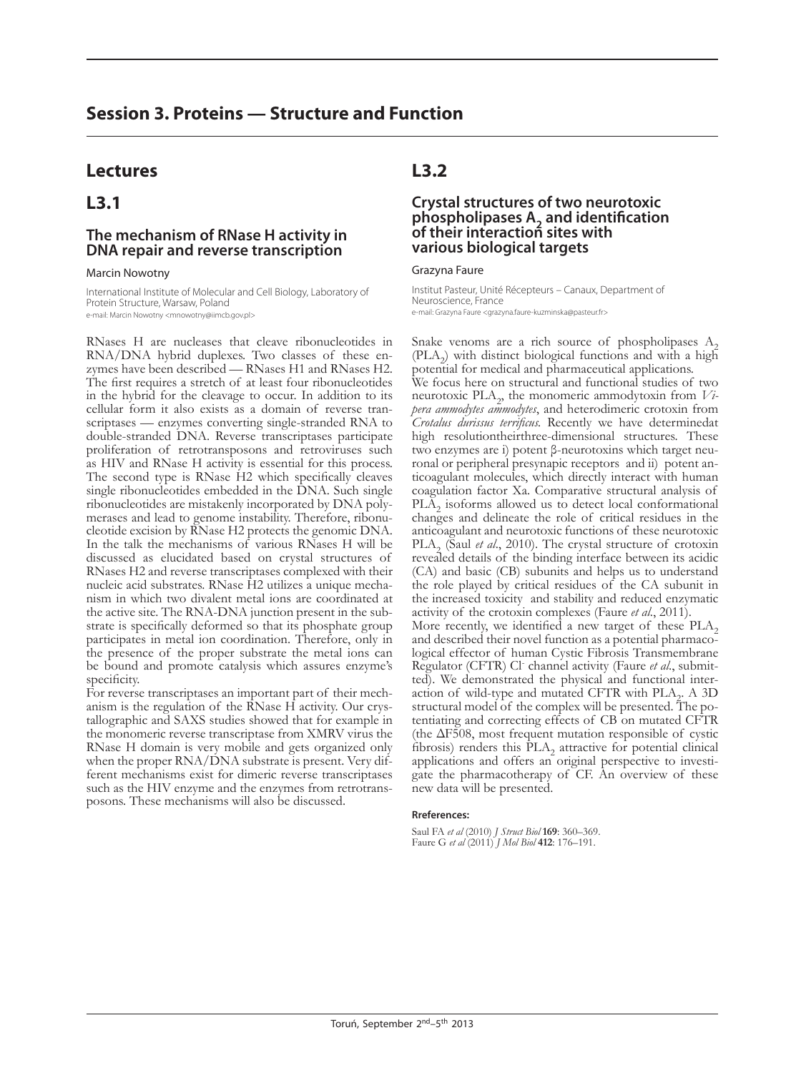## **Session 3. Proteins — Structure and Function**

## **Lectures**

## **L3.1**

### **The mechanism of RNase H activity in DNA repair and reverse transcription**

#### Marcin Nowotny

International Institute of Molecular and Cell Biology, Laboratory of Protein Structure, Warsaw, Poland e-mail: Marcin Nowotny <mnowotny@iimcb.gov.pl>

RNases H are nucleases that cleave ribonucleotides in RNA/DNA hybrid duplexes. Two classes of these en- zymes have been described — RNases H1 and RNases H2. The first requires a stretch of at least four ribonucleotides in the hybrid for the cleavage to occur. In addition to its cellular form it also exists as a domain of reverse transcriptases — enzymes converting single-stranded RNA to double-stranded DNA. Reverse transcriptases participate proliferation of retrotransposons and retroviruses such as HIV and RNase H activity is essential for this process. The second type is RNase H2 which specifically cleaves single ribonucleotides embedded in the DNA. Such single ribonucleotides are mistakenly incorporated by DNA polymerases and lead to genome instability. Therefore, ribonucleotide excision by RNase H2 protects the genomic DNA. In the talk the mechanisms of various RNases H will be discussed as elucidated based on crystal structures of RNases H2 and reverse transcriptases complexed with their nucleic acid substrates. RNase H2 utilizes a unique mechanism in which two divalent metal ions are coordinated at the active site. The RNA-DNA junction present in the substrate is specifically deformed so that its phosphate group participates in metal ion coordination. Therefore, only in the presence of the proper substrate the metal ions can be bound and promote catalysis which assures enzyme's specificity.

For reverse transcriptases an important part of their mechanism is the regulation of the RNase H activity. Our crystallographic and SAXS studies showed that for example in the monomeric reverse transcriptase from XMRV virus the RNase H domain is very mobile and gets organized only when the proper RNA/DNA substrate is present. Very different mechanisms exist for dimeric reverse transcriptases such as the HIV enzyme and the enzymes from retrotransposons. These mechanisms will also be discussed.

## **L3.2**

### **Crystal structures of two neurotoxic phospholipases A2 and identification of their interaction sites with various biological targets**

#### Grazyna Faure

Institut Pasteur, Unité Récepteurs – Canaux, Department of Neuroscience, France e-mail: Grazyna Faure <grazyna.faure-kuzminska@pasteur.fr>

Snake venoms are a rich source of phospholipases  $A_2$  (PLA<sub>2</sub>) with distinct biological functions and with a high potential for medical and pharmaceutical applications. We focus here on structural and functional studies of two neurotoxic PLA<sub>2</sub>, the monomeric ammodytoxin from *Vipera ammodytes ammodytes*, and heterodimeric crotoxin from *Crotalus durissus terrificus.* Recently we have determinedat high resolutiontheirthree-dimensional structures. These two enzymes are i) potent β-neurotoxins which target neuronal or peripheral presynapic receptors and ii) potent anticoagulant molecules, which directly interact with human coagulation factor Xa. Comparative structural analysis of  $PL\overline{A}_2$  isoforms allowed us to detect local conformational changes and delineate the role of critical residues in the anticoagulant and neurotoxic functions of these neurotoxic PLA<sub>2</sub> (Saul *et al.*, 2010). The crystal structure of crotoxin revealed details of the binding interface between its acidic (CA) and basic (CB) subunits and helps us to understand the role played by critical residues of the CA subunit in the increased toxicity and stability and reduced enzymatic activity of the crotoxin complexes (Faure *et al.*, 2011). More recently, we identified a new target of these PLA<sub>2</sub> and described their novel function as a potential pharmaco-<br>logical effector of human Cystic Fibrosis Transmembrane Regulator (CFTR) Cl<sup>-</sup> channel activity (Faure et al., submitted). We demonstrated the physical and functional inter-<br>action of wild-type and mutated CFTR with PLA<sub>2</sub>. A 3D<br>structural model of the complex will be presented. The poaction of wild-type and mutated CFTR with PLA<sub>2</sub>. A 3D tentiating and correcting effects of CB on mutated CFTR (the  $\Delta$ F508, most frequent mutation responsible of cystic fibrosis) renders this  $PLA_2$  attractive for potential clinical applications and offers an original perspective to investigate the pharmacotherapy of CF. An overview of these new data will be presented.

#### **Rreferences:**

Saul FA *et al* (2010) *J Struct Biol* **169**: 360–369. Faure G *et al* (2011) *J Mol Biol* **412**: 176–191.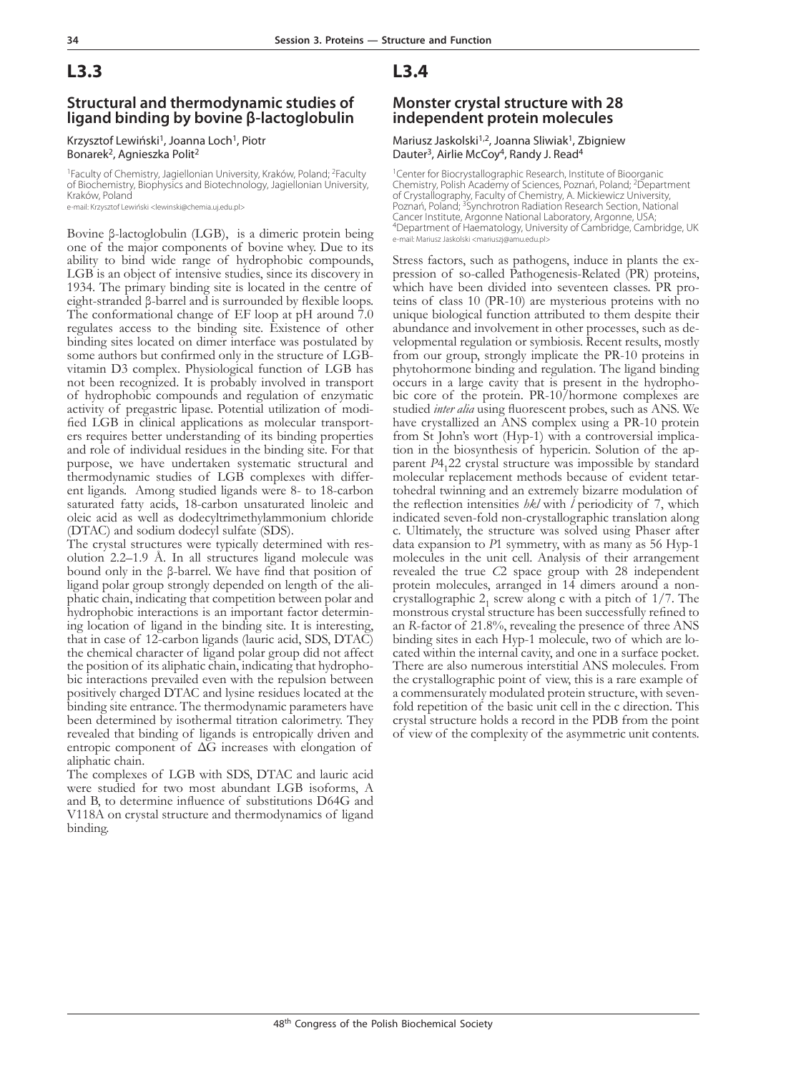# **L3.3**

### **Structural and thermodynamic studies of ligand binding by bovine β-lactoglobulin**

#### Krzysztof Lewiński<sup>1</sup>, Joanna Loch<sup>1</sup>, Piotr Bonarek<sup>2</sup>, Agnieszka Polit<sup>2</sup>

<sup>1</sup>Faculty of Chemistry, Jagiellonian University, Kraków, Poland; <sup>2</sup>Faculty of Biochemistry, Biophysics and Biotechnology, Jagiellonian University, Kraków, Poland

e-mail: Krzysztof Lewiński <lewinski@chemia.uj.edu.pl>

Bovine β-lactoglobulin (LGB), is a dimeric protein being one of the major components of bovine whey. Due to its ability to bind wide range of hydrophobic compounds, LGB is an object of intensive studies, since its discovery in 1934. The primary binding site is located in the centre of eight-stranded β-barrel and is surrounded by flexible loops. The conformational change of EF loop at pH around 7.0 regulates access to the binding site. Existence of other binding sites located on dimer interface was postulated by some authors but confirmed only in the structure of LGBvitamin D3 complex. Physiological function of LGB has not been recognized. It is probably involved in transport of hydrophobic compounds and regulation of enzymatic fied LGB in clinical applications as molecular transport-<br>ers requires better understanding of its binding properties and role of individual residues in the binding site. For that purpose, we have undertaken systematic structural and ent ligands. Among studied ligands were 8- to 18-carbon saturated fatty acids, 18-carbon unsaturated linoleic and oleic acid as well as dodecyltrimethylammonium chloride (DTAC) and sodium dodecyl sulfate (SDS).

The crystal structures were typically determined with resolution 2.2–1.9 Å. In all structures ligand molecule was bound only in the β-barrel. We have find that position of ligand polar group strongly depended on length of the aliphatic chain, indicating that competition between polar and hydrophobic interactions is an important factor determining location of ligand in the binding site. It is interesting, that in case of 12-carbon ligands (lauric acid, SDS, DTAC) the chemical character of ligand polar group did not affect the position of its aliphatic chain, indicating that hydrophobic interactions prevailed even with the repulsion between positively charged DTAC and lysine residues located at the binding site entrance. The thermodynamic parameters have been determined by isothermal titration calorimetry. They revealed that binding of ligands is entropically driven and entropic component of  $\Delta G$  increases with elongation of aliphatic chain.

The complexes of LGB with SDS, DTAC and lauric acid were studied for two most abundant LGB isoforms, A and B, to determine influence of substitutions D64G and V118A on crystal structure and thermodynamics of ligand binding.

## **L3.4**

### **Monster crystal structure with 28 independent protein molecules**

#### Mariusz Jaskolski<sup>1,2</sup>, Joanna Sliwiak<sup>1</sup>, Zbigniew Dauter<sup>3</sup>, Airlie McCov<sup>4</sup>, Randy J. Read<sup>4</sup>

<sup>1</sup>Center for Biocrystallographic Research, Institute of Bioorganic Chemistry, Polish Academy of Sciences, Poznań, Poland; 2Department of Crystallography, Faculty of Chemistry, A. Mickiewicz University, Poznań, Poland; <sup>3</sup>Synchrotron Radiation Research Section, National Cancer Institute, Argonne National Laboratory, Argonne, USA; 4Department of Haematology, University of Cambridge, Cambridge, UK e-mail: Mariusz Jaskolski <mariuszj@amu.edu.pl>

Stress factors, such as pathogens, induce in plants the ex-<br>pression of so-called Pathogenesis-Related (PR) proteins,<br>which have been divided into seventeen classes. PR proteins of class 10 (PR-10) are mysterious proteins with no unique biological function attributed to them despite their abundance and involvement in other processes, such as developmental regulation or symbiosis. Recent results, mostly from our group, strongly implicate the PR-10 proteins in phytohormone binding and regulation. The ligand binding bic core of the protein. PR-10/hormone complexes are studied *inter alia* using fluorescent probes, such as ANS. We have crystallized an ANS complex using a PR-10 protein from St John's wort (Hyp-1) with a controversial implicafrom St John's wort (Hyp-1) with a controversial implication in the biosynthesis of hypericin. Solution of the apparent *P*4<sub>1</sub>22 crystal structure was impossible by standard molecular replacement methods because of evident tetartohedral twinning and an extremely bizarre modulation of the reflection intensities *hkl* with *l* periodicity of 7, which indicated seven-fold non-crystallographic translation along c. Ultimately, the structure was solved using Phaser after data expansion to *P*1 symmetry, with as many as 56 Hyp-1 molecules in the unit cell. Analysis of their arrangement revealed the true *C*2 space group with 28 independent protein molecules, arranged in 14 dimers around a noncrystallographic  $2<sub>1</sub>$  screw along c with a pitch of 1/7. The monstrous crystal structure has been successfully refined to an *R*-factor of 21.8%, revealing the presence of three ANS binding sites in each Hyp-1 molecule, two of which are lo- cated within the internal cavity, and one in a surface pocket. There are also numerous interstitial ANS molecules. From the crystallographic point of view, this is a rare example of a commensurately modulated protein structure, with sevenfold repetition of the basic unit cell in the c direction. This crystal structure holds a record in the PDB from the point of view of the complexity of the asymmetric unit contents.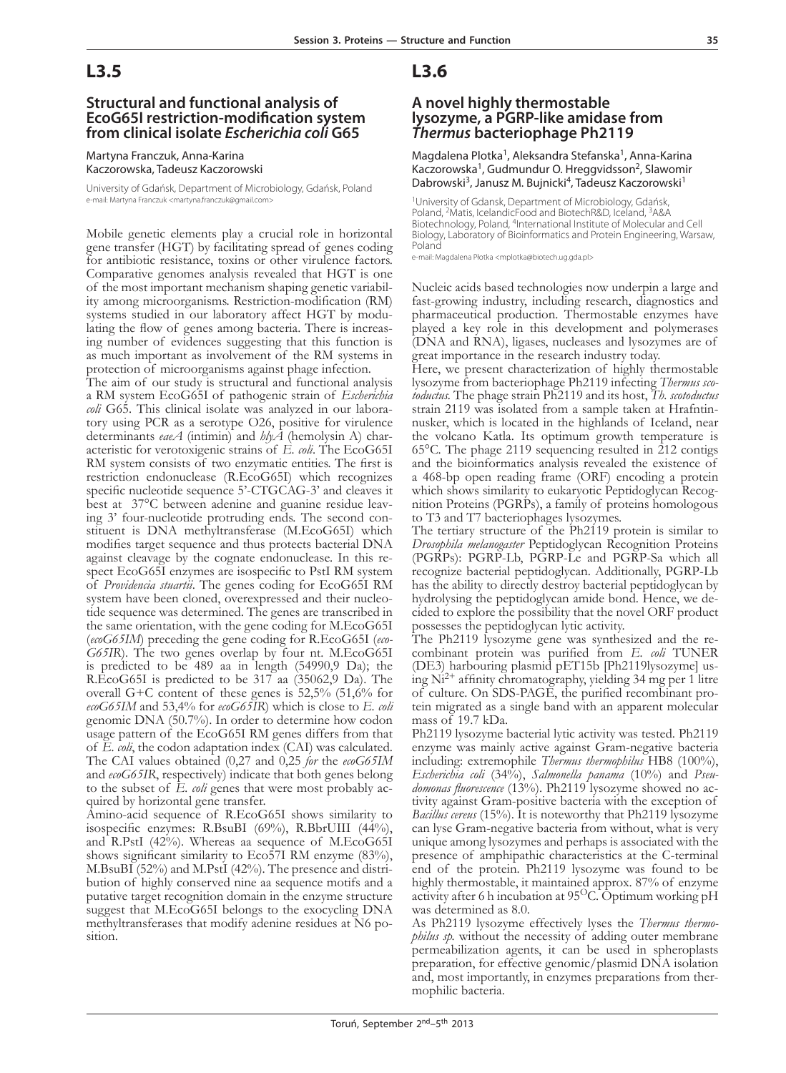## **L3.5**

### **Structural and functional analysis of EcoG65I restriction-modification system from clinical isolate** *Escherichia coli* **G65**

Martyna Franczuk, Anna-Karina Kaczorowska, Tadeusz Kaczorowski

University of Gdańsk, Department of Microbiology, Gdańsk, Poland e-mail: Martyna Franczuk <martyna.franczuk@gmail.com>

Mobile genetic elements play a crucial role in horizontal gene transfer (HGT) by facilitating spread of genes coding for antibiotic resistance, toxins or other virulence factors. Comparative genomes analysis revealed that HGT is one of the most important mechanism shaping genetic variability among microorganisms. Restriction-modification (RM) systems studied in our laboratory affect HGT by modulating the flow of genes among bacteria. There is increasing number of evidences suggesting that this function is as much important as involvement of the RM systems in protection of microorganisms against phage infection.

The aim of our study is structural and functional analysis a RM system EcoG65I of pathogenic strain of *Escherichia coli* tory using PCR as a serotype O26, positive for virulence determinants  $eaA$  (intimin) and  $h\psi A$  (hemolysin A) characteristic for verotoxigenic strains of *E. coli*. The EcoG65I RM system consists of two enzymatic entities. The first is restriction endonuclease (R.EcoG65I) which recognizes specific nucleotide sequence 5'-CTGCAG-3' and cleaves it<br>best at 37°C between adenine and guanine residue leaving 3' four-nucleotide protruding ends. The second constituent is DNA methyltransferase (M.EcoG65I) which modifies target sequence and thus protects bacterial DNA against cleavage by the cognate endonuclease. In this respect EcoG65I enzymes are isospecific to PstI RM system of *Providencia stuartii*. The genes coding for EcoG65I RM system have been cloned, overexpressed and their nucleotide sequence was determined. The genes are transcribed in the same orientation, with the gene coding for M.EcoG65I (*ecoG65IM*) preceding the gene coding for R.EcoG65I (*eco-G65IR*). The two genes overlap by four nt. M.EcoG65I is predicted to be 489 aa in length (54990,9 Da); the R.EcoG65I is predicted to be 317 aa (35062,9 Da). The overall G+C content of these genes is 52,5% (51,6% for *ecoG65IM* and 53,4% for *ecoG65IR*) which is close to *E. coli* genomic DNA (50.7%). In order to determine how codon usage pattern of the EcoG65I RM genes differs from that of *E. coli*, the codon adaptation index (CAI) was calculated. The CAI values obtained (0,27 and 0,25 *for* the *ecoG65IM* and *ecoG65IR*, respectively) indicate that both genes belong to the subset of *E. coli* genes that were most probably acquired by horizontal gene transfer.

Amino-acid sequence of R.EcoG65I shows similarity to isospecific enzymes: R.BsuBI (69%), R.BbrUIII (44%), and R.PstI (42%). Whereas aa sequence of M.EcoG65I shows significant similarity to Eco57I RM enzyme (83%), M.BsuBI (52%) and M.PstI (42%). The presence and distri- bution of highly conserved nine aa sequence motifs and a putative target recognition domain in the enzyme structure suggest that M.EcoG65I belongs to the exocycling DNA methyltransferases that modify adenine residues at N6 po- sition.

## **L3.6**

### **A novel highly thermostable lysozyme, a PGRP-like amidase from**  *Thermus* **bacteriophage Ph2119**

Magdalena Plotka1, Aleksandra Stefanska1, Anna-Karina Kaczorowska<sup>1</sup>, Gudmundur O. Hreggvidsson<sup>2</sup>, Slawomir Dabrowski<sup>3</sup>, Janusz M. Bujnicki<sup>4</sup>, Tadeusz Kaczorowski<sup>1</sup>

1University of Gdansk, Department of Microbiology, Gdańsk, Poland, <sup>2</sup>Matis, IcelandicFood and BiotechR&D, Iceland, <sup>3</sup>A&A Biotechnology, Poland, 4International Institute of Molecular and Cell Biology, Laboratory of Bioinformatics and Protein Engineering, Warsaw, Poland

e-mail: Magdalena Płotka <mplotka@biotech.ug.gda.pl>

Nucleic acids based technologies now underpin a large and fast-growing industry, including research, diagnostics and pharmaceutical production. Thermostable enzymes have played a key role in this development and polymerases (DNA and RNA), ligases, nucleases and lysozymes are of great importance in the research industry today.

Here, we present characterization of highly thermostable lysozyme from bacteriophage Ph2119 infecting *Thermus scotoductus*. The phage strain Ph2119 and its host, *Th. scotoductus* strain 2119 was isolated from a sample taken at Hrafntinnusker, which is located in the highlands of Iceland, near the volcano Katla. Its optimum growth temperature is 65°C. The phage 2119 sequencing resulted in 212 contigs and the bioinformatics analysis revealed the existence of a 468-bp open reading frame (ORF) encoding a protein which shows similarity to eukaryotic Peptidoglycan Recognition Proteins (PGRPs), a family of proteins homologous to T3 and T7 bacteriophages lysozymes.

The tertiary structure of the Ph2119 protein is similar to *Drosophila melanogaster* Peptidoglycan Recognition Proteins (PGRPs): PGRP-Lb, PGRP-Le and PGRP-Sa which all recognize bacterial peptidoglycan. Additionally, PGRP-Lb has the ability to directly destroy bacterial peptidoglycan by hydrolysing the peptidoglycan amide bond. Hence, we decided to explore the possibility that the novel ORF product possesses the peptidoglycan lytic activity.

The Ph2119 lysozyme gene was synthesized and the recombinant protein was purified from *E. coli* TUNER (DE3) harbouring plasmid pET15b [Ph2119lysozyme] using  $Ni<sup>2+</sup>$  affinity chromatography, yielding 34 mg per 1 litre of culture. On SDS-PAGE, the purified recombinant protein migrated as a single band with an apparent molecular mass of 19.7 kDa.

Ph2119 lysozyme bacterial lytic activity was tested. Ph2119 enzyme was mainly active against Gram-negative bacteria including: extremophile *Thermus thermophilus* HB8 (100%), *domonas fluorescence* (13%). Ph2119 lysozyme showed no activity against Gram-positive bacteria with the exception of *Bacillus cereus* (15%). It is noteworthy that Ph2119 lysozyme can lyse Gram-negative bacteria from without, what is very unique among lysozymes and perhaps is associated with the presence of amphipathic characteristics at the C-terminal end of the protein. Ph2119 lysozyme was found to be highly thermostable, it maintained approx. 87% of enzyme activity after 6 h incubation at 95<sup>O</sup>C. Optimum working pH was determined as 8.0.

As Ph2119 lysozyme effectively lyses the *Thermus thermophilus sp.* without the necessity of adding outer membrane permeabilization agents, it can be used in spheroplasts preparation, for effective genomic/plasmid DNA isolation and, most importantly, in enzymes preparations from ther- mophilic bacteria.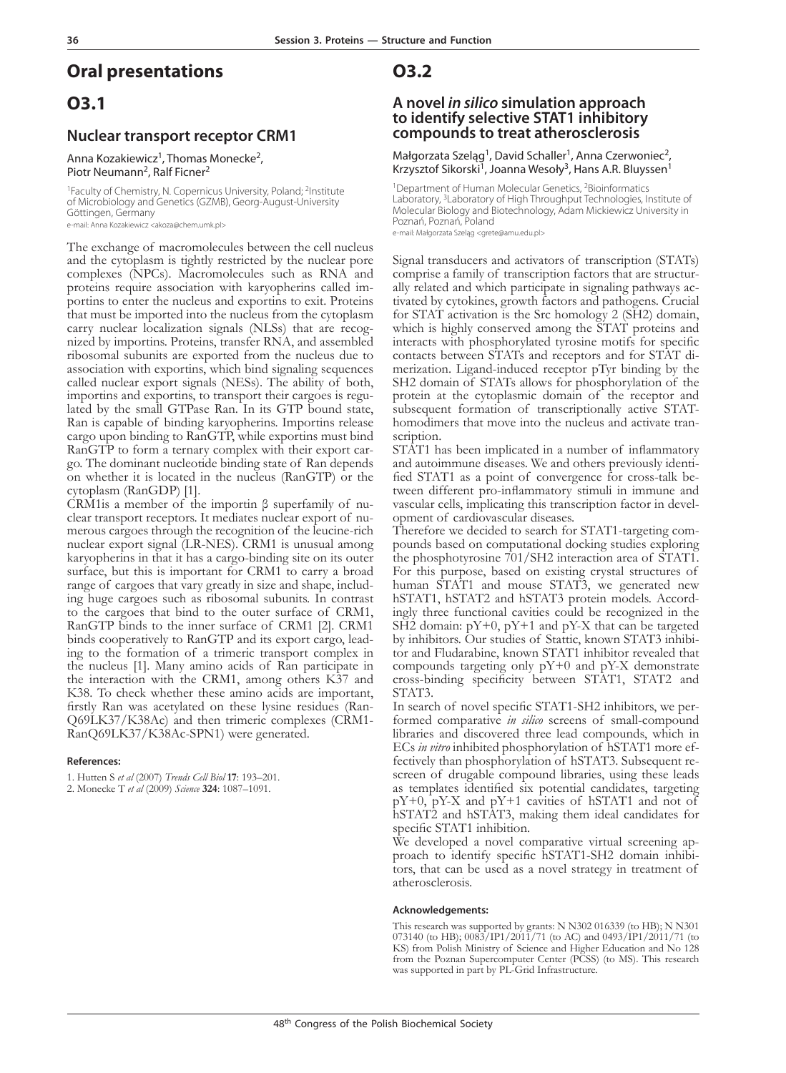## **Oral presentations**

## **O3.1**

### **Nuclear transport receptor CRM1**

Anna Kozakiewicz<sup>1</sup>, Thomas Monecke<sup>2</sup>, Piotr Neumann<sup>2</sup>, Ralf Ficner<sup>2</sup>

<sup>1</sup>Faculty of Chemistry, N. Copernicus University, Poland; <sup>2</sup>Institute of Microbiology and Genetics (GZMB), Georg-August-University Göttingen, Germany e-mail: Anna Kozakiewicz <akoza@chem.umk.pl>

The exchange of macromolecules between the cell nucleus and the cytoplasm is tightly restricted by the nuclear pore complexes (NPCs). Macromolecules such as RNA and portins to enter the nucleus and exportins to exit. Proteins that must be imported into the nucleus from the cytoplasm carry nuclear localization signals (NLSs) that are recognized by importins. Proteins, transfer RNA, and assembled ribosomal subunits are exported from the nucleus due to association with exportins, which bind signaling sequences called nuclear export signals (NESs). The ability of both, importins and exportins, to transport their cargoes is regulated by the small GTPase Ran. In its GTP bound state, Ran is capable of binding karyopherins. Importins release cargo upon binding to RanGTP, while exportins must bind go. The dominant nucleotide binding state of Ran depends on whether it is located in the nucleus (RanGTP) or the

cytoplasm (RanGDP) [1].<br>CRM1is a member of the importin β superfamily of nuclear transport receptors. It mediates nuclear export of numerous cargoes through the recognition of the leucine-rich nuclear export signal (LR-NES). CRM1 is unusual among karyopherins in that it has a cargo-binding site on its outer surface, but this is important for CRM1 to carry a broad range of cargoes that vary greatly in size and shape, including huge cargoes such as ribosomal subunits. In contrast to the cargoes that bind to the outer surface of CRM1, RanGTP binds to the inner surface of CRM1 [2]. CRM1 binds cooperatively to RanGTP and its export cargo, leading to the formation of a trimeric transport complex in the nucleus [1]. Many amino acids of Ran participate in the interaction with the CRM1, among others K37 and K38. To check whether these amino acids are important, firstly Ran was acetylated on these lysine residues (Ran-Q69LK37/K38Ac) and then trimeric complexes (CRM1- RanQ69LK37/K38Ac-SPN1) were generated.

#### **References:**

1. Hutten S *et al* (2007) *Trends Cell Biol* **17**: 193–201.

2. Monecke T *et al* (2009) *Science* **324**: 1087–1091.

### **O3.2**

## **A novel** *in silico* **simulation approach to identify selective STAT1 inhibitory compounds to treat atherosclerosis**

Małgorzata Szeląg<sup>1</sup>, David Schaller<sup>1</sup>, Anna Czerwoniec<sup>2</sup>, Krzysztof Sikorski<sup>1</sup>, Joanna Wesoły<sup>3</sup>, Hans A.R. Bluyssen<sup>1</sup>

<sup>1</sup>Department of Human Molecular Genetics, <sup>2</sup>Bioinformatics Laboratory, <sup>3</sup>Laboratory of High Throughput Technologies, Institute of Molecular Biology and Biotechnology, Adam Mickiewicz University in Poznań, Poznań, Poland

e-mail: Małgorzata Szelag <grete@amu.edu.pl>

Signal transducers and activators of transcription (STATs) comprise a family of transcription factors that are structur- ally related and which participate in signaling pathways ac- tivated by cytokines, growth factors and pathogens. Crucial for STAT activation is the Src homology 2 (SH2) domain, which is highly conserved among the STAT proteins and interacts with phosphorylated tyrosine motifs for specific contacts between STATs and receptors and for STAT di- merization. Ligand-induced receptor pTyr binding by the SH2 domain of STATs allows for phosphorylation of the protein at the cytoplasmic domain of the receptor and subsequent formation of transcriptionally active STAThomodimers that move into the nucleus and activate tran- scription.

STAT1 has been implicated in a number of inflammatory<br>and autoimmune diseases. We and others previously identified STAT1 as a point of convergence for cross-talk be-<br>tween different pro-inflammatory stimuli in immune and vascular cells, implicating this transcription factor in devel- opment of cardiovascular diseases.

Therefore we decided to search for STAT1-targeting compounds based on computational docking studies exploring the phosphotyrosine 701/SH2 interaction area of STAT1. For this purpose, based on existing crystal structures of human STAT1 and mouse STAT3, we generated new hSTAT1, hSTAT2 and hSTAT3 protein models. Accordingly three functional cavities could be recognized in the  $SH2$  domain:  $pY+0$ ,  $pY+1$  and  $pY-X$  that can be targeted by inhibitors. Our studies of Stattic, known STAT3 inhibitor and Fludarabine, known STAT1 inhibitor revealed that compounds targeting only pY+0 and pY-X demonstrate cross-binding specificity between STAT1, STAT2 and STAT3.

In search of novel specific STAT1-SH2 inhibitors, we performed comparative *in silico* screens of small-compound libraries and discovered three lead compounds, which in ECs *in vitro* inhibited phosphorylation of hSTAT1 more effectively than phosphorylation of hSTAT3. Subsequent rescreen of drugable compound libraries, using these leads as templates identified six potential candidates, targeting pY+0, pY-X and pY+1 cavities of hSTAT1 and not of hSTAT2 and hSTAT3, making them ideal candidates for specific STAT1 inhibition.

We developed a novel comparative virtual screening ap-<br>proach to identify specific hSTAT1-SH2 domain inhibi-<br>tors, that can be used as a novel strategy in treatment of atherosclerosis.

#### **Acknowledgements:**

This research was supported by grants: N N302 016339 (to HB); N N301 073140 (to HB); 0083/IP1/2011/71 (to AC) and 0493/IP1/2011/71 (to KS) from Polish Ministry of Science and Higher Education and No 128 from the Poznan Supercomputer Center (PCSS) (to MS). This research was supported in part by PL-Grid Infrastructure.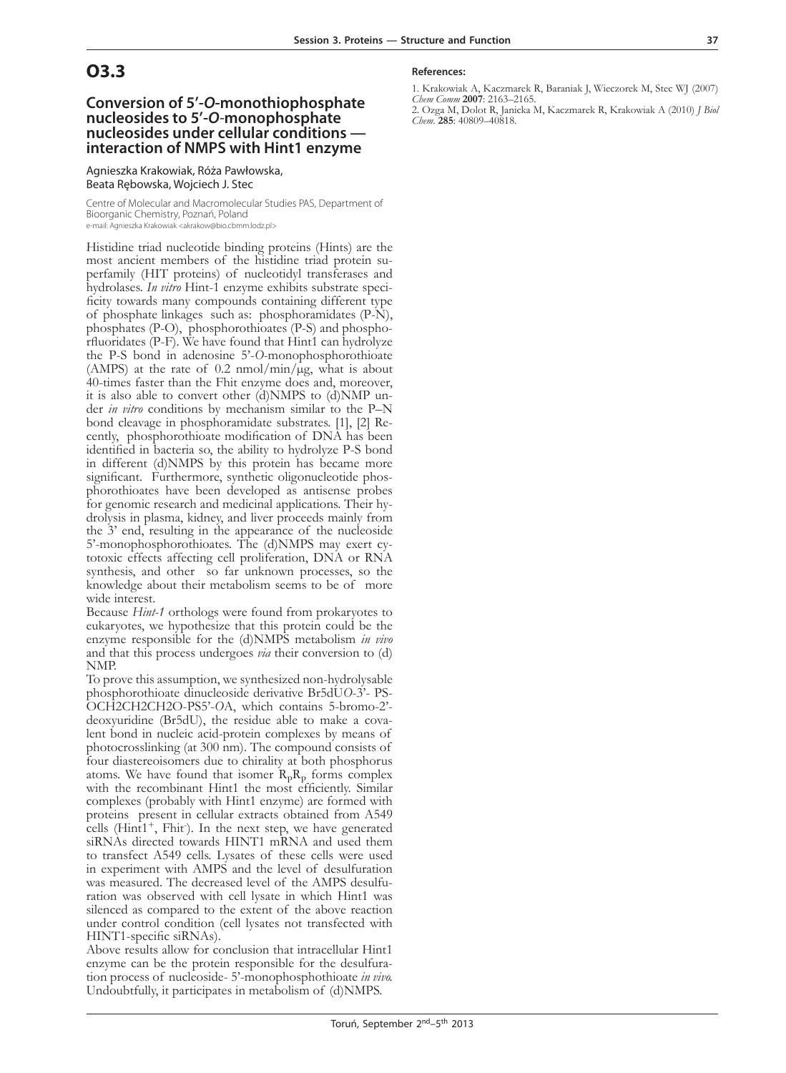## **O3.3**

### **Conversion of 5'-***O***-monothiophosphate nucleosides to 5'-***O-***monophosphate nucleosides under cellular conditions interaction of NMPS with Hint1 enzyme**

Agnieszka Krakowiak, Róża Pawłowska, Beata Rębowska, Wojciech J. Stec

Centre of Molecular and Macromolecular Studies PAS, Department of Bioorganic Chemistry, Poznań, Poland

e-mail: Agnieszka Krakowiak <akrakow@bio.cbmm.lodz.pl>

Histidine triad nucleotide binding proteins (Hints) are the perfamily (HIT proteins) of nucleotidyl transferases and<br>hydrolases. In vitro Hint-1 enzyme exhibits substrate specificity towards many compounds containing different type of phosphate linkages such as: phosphoramidates (P-N), phosphates (P-O), phosphorothioates (P-S) and phospho- rfluoridates (P-F). We have found that Hint1 can hydrolyze the P-S bond in adenosine 5'-*O*-monophosphorothioate (AMPS) at the rate of 0.2 nmol/min/ $\mu$ g, what is about 40-times faster than the Fhit enzyme does and, moreover, it is also able to convert other (d)NMPS to (d)NMP un-<br>der *in vitro* conditions by mechanism similar to the P–N<br>bond cleavage in phosphoramidate substrates. [1], [2] Recently, phosphorothioate modification of DNA has been identified in bacteria so, the ability to hydrolyze P-S bond in different (d)NMPS by this protein has became more significant. Furthermore, synthetic oligonucleotide phos-<br>phorothioates have been developed as antisense probes<br>for genomic research and medicinal applications. Their hydrolysis in plasma, kidney, and liver proceeds mainly from the 3' end, resulting in the appearance of the nucleoside 5'-monophosphorothioates. The (d)NMPS may exert cytotoxic effects affecting cell proliferation, DNA or RNA synthesis, and other so far unknown processes, so the knowledge about their metabolism seems to be of more wide interest.

Because *Hint-1* orthologs were found from prokaryotes to eukaryotes, we hypothesize that this protein could be the enzyme responsible for the (d)NMPS metabolism *in vivo* and that this process undergoes *via* their conversion to (d) NMP.

To prove this assumption, we synthesized non-hydrolysable phosphorothioate dinucleoside derivative Br5dU*O*-3'- PS-OCH2CH2CH2O-PS5'-*O*A, which contains 5-bromo-2' deoxyuridine (Br5dU), the residue able to make a covalent bond in nucleic acid-protein complexes by means of photocrosslinking (at 300 nm). The compound consists of four diastereoisomers due to chirality at both phosphorus atoms. We have found that isomer  $R_pR_p$  forms complex with the recombinant Hint1 the most efficiently. Similar complexes (probably with Hint1 enzyme) are formed with proteins present in cellular extracts obtained from A549 cells ( $Hint1^+$ ,  $Fhit$ ). In the next step, we have generated siRNAs directed towards HINT1 mRNA and used them to transfect A549 cells. Lysates of these cells were used in experiment with AMPS and the level of desulfuration was measured. The decreased level of the AMPS desulfu- ration was observed with cell lysate in which Hint1 was silenced as compared to the extent of the above reaction under control condition (cell lysates not transfected with HINT1-specific siRNAs).

Above results allow for conclusion that intracellular Hint1 enzyme can be the protein responsible for the desulfuration process of nucleoside- 5'-monophosphothioate *in vivo.*  Undoubtfully, it participates in metabolism of (d)NMPS.

#### **References:**

1. Krakowiak A, Kaczmarek R, Baraniak J, Wieczorek M, Stec WJ (2007) *Chem Comm* **2007**: 2163–2165.

2. Ozga M, Dolot R, Janicka M, Kaczmarek R, Krakowiak A (2010) *J Biol Chem*. **285**: 40809–40818.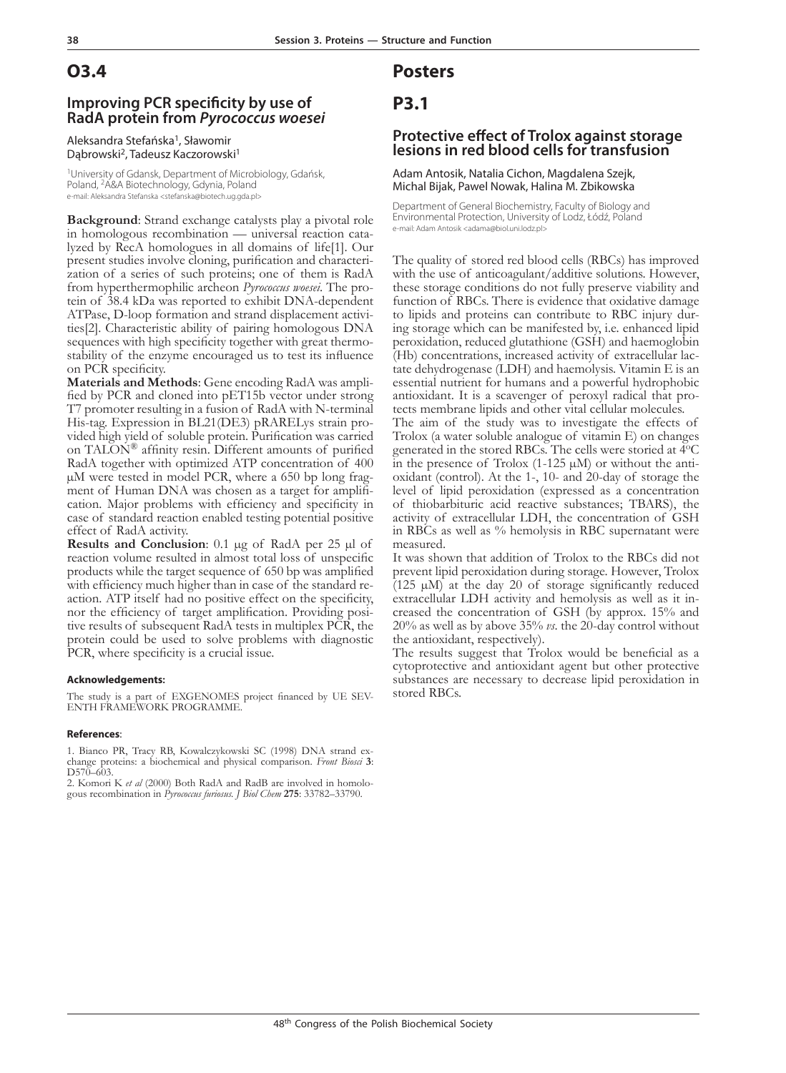## **O3.4**

### **Improving PCR specificity by use of RadA protein from** *Pyrococcus woesei*

Aleksandra Stefańska<sup>1</sup>, Sławomir Dabrowski<sup>2</sup>, Tadeusz Kaczorowski<sup>1</sup>

1University of Gdansk, Department of Microbiology, Gdańsk, Poland, <sup>2</sup>Á&A Biotechnology, Gdynia, Poland e-mail: Aleksandra Stefanska <stefanska@biotech.ug.gda.pl>

**Background**: Strand exchange catalysts play a pivotal role in homologous recombination — universal reaction catalyzed by RecA homologues in all domains of life[1]. Our present studies involve cloning, purification and characterization of a series of such proteins; one of them is RadA from hyperthermophilic archeon *Pyrococcus woesei*. The protein of 38.4 kDa was reported to exhibit DNA-dependent ATPase, D-loop formation and strand displacement activi- ties[2]. Characteristic ability of pairing homologous DNA sequences with high specificity together with great thermo-<br>stability of the enzyme encouraged us to test its influence

on PCR specificity.<br>**Materials and Methods**: Gene encoding RadA was amplified by PCR and cloned into pET15b vector under strong T7 promoter resulting in a fusion of RadA with N-terminal His-tag. Expression in BL21(DE3) pRARELys strain pro- vided high yield of soluble protein. Purification was carried on TALON® affinity resin. Different amounts of purified RadA together with optimized ATP concentration of 400 µM were tested in model PCR, where a 650 bp long fragment of Human DNA was chosen as a target for amplification. Major problems with efficiency and specificity in case of standard reaction enabled testing potential positive effect of RadA activity.

**Results and Conclusion**: 0.1 µg of RadA per 25 µl of reaction volume resulted in almost total loss of unspecific products while the target sequence of 650 bp was amplified with efficiency much higher than in case of the standard reaction. ATP itself had no positive effect on the specificity, nor the efficiency of target amplification. Providing positive results of subsequent RadA tests in multiplex PCR, the protein could be used to solve problems with diagnostic PCR, where specificity is a crucial issue.

#### **Acknowledgements:**

The study is a part of EXGENOMES project financed by UE SEV-ENTH FRAMEWORK PROGRAMME.

#### **References**:

1. Bianco PR, Tracy RB, Kowalczykowski SC (1998) DNA strand exchange proteins: a biochemical and physical comparison. *Front Biosci* **3**: D570–603.

2. Komori K *et al* (2000) Both RadA and RadB are involved in homologous recombination in *Pyrococcus furiosus. J Biol Chem* **275**: 33782–33790.

## **Posters**

## **P3.1**

### **Protective effect of Trolox against storage lesions in red blood cells for transfusion**

#### Adam Antosik, Natalia Cichon, Magdalena Szejk, Michal Bijak, Pawel Nowak, Halina M. Zbikowska

Department of General Biochemistry, Faculty of Biology and Environmental Protection, University of Lodz, Łódź, Poland e-mail: Adam Antosik <adama@biol.uni.lodz.pl>

The quality of stored red blood cells (RBCs) has improved with the use of anticoagulant/additive solutions. However, these storage conditions do not fully preserve viability and function of RBCs. There is evidence that oxidative damage to lipids and proteins can contribute to RBC injury dur- ing storage which can be manifested by, i.e. enhanced lipid peroxidation, reduced glutathione (GSH) and haemoglobin (Hb) concentrations, increased activity of extracellular lac- tate dehydrogenase (LDH) and haemolysis. Vitamin E is an essential nutrient for humans and a powerful hydrophobic antioxidant. It is a scavenger of peroxyl radical that pro- tects membrane lipids and other vital cellular molecules.

The aim of the study was to investigate the effects of Trolox (a water soluble analogue of vitamin E) on changes generated in the stored RBCs. The cells were storied at  $\overline{4}^{\circ}$ C in the presence of Trolox (1-125 µM) or without the antioxidant (control). At the 1-, 10- and 20-day of storage the level of lipid peroxidation (expressed as a concentration of thiobarbituric acid reactive substances; TBARS), the activity of extracellular LDH, the concentration of GSH in RBCs as well as % hemolysis in RBC supernatant were measured.

It was shown that addition of Trolox to the RBCs did not prevent lipid peroxidation during storage. However, Trolox  $(125 \mu M)$  at the day 20 of storage significantly reduced extracellular LDH activity and hemolysis as well as it increased the concentration of GSH (by approx. 15% and 20% as well as by above 35% *vs*. the 20-day control without the antioxidant, respectively).

The results suggest that Trolox would be beneficial as a cytoprotective and antioxidant agent but other protective substances are necessary to decrease lipid peroxidation in stored RBCs.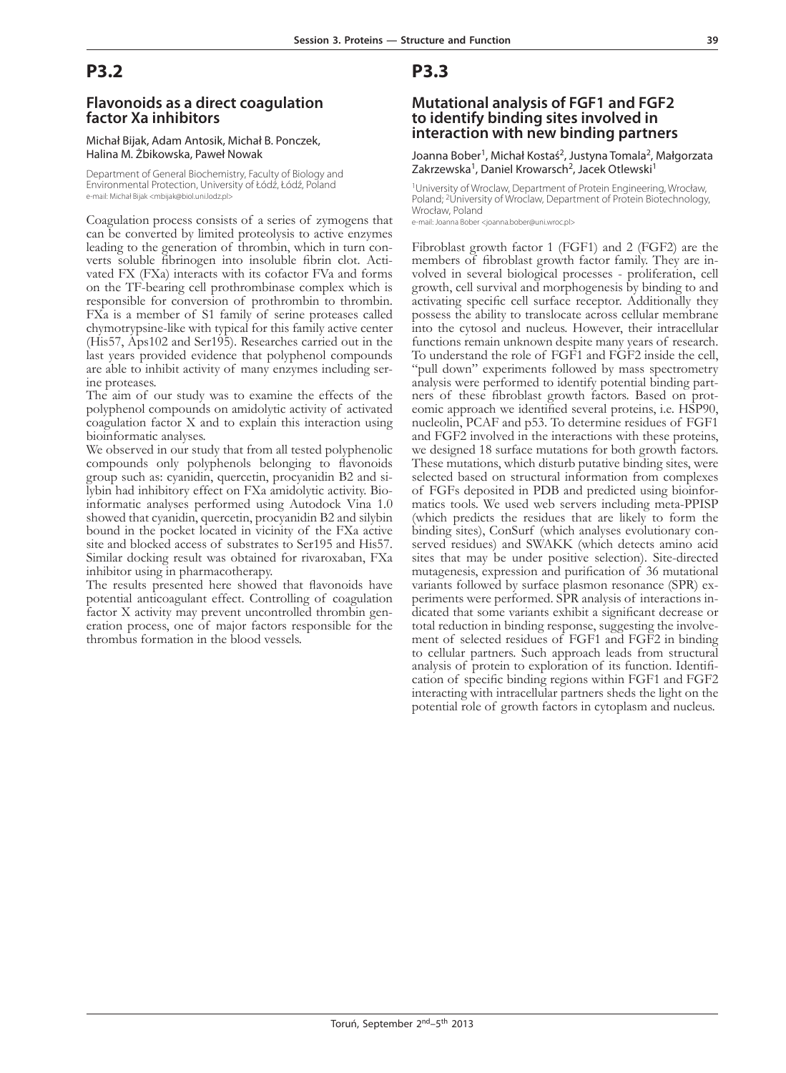### **Flavonoids as a direct coagulation factor Xa inhibitors**

#### Michał Bijak, Adam Antosik, Michał B. Ponczek, Halina M. Żbikowska, Paweł Nowak

Department of General Biochemistry, Faculty of Biology and Environmental Protection, University of Łódź, Łódź, Poland e-mail: Michał Bijak <mbijak@biol.uni.lodz.pl>

Coagulation process consists of a series of zymogens that can be converted by limited proteolysis to active enzymes leading to the generation of thrombin, which in turn converts soluble fibrinogen into insoluble fibrin clot. Acti- vated FX (FXa) interacts with its cofactor FVa and forms on the TF-bearing cell prothrombinase complex which is responsible for conversion of prothrombin to thrombin. FXa is a member of S1 family of serine proteases called chymotrypsine-like with typical for this family active center (His57, Aps102 and Ser195). Researches carried out in the last years provided evidence that polyphenol compounds are able to inhibit activity of many enzymes including ser- ine proteases.

The aim of our study was to examine the effects of the polyphenol compounds on amidolytic activity of activated coagulation factor X and to explain this interaction using bioinformatic analyses.

We observed in our study that from all tested polyphenolic compounds only polyphenols belonging to flavonoids group such as: cyanidin, quercetin, procyanidin B2 and si-lybin had inhibitory effect on FXa amidolytic activity. Bio-informatic analyses performed using Autodock Vina 1.0 showed that cyanidin, quercetin, procyanidin B2 and silybin bound in the pocket located in vicinity of the FXa active site and blocked access of substrates to Ser195 and His57. Similar docking result was obtained for rivaroxaban, FXa inhibitor using in pharmacotherapy.

The results presented here showed that flavonoids have potential anticoagulant effect. Controlling of coagulation factor X activity may prevent uncontrolled thrombin generation process, one of major factors responsible for the thrombus formation in the blood vessels.

## **P3.3**

### **Mutational analysis of FGF1 and FGF2 to identify binding sites involved in interaction with new binding partners**

Joanna Bober<sup>1</sup>, Michał Kostaś<sup>2</sup>, Justyna Tomala<sup>2</sup>, Małgorzata Zakrzewska<sup>1</sup>, Daniel Krowarsch<sup>2</sup>, Jacek Otlewski<sup>1</sup>

<sup>1</sup>University of Wroclaw, Department of Protein Engineering, Wrocław, Poland; <sup>2</sup>University of Wroclaw, Department of Protein Biotechnology, Wrocław, Poland

e-mail: Joanna Bober <joanna.bober@uni.wroc.pl>

Fibroblast growth factor 1 (FGF1) and 2 (FGF2) are the members of fibroblast growth factor family. They are involved in several biological processes - proliferation, cell growth, cell survival and morphogenesis by binding to and activating specific cell surface receptor. Additionally they possess the ability to translocate across cellular membrane into the cytosol and nucleus. However, their intracellular functions remain unknown despite many years of research. To understand the role of FGF1 and FGF2 inside the cell, "pull down" experiments followed by mass spectrometry analysis were performed to identify potential binding partners of these fibroblast growth factors. Based on prot-<br>eomic approach we identified several proteins, i.e. HSP90, nucleolin, PCAF and p53. To determine residues of FGF1 and FGF2 involved in the interactions with these proteins, we designed 18 surface mutations for both growth factors. These mutations, which disturb putative binding sites, were selected based on structural information from complexes of FGFs deposited in PDB and predicted using bioinformatics tools. We used web servers including meta-PPISP (which predicts the residues that are likely to form the binding sites), ConSurf (which analyses evolutionary conserved residues) and SWAKK (which detects amino acid sites that may be under positive selection). Site-directed mutagenesis, expression and purification of 36 mutational variants followed by surface plasmon resonance (SPR) experiments were performed. SPR analysis of interactions indicated that some variants exhibit a significant decrease or total reduction in binding response, suggesting the involvement of selected residues of FGF1 and FGF2 in binding to cellular partners. Such approach leads from structural analysis of protein to exploration of its function. Identification of specific binding regions within FGF1 and FGF2 interacting with intracellular partners sheds the light on the potential role of growth factors in cytoplasm and nucleus.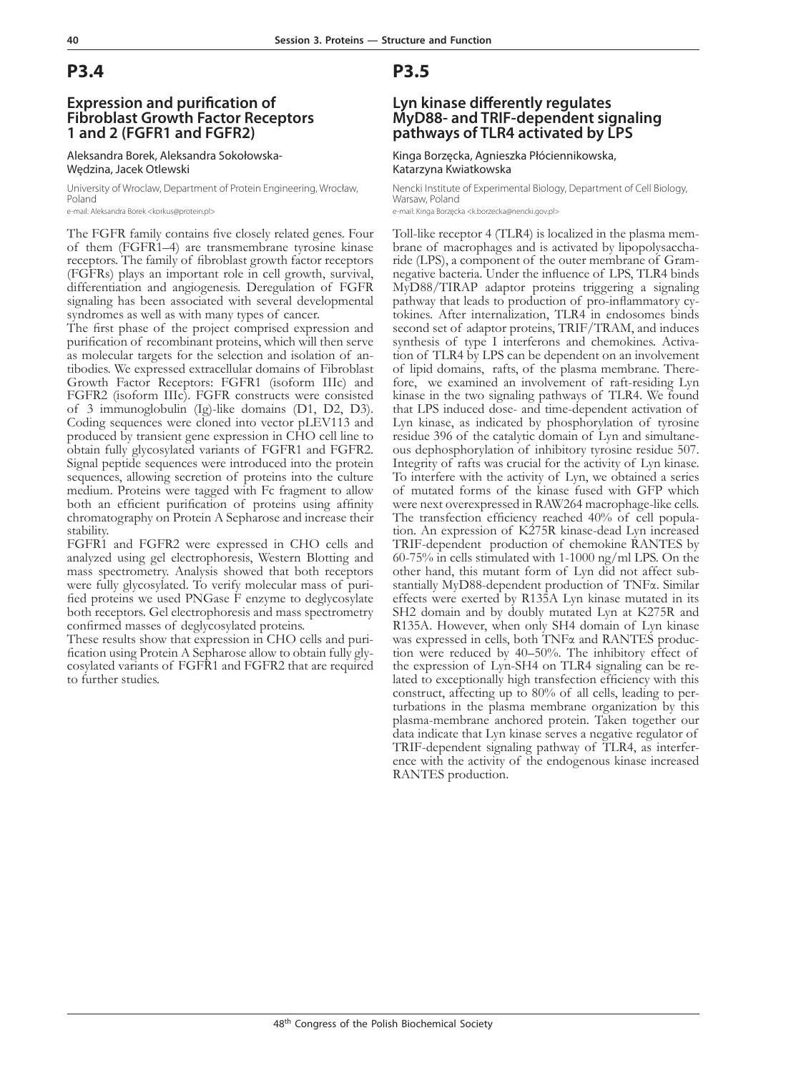### **Expression and purification of Fibroblast Growth Factor Receptors 1 and 2 (FGFR1 and FGFR2)**

#### Aleksandra Borek, Aleksandra Sokołowska-Wędzina, Jacek Otlewski

University of Wroclaw, Department of Protein Engineering, Wrocław, Poland

e-mail: Aleksandra Borek <korkus@protein.pl>

The FGFR family contains five closely related genes. Four of them (FGFR1–4) are transmembrane tyrosine kinase receptors. The family of fibroblast growth factor receptors (FGFRs) plays an important role in cell growth, survival, differentiation and angiogenesis. Deregulation of FGFR signaling has been associated with several developmental syndromes as well as with many types of cancer.

The first phase of the project comprised expression and purification of recombinant proteins, which will then serve as molecular targets for the selection and isolation of an- tibodies. We expressed extracellular domains of Fibroblast Growth Factor Receptors: FGFR1 (isoform IIIc) and FGFR2 (isoform IIIc). FGFR constructs were consisted of 3 immunoglobulin (Ig)-like domains (D1, D2, D3). Coding sequences were cloned into vector pLEV113 and produced by transient gene expression in CHO cell line to obtain fully glycosylated variants of FGFR1 and FGFR2. Signal peptide sequences were introduced into the protein sequences, allowing secretion of proteins into the culture medium. Proteins were tagged with Fc fragment to allow both an efficient purification of proteins using affinity chromatography on Protein A Sepharose and increase their stability.

FGFR1 and FGFR2 were expressed in CHO cells and analyzed using gel electrophoresis, Western Blotting and mass spectrometry. Analysis showed that both receptors were fully glycosylated. To verify molecular mass of purified proteins we used PNGase F enzyme to deglycosylate both receptors. Gel electrophoresis and mass spectrometry confirmed masses of deglycosylated proteins.

These results show that expression in CHO cells and purification using Protein A Sepharose allow to obtain fully glycosylated variants of FGFR1 and FGFR2 that are required to further studies.

## **P3.5**

### **Lyn kinase differently regulates MyD88- and TRIF-dependent signaling pathways of TLR4 activated by LPS**

Kinga Borzęcka, Agnieszka Płóciennikowska, Katarzyna Kwiatkowska

Nencki Institute of Experimental Biology, Department of Cell Biology, Warsaw, Poland e-mail: Kinga Borzęcka <k.borzecka@nencki.gov.pl>

Toll-like receptor 4 (TLR4) is localized in the plasma mem- brane of macrophages and is activated by lipopolysaccha- ride (LPS), a component of the outer membrane of Gramnegative bacteria. Under the influence of LPS, TLR4 binds MyD88/TIRAP adaptor proteins triggering a signaling pathway that leads to production of pro-inflammatory cy- tokines. After internalization, TLR4 in endosomes binds second set of adaptor proteins, TRIF/TRAM, and induces synthesis of type I interferons and chemokines. Activa- tion of TLR4 by LPS can be dependent on an involvement of lipid domains, rafts, of the plasma membrane. There- fore, we examined an involvement of raft-residing Lyn kinase in the two signaling pathways of TLR4. We found that LPS induced dose- and time-dependent activation of Lyn kinase, as indicated by phosphorylation of tyrosine ous dephosphorylation of inhibitory tyrosine residue 507. Integrity of rafts was crucial for the activity of Lyn kinase. To interfere with the activity of Lyn, we obtained a series of mutated forms of the kinase fused with GFP which were next overexpressed in RAW264 macrophage-like cells. The transfection efficiency reached 40% of cell population. An expression of K275R kinase-dead Lyn increased TRIF-dependent production of chemokine RANTES by 60-75% in cells stimulated with 1-1000 ng/ml LPS. On the other hand, this mutant form of Lyn did not affect substantially MyD88-dependent production of TNFα. Similar effects were exerted by R135A Lyn kinase mutated in its SH2 domain and by doubly mutated Lyn at K275R and R135A. However, when only SH4 domain of Lyn kinase was expressed in cells, both TNFα and RANTES production were reduced by 40–50%. The inhibitory effect of the expression of Lyn-SH4 on TLR4 signaling can be related to exceptionally high transfection efficiency with this construct, affecting up to 80% of all cells, leading to perturbations in the plasma membrane organization by this plasma-membrane anchored protein. Taken together our data indicate that Lyn kinase serves a negative regulator of TRIF-dependent signaling pathway of TLR4, as interference with the activity of the endogenous kinase increased RANTES production.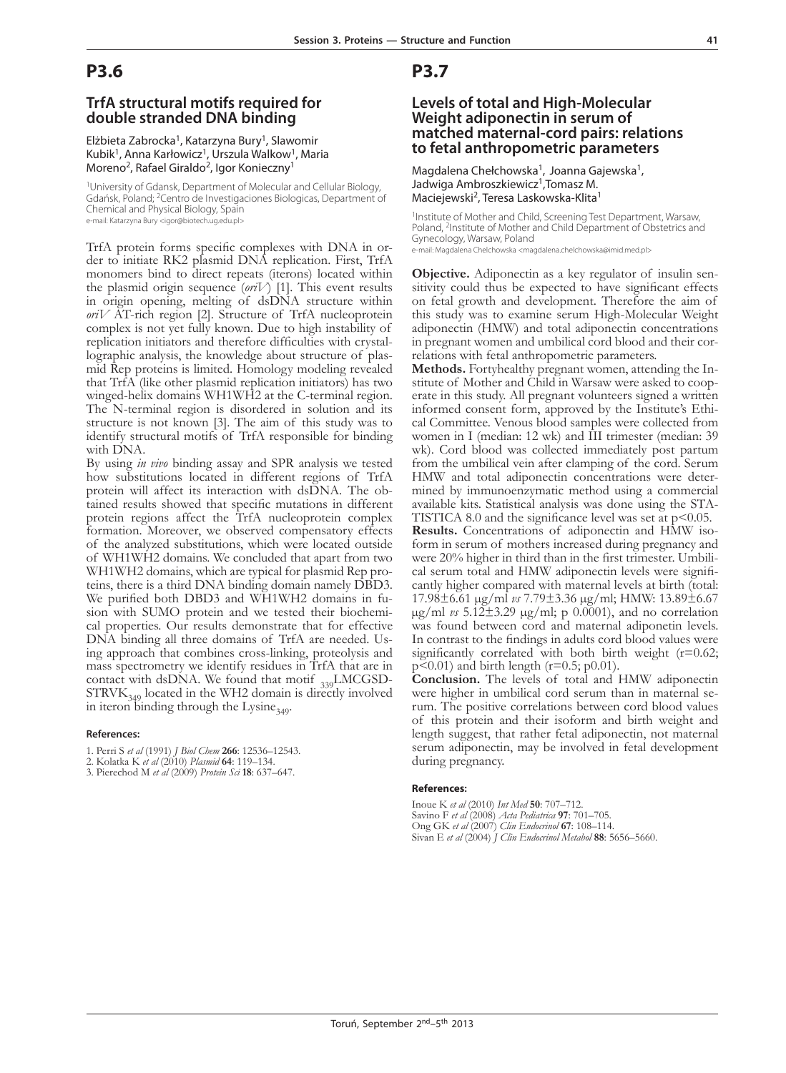### **TrfA structural motifs required for double stranded DNA binding**

Elżbieta Zabrocka<sup>1</sup>, Katarzyna Bury<sup>1</sup>, Slawomir Kubik<sup>1</sup>, Anna Karłowicz<sup>1</sup>, Urszula Walkow<sup>1</sup>, Maria Moreno<sup>2</sup>, Rafael Giraldo<sup>2</sup>, Igor Konieczny<sup>1</sup>

<sup>1</sup>University of Gdansk, Department of Molecular and Cellular Biology Gdańsk, Poland; 2Centro de Investigaciones Biologicas, Department of Chemical and Physical Biology, Spain

e-mail: Katarzyna Bury <igor@biotech.ug.edu.pl>

TrfA protein forms specific complexes with DNA in or- der to initiate RK2 plasmid DNA replication. First, TrfA monomers bind to direct repeats (iterons) located within the plasmid origin sequence (*oriV*) [1]. This event results in origin opening, melting of dsDNA structure within *oriV* AT-rich region [2]. Structure of TrfA nucleoprotein complex is not yet fully known. Due to high instability of replication initiators and therefore difficulties with crystal- lographic analysis, the knowledge about structure of plas- mid Rep proteins is limited. Homology modeling revealed that TrfA (like other plasmid replication initiators) has two winged-helix domains WH1WH2 at the C-terminal region. The N-terminal region is disordered in solution and its structure is not known [3]. The aim of this study was to identify structural motifs of TrfA responsible for binding with DNA.

By using *in vivo* binding assay and SPR analysis we tested how substitutions located in different regions of TrfA protein will affect its interaction with dsDNA. The obtained results showed that specific mutations in different protein regions affect the TrfA nucleoprotein complex formation. Moreover, we observed compensatory effects of the analyzed substitutions, which were located outside of WH1WH2 domains. We concluded that apart from two WH1WH2 domains, which are typical for plasmid Rep proteins, there is a third DNA binding domain namely DBD3. We purified both DBD3 and WH1WH2 domains in fusion with SUMO protein and we tested their biochemical properties. Our results demonstrate that for effective DNA binding all three domains of TrfA are needed. Using approach that combines cross-linking, proteolysis and mass spectrometry we identify residues in TrfA that are in contact with dsDNA. We found that motif  $_{339}$ LMCGSD-STRVK $_{349}$  located in the WH2 domain is directly involved in iteron binding through the Lysine $_{349}$ .

#### **References:**

- 1. Perri S *et al* (1991) *J Biol Chem* **266**: 12536–12543.
- 2. Kolatka K *et al* (2010) *Plasmid* **64**: 119–134.
- 3. Pierechod M *et al* (2009) *Protein Sci* **18**: 637–647.

### **P3.7**

### **Levels of total and High-Molecular Weight adiponectin in serum of matched maternal-cord pairs: relations to fetal anthropometric parameters**

Magdalena Chełchowska<sup>1</sup>, Joanna Gajewska<sup>1</sup>, Jadwiga Ambroszkiewicz<sup>1</sup>, Tomasz M. Maciejewski<sup>2</sup>, Teresa Laskowska-Klita<sup>1</sup>

<sup>1</sup>Institute of Mother and Child, Screening Test Department, Warsaw, Poland, <sup>2</sup>Institute of Mother and Child Department of Obstetrics and Gynecology, Warsaw, Poland e-mail: Magdalena Chelchowska <magdalena.chelchowska@imid.med.pl>

**Objective.** Adiponectin as a key regulator of insulin sensitivity could thus be expected to have significant effects on fetal growth and development. Therefore the aim of this study was to examine serum High-Molecular Weight adiponectin (HMW) and total adiponectin concentrations in pregnant women and umbilical cord blood and their cor- relations with fetal anthropometric parameters.

**Methods.** Fortyhealthy pregnant women, attending the Institute of Mother and Child in Warsaw were asked to cooperate in this study. All pregnant volunteers signed a written informed consent form, approved by the Institute's Ethi- cal Committee. Venous blood samples were collected from women in I (median: 12 wk) and III trimester (median: 39 wk). Cord blood was collected immediately post partum from the umbilical vein after clamping of the cord. Serum HMW and total adiponectin concentrations were deter- mined by immunoenzymatic method using a commercial TISTICA 8.0 and the significance level was set at  $p<0.05$ .

**Results.** Concentrations of adiponectin and HMW isoform in serum of mothers increased during pregnancy and were 20% higher in third than in the first trimester. Umbilical serum total and HMW adiponectin levels were significantly higher compared with maternal levels at birth (total: 17.98±6.61 µg/ml *vs* 7.79±3.36 µg/ml; HMW: 13.89±6.67 µg/ml *vs* 5.12±3.29 µg/ml; p 0.0001), and no correlation was found between cord and maternal adiponetin levels. In contrast to the findings in adults cord blood values were significantly correlated with both birth weight  $(r=0.62;$  $p \le 0.01$ ) and birth length (r=0.5; p0.01).

**Conclusion.** The levels of total and HMW adiponectin were higher in umbilical cord serum than in maternal serum. The positive correlations between cord blood values of this protein and their isoform and birth weight and length suggest, that rather fetal adiponectin, not maternal serum adiponectin, may be involved in fetal development during pregnancy.

#### **References:**

Inoue K *et al* (2010) *Int Med* **50**: 707–712. Savino F *et al* (2008) *Acta Pediatrica* **97**: 701–705. Ong GK *et al* (2007) *Clin Endocrinol* **67**: 108–114. Sivan E *et al* (2004) *J Clin Endocrinol Metabol* **88**: 5656–5660.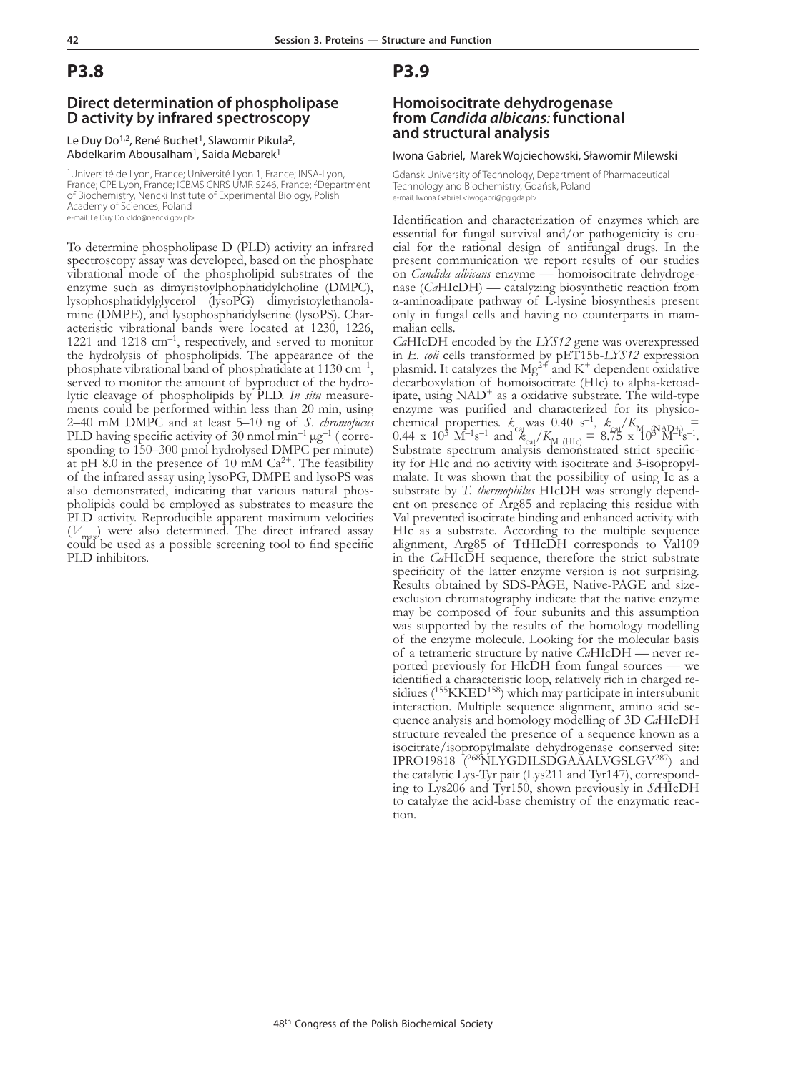### **Direct determination of phospholipase D activity by infrared spectroscopy**

Le Duy Do<sup>1,2</sup>, René Buchet<sup>1</sup>, Slawomir Pikula<sup>2</sup>, Abdelkarim Abousalham<sup>1</sup>, Saida Mebarek<sup>1</sup>

<sup>1</sup>Université de Lyon, France; Université Lyon 1, France; INSA-Lyon, France; CPE Lyon, France; ICBMS CNRS UMR 5246, France; <sup>2</sup>Department of Biochemistry, Nencki Institute of Experimental Biology, Polish Academy of Sciences, Poland e-mail: Le Duy Do <ldo@nencki.gov.pl>

To determine phospholipase D (PLD) activity an infrared spectroscopy assay was developed, based on the phosphate vibrational mode of the phospholipid substrates of the enzyme such as dimyristoylphophatidylcholine (DMPC), lysophosphatidylglycerol (lysoPG) dimyristoylethanola- mine (DMPE), and lysophosphatidylserine (lysoPS). Char- acteristic vibrational bands were located at 1230, 1226, 1221 and 1218 cm<sup>-1</sup>, respectively, and served to monitor the hydrolysis of phospholipids. The appearance of the phosphate vibrational band of phosphatidate at  $1130 \text{ cm}^{-1}$ , served to monitor the amount of byproduct of the hydro-lytic cleavage of phospholipids by PLD. *In situ* measurements could be performed within less than 20 min, using 2–40 mM DMPC and at least 5–10 ng of *S. chromofucus*  PLD having specific activity of 30 nmol  $min^{-1} \mu g^{-1}$  (corresponding to 150–300 pmol hydrolysed DMPC per minute) at pH 8.0 in the presence of 10 mM  $Ca^{2+}$ . The feasibility of the infrared assay using lysoPG, DMPE and lysoPS was also demonstrated, indicating that various natural phospholipids could be employed as substrates to measure the PLD activity. Reproducible apparent maximum velocities  $(V_{\text{max}})$  were also determined. The direct infrared assay could be used as a possible screening tool to find specific PLD inhibitors.

## **P3.9**

### **Homoisocitrate dehydrogenase from** *Candida albicans:* **functional and structural analysis**

#### Iwona Gabriel, Marek Wojciechowski, Sławomir Milewski

Gdansk University of Technology, Department of Pharmaceutical Technology and Biochemistry, Gdańsk, Poland e-mail: Iwona Gabriel <iwogabri@pg.gda.pl>

Identification and characterization of enzymes which are essential for fungal survival and/or pathogenicity is cru- cial for the rational design of antifungal drugs. In the present communication we report results of our studies on *Candida albicans* enzyme — homoisocitrate dehydroge- nase (*Ca*HIcDH) — catalyzing biosynthetic reaction from α-aminoadipate pathway of L-lysine biosynthesis present only in fungal cells and having no counterparts in mam- malian cells.

*Ca*HIcDH encoded by the *LYS12* gene was overexpressed in *E. coli* cells transformed by pET15b-*LYS12* expression plasmid. It catalyzes the Mg<sup>2+</sup> and K<sup>+</sup> dependent oxidative decarboxylation of homoisocitrate (HIc) to alpha-ketoadipate, using  $NAD^+$  as a oxidative substrate. The wild-type enzyme was purified and characterized for its physicochemical properties.  $k_{\text{cat}}$  was 0.40 s<sup>-1</sup>,  $k_{\text{cat}}/K_{\text{M}}$  (NAD+) = 0.44 x 10<sup>3</sup> M<sup>-1</sup>s<sup>-1</sup> and  $k_{\text{cat}}/K_{\text{M}}$  (HIc) = 8.75 x 10<sup>3</sup> M<sup>-1</sup>s<sup>-1</sup>. Substrate spectrum analysis demonstrated strict specificity for HIc and no activity with isocitrate and 3-isopropylmalate. It was shown that the possibility of using Ic as a substrate by *T. thermophilus* HIcDH was strongly dependent on presence of Arg85 and replacing this residue with Val prevented isocitrate binding and enhanced activity with HIc as a substrate. According to the multiple sequence alignment, Arg85 of TtHIcDH corresponds to Val109 in the *Ca*HIcDH sequence, therefore the strict substrate specificity of the latter enzyme version is not surprising. Results obtained by SDS-PAGE, Native-PAGE and sizeexclusion chromatography indicate that the native enzyme may be composed of four subunits and this assumption was supported by the results of the homology modelling of the enzyme molecule. Looking for the molecular basis of a tetrameric structure by native  $CaHICDH$  — never reported previously for HlcDH from fungal sources — we<br>identified a characteristic loop, relatively rich in charged residiues  $(^{155}$ KKED<sup>158</sup>) which may participate in intersubunit interaction. Multiple sequence alignment, amino acid se- quence analysis and homology modelling of 3D *Ca*HIcDH structure revealed the presence of a sequence known as a isocitrate/isopropylmalate dehydrogenase conserved site: IPRO19818 <sup>268</sup>NLYGDILSDGAAALVGSLGV<sup>287</sup>) and the catalytic Lys-Tyr pair (Lys211 and Tyr147), corresponding to Lys206 and Tyr150, shown previously in *Sc*HIcDH to catalyze the acid-base chemistry of the enzymatic reaction.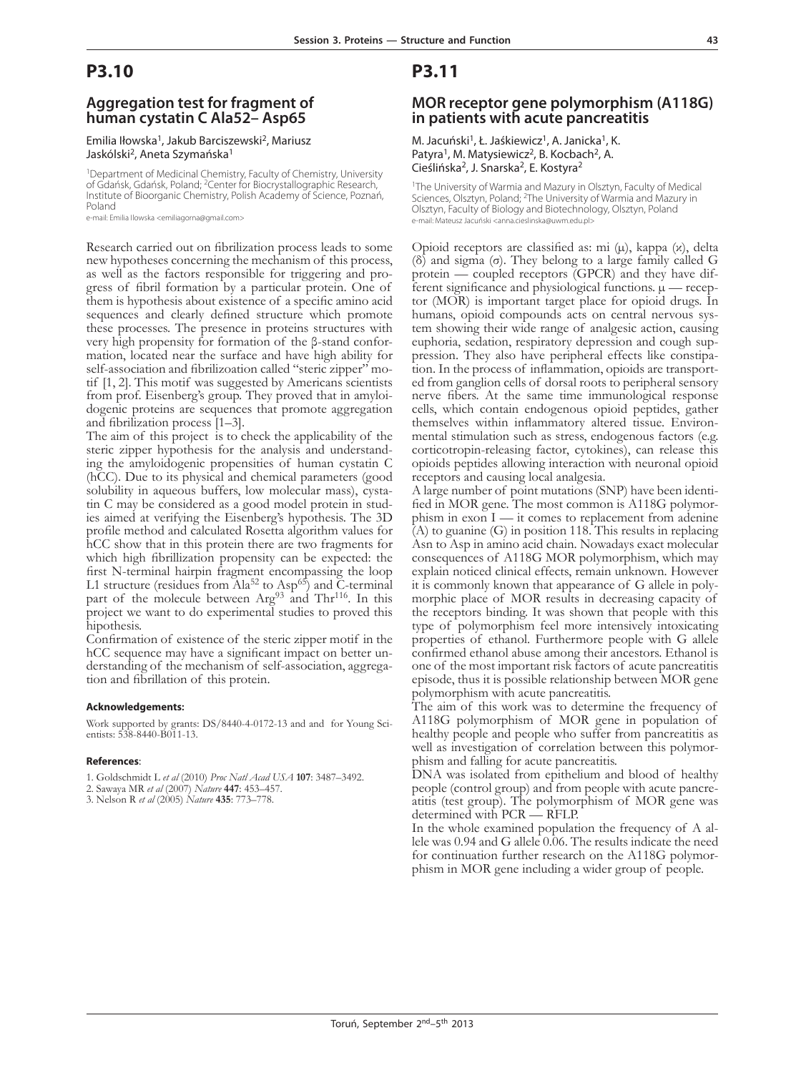### **Aggregation test for fragment of human cystatin C Ala52– Asp65**

#### Emilia Iłowska<sup>1</sup>, Jakub Barciszewski<sup>2</sup>, Mariusz Jaskólski<sup>2</sup>, Aneta Szymańska<sup>1</sup>

<sup>1</sup>Department of Medicinal Chemistry, Faculty of Chemistry, University of Gdańsk, Gdańsk, Poland; 2Center for Biocrystallographic Research, Institute of Bioorganic Chemistry, Polish Academy of Science, Poznań, Poland

e-mail: Emilia Ilowska <emiliagorna@gmail.com>

Research carried out on fibrilization process leads to some new hypotheses concerning the mechanism of this process, as well as the factors responsible for triggering and progress of fibril formation by a particular protein. One of them is hypothesis about existence of a specific amino acid sequences and clearly defined structure which promote these processes. The presence in proteins structures with very high propensity for formation of the  $\beta$ -stand conformation, located near the surface and have high ability for self-association and fibrilizoation called "steric zipper" motif  $[1, 2]$ . This motif was suggested by Americans scientists from prof. Eisenberg's group. They proved that in amyloi- dogenic proteins are sequences that promote aggregation and fibrilization process [1–3].

The aim of this project is to check the applicability of the steric zipper hypothesis for the analysis and understanding the amyloidogenic propensities of human cystatin C (hCC). Due to its physical and chemical parameters (good tin C may be considered as a good model protein in stud-<br>ies aimed at verifying the Eisenberg's hypothesis. The 3D profile method and calculated Rosetta algorithm values for hCC show that in this protein there are two fragments for which high fibrillization propensity can be expected: the first N-terminal hairpin fragment encompassing the loop L1 structure (residues from Ala<sup>52</sup> to Asp<sup>65</sup>) and C-terminal part of the molecule between  $Arg^{93}$  and Thr<sup>116</sup>. In this project we want to do experimental studies to proved this hipothesis.

Confirmation of existence of the steric zipper motif in the hCC sequence may have a significant impact on better understanding of the mechanism of self-association, aggregation and fibrillation of this protein.

#### **Acknowledgements:**

Work supported by grants: DS/8440-4-0172-13 and and for Young Scientists: 538-8440-B011-13.

#### **References**:

1. Goldschmidt L *et al* (2010) *Proc Natl Acad USA* **107**: 3487–3492.

2. Sawaya MR *et al* (2007) *Nature* **447**: 453–457.

3. Nelson R *et al* (2005) *Nature* **435**: 773–778.

## **P3.11**

# **MOR receptor gene polymorphism (A118G) in patients with acute pancreatitis**

M. Jacuński<sup>1</sup>, Ł. Jaśkiewicz<sup>1</sup>, A. Janicka<sup>1</sup>, K. Patyra<sup>1</sup>, M. Matysiewicz<sup>2</sup>, B. Kocbach<sup>2</sup>, A. Cieślińska2, J. Snarska2, E. Kostyra2

<sup>1</sup>The University of Warmia and Mazury in Olsztyn, Faculty of Medical Sciences, Olsztyn, Poland; <sup>2</sup>The University of Warmia and Mazury in Olsztyn, Faculty of Biology and Biotechnology, Olsztyn, Poland e-mail: Mateusz Jacuński <anna.cieslinska@uwm.edu.pl>

Opioid receptors are classified as: mi (µ), kappa (κ), delta (δ) and sigma (σ). They belong to a large family called G protein — coupled receptors (GPCR) and they have different significance and physiological functions.  $\mu$  — receptor (MOR) is important target place for opioid drugs. In humans, opioid compounds acts on central nervous system showing their wide range of analgesic action, causing euphoria, sedation, respiratory depression and cough suppression. They also have peripheral effects like constipation. In the process of inflammation, opioids are transported from ganglion cells of dorsal roots to peripheral sensory nerve fibers. At the same time immunological response cells, which contain endogenous opioid peptides, gather mental stimulation such as stress, endogenous factors (e.g. corticotropin-releasing factor, cytokines), can release this opioids peptides allowing interaction with neuronal opioid

receptors and causing local analgesia.<br>A large number of point mutations (SNP) have been identified in MOR gene. The most common is A118G polymorphism in exon I — it comes to replacement from adenine  $(A)$  to guanine  $(G)$  in position 118. This results in replacing Asn to Asp in amino acid chain. Nowadays exact molecular consequences of A118G MOR polymorphism, which may explain noticed clinical effects, remain unknown. However it is commonly known that appearance of G allele in polymorphic place of MOR results in decreasing capacity of the receptors binding. It was shown that people with this type of polymorphism feel more intensively intoxicating properties of ethanol. Furthermore people with G allele confirmed ethanol abuse among their ancestors. Ethanol is one of the most important risk factors of acute pancreatitis episode, thus it is possible relationship between MOR gene polymorphism with acute pancreatitis.

The aim of this work was to determine the frequency of A118G polymorphism of MOR gene in population of healthy people and people who suffer from pancreatitis as well as investigation of correlation between this polymorphism and falling for acute pancreatitis.

DNA was isolated from epithelium and blood of healthy people (control group) and from people with acute pancreatitis (test group). The polymorphism of MOR gene was determined with PCR — RFLP.

In the whole examined population the frequency of A allele was 0.94 and G allele 0.06. The results indicate the need for continuation further research on the A118G polymorphism in MOR gene including a wider group of people.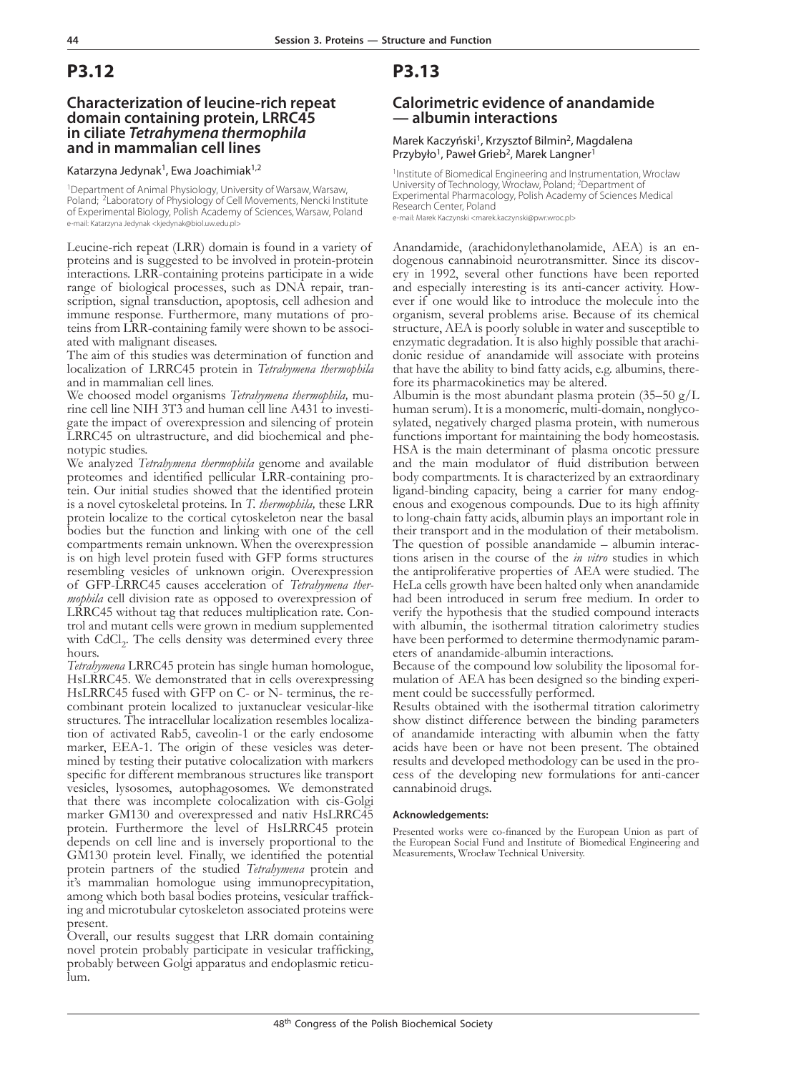## **Characterization of leucine-rich repeat domain containing protein, LRRC45 in ciliate** *Tetrahymena thermophila* **and in mammalian cell lines**

#### Katarzyna Jedynak<sup>1</sup>, Ewa Joachimiak<sup>1,2</sup>

1Department of Animal Physiology, University of Warsaw, Warsaw, Poland; <sup>2</sup>Laboratory of Physiology of Cell Movements, Nencki Institute of Experimental Biology, Polish Academy of Sciences, Warsaw, Poland e-mail: Katarzyna Jedynak <kjedynak@biol.uw.edu.pl>

Leucine-rich repeat (LRR) domain is found in a variety of proteins and is suggested to be involved in protein-protein interactions. LRR-containing proteins participate in a wide scription, signal transduction, apoptosis, cell adhesion and immune response. Furthermore, many mutations of proteins from LRR-containing family were shown to be associated with malignant diseases.

The aim of this studies was determination of function and localization of LRRC45 protein in *Tetrahymena thermophila* and in mammalian cell lines.

We choosed model organisms *Tetrahymena thermophila*, mu-<br>rine cell line NIH 3T3 and human cell line A431 to investi-<br>gate the impact of overexpression and silencing of protein LRRC45 on ultrastructure, and did biochemical and phe-notypic studies.

We analyzed *Tetrahymena thermophila* genome and available proteomes and identified pellicular LRR-containing pro- tein. Our initial studies showed that the identified protein is a novel cytoskeletal proteins. In *T. thermophila,* these LRR protein localize to the cortical cytoskeleton near the basal bodies but the function and linking with one of the cell compartments remain unknown. When the overexpression is on high level protein fused with GFP forms structures resembling vesicles of unknown origin. Overexpression of GFP-LRRC45 causes acceleration of *Tetrahymena thermophila* cell division rate as opposed to overexpression of LRRC45 without tag that reduces multiplication rate. Control and mutant cells were grown in medium supplemented with  $\text{CdCl}_2$ . The cells density was determined every three hours.

*Tetrahymena* LRRC45 protein has single human homologue, HsLRRC45. We demonstrated that in cells overexpressing<br>HsLRRC45 fused with GFP on C- or N- terminus, the recombinant protein localized to juxtanuclear vesicular-like structures. The intracellular localization resembles localization of activated Rab5, caveolin-1 or the early endosome marker, EEA-1. The origin of these vesicles was determined by testing their putative colocalization with markers specific for different membranous structures like transport vesicles, lysosomes, autophagosomes. We demonstrated that there was incomplete colocalization with cis-Golgi marker GM130 and overexpressed and nativ HsLRRC45 protein. Furthermore the level of HsLRRC45 protein depends on cell line and is inversely proportional to the GM130 protein level. Finally, we identified the potential protein partners of the studied *Tetrahymena* protein and it's mammalian homologue using immunoprecypitation, among which both basal bodies proteins, vesicular trafficking and microtubular cytoskeleton associated proteins were present.

Overall, our results suggest that LRR domain containing novel protein probably participate in vesicular trafficking, probably between Golgi apparatus and endoplasmic reticulum.

## **P3.13**

### **Calorimetric evidence of anandamide — albumin interactions**

#### Marek Kaczyński<sup>1</sup>, Krzysztof Bilmin<sup>2</sup>, Magdalena Przybyło<sup>1</sup>, Paweł Grieb<sup>2</sup>, Marek Langner<sup>1</sup>

1Institute of Biomedical Engineering and Instrumentation, Wrocław University of Technology, Wrocław, Poland; 2Department of Experimental Pharmacology, Polish Academy of Sciences Medical Research Center, Poland e-mail: Marek Kaczynski <marek.kaczynski@pwr.wroc.pl>

Anandamide, (arachidonylethanolamide, AEA) is an en-<br>dogenous cannabinoid neurotransmitter. Since its discov-<br>ery in 1992, several other functions have been reported<br>and especially interesting is its anti-cancer activity. ever if one would like to introduce the molecule into the organism, several problems arise. Because of its chemical structure, AEA is poorly soluble in water and susceptible to enzymatic degradation. It is also highly possible that arachidonic residue of anandamide will associate with proteins that have the ability to bind fatty acids, e.g. albumins, there- fore its pharmacokinetics may be altered.

Albumin is the most abundant plasma protein  $(35-50 \text{ g/L})$ <br>human serum). It is a monomeric, multi-domain, nonglycosylated, negatively charged plasma protein, with numerous functions important for maintaining the body homeostasis. HSA is the main determinant of plasma oncotic pressure and the main modulator of fluid distribution between body compartments. It is characterized by an extraordinary ligand-binding capacity, being a carrier for many endog- enous and exogenous compounds. Due to its high affinity to long-chain fatty acids, albumin plays an important role in their transport and in the modulation of their metabolism. The question of possible anandamide – albumin interactions arisen in the course of the *in vitro* studies in which the antiproliferative properties of AEA were studied. The HeLa cells growth have been halted only when anandamide had been introduced in serum free medium. In order to verify the hypothesis that the studied compound interacts with albumin, the isothermal titration calorimetry studies have been performed to determine thermodynamic parameters of anandamide-albumin interactions.

Because of the compound low solubility the liposomal formulation of AEA has been designed so the binding experiment could be successfully performed.

Results obtained with the isothermal titration calorimetry show distinct difference between the binding parameters of anandamide interacting with albumin when the fatty acids have been or have not been present. The obtained results and developed methodology can be used in the process of the developing new formulations for anti-cancer cannabinoid drugs.

#### **Acknowledgements:**

Presented works were co-financed by the European Union as part of the European Social Fund and Institute of Biomedical Engineering and Measurements, Wrocław Technical University.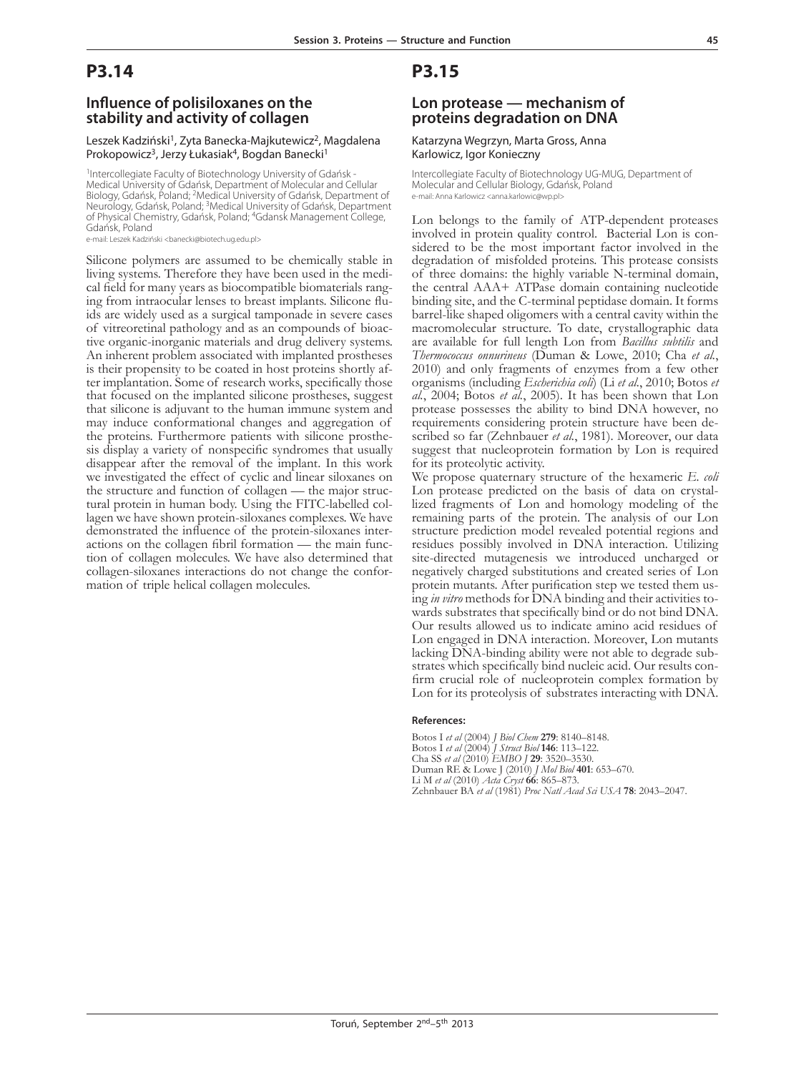### **Influence of polisiloxanes on the stability and activity of collagen**

#### Leszek Kadziński<sup>1</sup>, Zyta Banecka-Majkutewicz<sup>2</sup>, Magdalena Prokopowicz<sup>3</sup>, Jerzy Łukasiak<sup>4</sup>, Bogdan Banecki<sup>1</sup>

<sup>1</sup>Intercollegiate Faculty of Biotechnology University of Gdańsk -Medical University of Gdańsk, Department of Molecular and Cellular Biology, Gdańsk, Poland; <sup>2</sup>Medical University of Gdańsk, Department of Neurology, Gdańsk, Poland; 3Medical University of Gdańsk, Department of Physical Chemistry, Gdańsk, Poland; 4Gdansk Management College, Gdańsk, Poland

e-mail: Leszek Kadziński <br/>banecki@biotech.ug.edu.pl>

Silicone polymers are assumed to be chemically stable in living systems. Therefore they have been used in the medical field for many years as biocompatible biomaterials ranging from intraocular lenses to breast implants. Silicone fluids are widely used as a surgical tamponade in tive organic-inorganic materials and drug delivery systems. An inherent problem associated with implanted prostheses is their propensity to be coated in host proteins shortly after implantation. Some of research works, specifically those that focused on the implanted silicone prostheses, suggest that silicone is adjuvant to the human immune system and may induce conformational changes and aggregation of the proteins. Furthermore patients with silicone prosthethe proteins. Furthermore patients with silicone prosthe- sis display a variety of nonspecific syndromes that usually disappear after the removal of the implant. In this work we investigated the effect of cyclic and linear siloxanes on the structure and function of collagen — the major structural protein in human body. Using the FITC-labelled collagen we have shown protein-siloxanes complexes. We have demonstrated the influence of the protein-siloxanes interactions on the collagen fibril formation — the main function of collagen molecules. We have also determined that collagen-siloxanes interactions do not change the conformation of triple helical collagen molecules.

**P3.15**

### **Lon protease — mechanism of proteins degradation on DNA**

#### Katarzyna Wegrzyn, Marta Gross, Anna Karlowicz, Igor Konieczny

Intercollegiate Faculty of Biotechnology UG-MUG, Department of Molecular and Cellular Biology, Gdańsk, Poland e-mail: Anna Karlowicz <anna.karlowic@wp.pl>

Lon belongs to the family of ATP-dependent proteases involved in protein quality control. Bacterial Lon is con- sidered to be the most important factor involved in the degradation of misfolded proteins. This protease consists of three domains: the highly variable N-terminal domain, the central AAA+ ATPase domain containing nucleotide binding site, and the C-terminal peptidase domain. It forms barrel-like shaped oligomers with a central cavity within the macromolecular structure. To date, crystallographic data are available for full length Lon from *Bacillus subtilis* and *Thermococcus onnurineus* (Duman & Lowe, 2010; Cha *et al.*, 2010) and only fragments of enzymes from a few other organisms (including *Escherichia coli*) (Li *et al.*, 2010; Botos *et al.*, 2004; Botos *et al.*, 2005). It has been shown that Lon protease possesses the ability to bind DNA however, no scribed so far (Zehnbauer et al., 1981). Moreover, our data suggest that nucleoprotein formation by Lon is required for its proteolytic activity.

We propose quaternary structure of the hexameric *E. coli* Lon protease predicted on the basis of data on crystallized fragments of Lon and homology modeling of the remaining parts of the protein. The analysis of our Lon structure prediction model revealed potential regions and residues possibly involved in DNA interaction. Utilizing site-directed mutagenesis we introduced uncharged or negatively charged substitutions and created series of Lon protein mutants. After purification step we tested them using *in vitro* methods for DNA binding and their activities towards substrates that specifically bind or do not bind DNA. Our results allowed us to indicate amino acid residues of Lon engaged in DNA interaction. Moreover, Lon mutants lacking DNA-binding ability were not able to degrade substrates which specifically bind nucleic acid. Our results confirm crucial role of nucleoprotein complex formation by Lon for its proteolysis of substrates interacting with DNA.

#### **References:**

Botos I *et al* (2004) *J Biol Chem* **279**: 8140–8148. Botos I *et al* (2004) *J Struct Biol* **146**: 113–122. Cha SS *et al* (2010) *EMBO J* **29**: 3520–3530. Duman RE & Lowe J (2010) *J Mol Biol* **401**: 653–670. Li M *et al* (2010) *Acta Cryst* **66**: 865–873. Zehnbauer BA *et al* (1981) *Proc Natl Acad Sci USA* **78**: 2043–2047.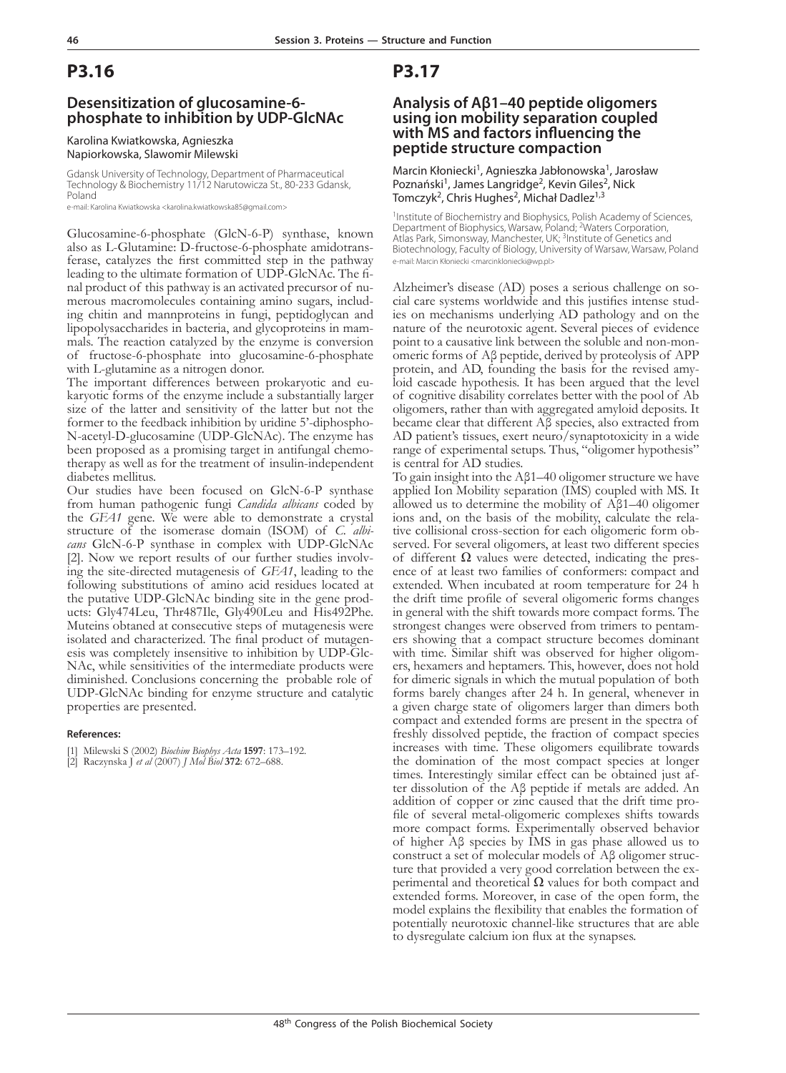## **Desensitization of glucosamine-6 phosphate to inhibition by UDP-GlcNAc**

#### Karolina Kwiatkowska, Agnieszka Napiorkowska, Slawomir Milewski

Gdansk University of Technology, Department of Pharmaceutical Technology & Biochemistry 11/12 Narutowicza St., 80-233 Gdansk, Poland

e-mail: Karolina Kwiatkowska <karolina.kwiatkowska85@gmail.com>

Glucosamine-6-phosphate (GlcN-6-P) synthase, known also as L-Glutamine: D-fructose-6-phosphate amidotrans- ferase, catalyzes the first committed step in the pathway leading to the ultimate formation of UDP-GlcNAc. The final product of this pathway is an activated precursor of numerous macromolecules containing amino sugars, including chitin and mannproteins in fungi, peptidoglycan and mals. The reaction catalyzed by the enzyme is conversion of fructose-6-phosphate into glucosamine-6-phosphate with L-glutamine as a nitrogen donor.<br>The important differences between prokaryotic and eu-

karyotic forms of the enzyme include a substantially larger size of the latter and sensitivity of the latter but not the former to the feedback inhibition by uridine 5'-diphospho-N-acetyl-D-glucosamine (UDP-GlcNAc). The enzyme has therapy as well as for the treatment of insulin-independent diabetes mellitus.

Our studies have been focused on GlcN-6-P synthase from human pathogenic fungi *Candida albicans* coded by the *GFA1* gene. We were able to demonstrate a crystal structure of the isomerase domain (ISOM) of *C. albicans* GlcN-6-P synthase in complex with UDP-GlcNAc [2]. Now we report results of our further studies involving the site-directed mutagenesis of *GFA1*, leading to the following substitutions of amino acid residues located at the putative UDP-GlcNAc binding site in the gene products: Gly474Leu, Thr487Ile, Gly490Leu and His492Phe. Muteins obtaned at consecutive steps of mutagenesis were isolated and characterized. The final product of mutagenesis was completely insensitive to inhibition by UDP-Glc-NAc, while sensitivities of the intermediate products were diminished. Conclusions concerning the probable role of UDP-GlcNAc binding for enzyme structure and catalytic properties are presented.

### **References:**

[1] Milewski S (2002) *Biochim Biophys Acta* **1597**: 173–192. [2] Raczynska J *et al* (2007) *J Mol Biol* **372**: 672–688.

## **P3.17**

## **Analysis of Aβ1–40 peptide oligomers using ion mobility separation coupled with ms and factors influencing the peptide structure compaction**

Marcin Kłoniecki<sup>1</sup>, Agnieszka Jabłonowska<sup>1</sup>, Jarosław Poznański<sup>1</sup>, James Langridge<sup>2</sup>, Kevin Giles<sup>2</sup>, Nick Tomczyk<sup>2</sup>, Chris Hughes<sup>2</sup>, Michał Dadlez<sup>1,3</sup>

<sup>1</sup>Institute of Biochemistry and Biophysics, Polish Academy of Sciences, Department of Biophysics, Warsaw, Poland; <sup>2</sup>Waters Corporation, Atlas Park, Simonsway, Manchester, UK; 3Institute of Genetics and Biotechnology, Faculty of Biology, University of Warsaw, Warsaw, Poland e-mail: Marcin Kłoniecki <marcinkloniecki@wp.pl>

Alzheimer's disease (AD) poses a serious challenge on so- cial care systems worldwide and this justifies intense stud- ies on mechanisms underlying AD pathology and on the nature of the neurotoxic agent. Several pieces of evidence point to a causative link between the soluble and non-mon-<br>omeric forms of  $\beta\beta$  peptide, derived by proteolysis of APP<br>protein, and AD, founding the basis for the revised amy- $\overline{\text{loid}}$  cascade hypothesis. It has been argued that the level of cognitive disability correlates better with the pool of Ab oligomers, rather than with aggregated amyloid deposits. It became clear that different Aβ species, also extracted from AD patient's tissues, exert neuro/synaptotoxicity in a wide range of experimental setups. Thus, "oligomer hypothesis" is central for AD studies.

To gain insight into the Aβ1–40 oligomer structure we have applied Ion Mobility separation (IMS) coupled with MS. It allowed us to determine the mobility of Aβ1–40 oligomer ions and, on the basis of the mobility, calculate the relative collisional cross-section for each oligomeric form observed. For several oligomers, at least two different species of different  $\Omega$  values were detected, indicating the presence of at least two families of conformers: compact and extended. When incubated at room temperature for 24 h the drift time profile of several oligomeric forms changes in general with the shift towards more compact forms. The strongest changes were observed from trimers to pentamers showing that a compact structure becomes dominant with time. Similar shift was observed for higher oligomers, hexamers and heptamers. This, however, does not hold for dimeric signals in which the mutual population of both forms barely changes after 24 h. In general, whenever in a given charge state of oligomers larger than dimers both compact and extended forms are present in the spectra of freshly dissolved peptide, the fraction of compact species increases with time. These oligomers equilibrate towards the domination of the most compact species at longer times. Interestingly similar effect can be obtained just after dissolution of the Aβ peptide if metals are added. An addition of copper or zinc caused that the drift time profile of several metal-oligomeric complexes shifts towards more compact forms. Experimentally observed behavior of higher Aβ species by IMS in gas phase allowed us to construct a set of molecular models of Aβ oligomer structure that provided a very good correlation between the ex-<br>perimental and theoretical  $Ω$  values for both compact and extended forms. Moreover, in case of the open form, the model explains the flexibility that enables the formation of potentially neurotoxic channel-like structures that are able to dysregulate calcium ion flux at the synapses.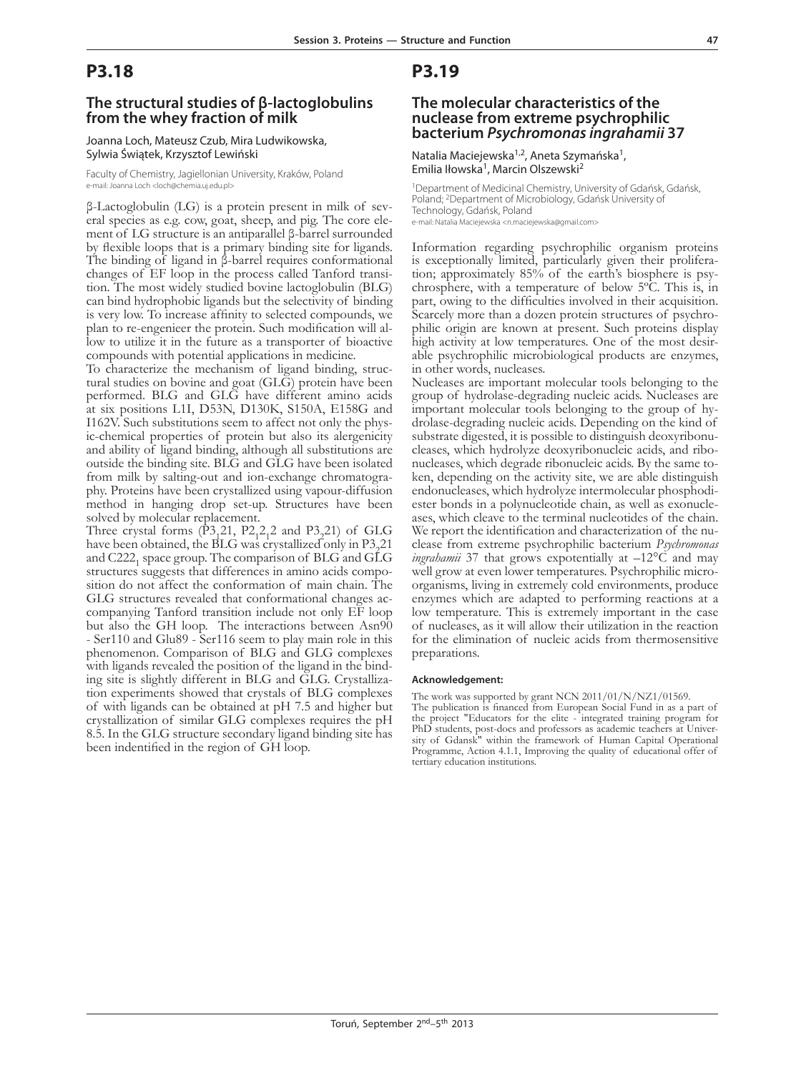### **The structural studies of β-lactoglobulins from the whey fraction of milk**

#### Joanna Loch, Mateusz Czub, Mira Ludwikowska, Sylwia Świątek, Krzysztof Lewiński

Faculty of Chemistry, Jagiellonian University, Kraków, Poland e-mail: Joanna Loch <loch@chemia.uj.edu.pl>

β-Lactoglobulin (LG) is a protein present in milk of sev- eral species as e.g. cow, goat, sheep, and pig. The core ele- ment of LG structure is an antiparallel β-barrel surrounded by flexible loops that is a primary binding site for ligands. The binding of ligand in β-barrel requires conformational changes of EF loop in the process called Tanford transi- tion. The most widely studied bovine lactoglobulin (BLG) can bind hydrophobic ligands but the selectivity of binding is very low. To increase affinity to selected compounds, we plan to re-engenieer the protein. Such modification will allow to utilize it in the future as a transporter of bioactive compounds with potential applications in medicine.

To characterize the mechanism of ligand binding, struc- tural studies on bovine and goat (GLG) protein have been performed. BLG and GLG have different amino acids at six positions L1I, D53N, D130K, S150A, E158G and I162V. Such substitutions seem to affect not only the physic-chemical properties of protein but also its alergenicity and ability of ligand binding, although all substitutions are outside the binding site. BLG and GLG have been isolated from milk by salting-out and ion-exchange chromatogra- phy. Proteins have been crystallized using vapour-diffusion method in hanging drop set-up. Structures have been solved by molecular replacement.

Three crystal forms  $(\overline{P}3, 21, P2, 2, 2, 2, and P3, 21)$  of GLG have been obtained, the BLG was crystallized only in P3.21 and  $C222<sub>1</sub>$  space group. The comparison of BLG and GLG structures suggests that differences in amino acids composition do not affect the conformation of main chain. The GLG structures revealed that conformational changes accompanying Tanford transition include not only EF loop but also the GH loop. The interactions between Asn90 - Ser110 and Glu89 - Ser116 seem to play main role in this phenomenon. Comparison of BLG and GLG complexes with ligands revealed the position of the ligand in the bind-<br>ing site is slightly different in BLG and GLG. Crystalliza-<br>tion experiments showed that crystals of BLG complexes of with ligands can be obtained at pH 7.5 and higher but crystallization of similar GLG complexes requires the pH 8.5. In the GLG structure secondary ligand binding site has been indentified in the region of GH loop.

## **P3.19**

### **The molecular characteristics of the nuclease from extreme psychrophilic bacterium** *Psychromonas ingrahamii* **37**

Natalia Maciejewska<sup>1,2</sup>, Aneta Szymańska<sup>1</sup>, Emilia Iłowska<sup>1</sup>, Marcin Olszewski<sup>2</sup>

1Department of Medicinal Chemistry, University of Gdańsk, Gdańsk, Poland; 2Department of Microbiology, Gdańsk University of Technology, Gdańsk, Poland e-mail: Natalia Maciejewska <n.maciejewska@gmail.com>

Information regarding psychrophilic organism proteins tion; approximately 85% of the earth's biosphere is psy-<br>chrosphere, with a temperature of below 5°C. This is, in part, owing to the difficulties involved in their acquisition. Scarcely more than a dozen protein structures of psychro-<br>philic origin are known at present. Such proteins display<br>high activity at low temperatures. One of the most desirable psychrophilic microbiological products are enzymes, in other words, nucleases.

Nucleases are important molecular tools belonging to the group of hydrolase-degrading nucleic acids. Nucleases are drolase-degrading nucleic acids. Depending on the kind of substrate digested, it is possible to distinguish deoxyribonucleases, which hydrolyze deoxyribonucleic acids, and ribo-<br>nucleases, which degrade ribonucleic acids. By the same to-<br>ken, depending on the activity site, we are able distinguish<br>endonucleases, which hydrolyze intermolecu ester bonds in a polynucleotide chain, as well as exonucle-<br>ases, which cleave to the terminal nucleotides of the chain. We report the identification and characterization of the nuclease from extreme psychrophilic bacterium *Psychromonas ingrahamii* 37 that grows expotentially at –12°C and may well grow at even lower temperatures. Psychrophilic microorganisms, living in extremely cold environments, produce enzymes which are adapted to performing reactions at a low temperature. This is extremely important in the case of nucleases, as it will allow their utilization in the reaction for the elimination of nucleic acids from thermosensitive preparations.

#### **Acknowledgement:**

The work was supported by grant NCN 2011/01/N/NZ1/01569.

The publication is financed from European Social Fund in as a part of the project "Educators for the elite - integrated training program for PhD students, post-docs and professors as academic teachers at University of Gdansk" within the framework of Human Capital Operational Programme, Action 4.1.1, Improving the quality of educational offer of tertiary education institutions.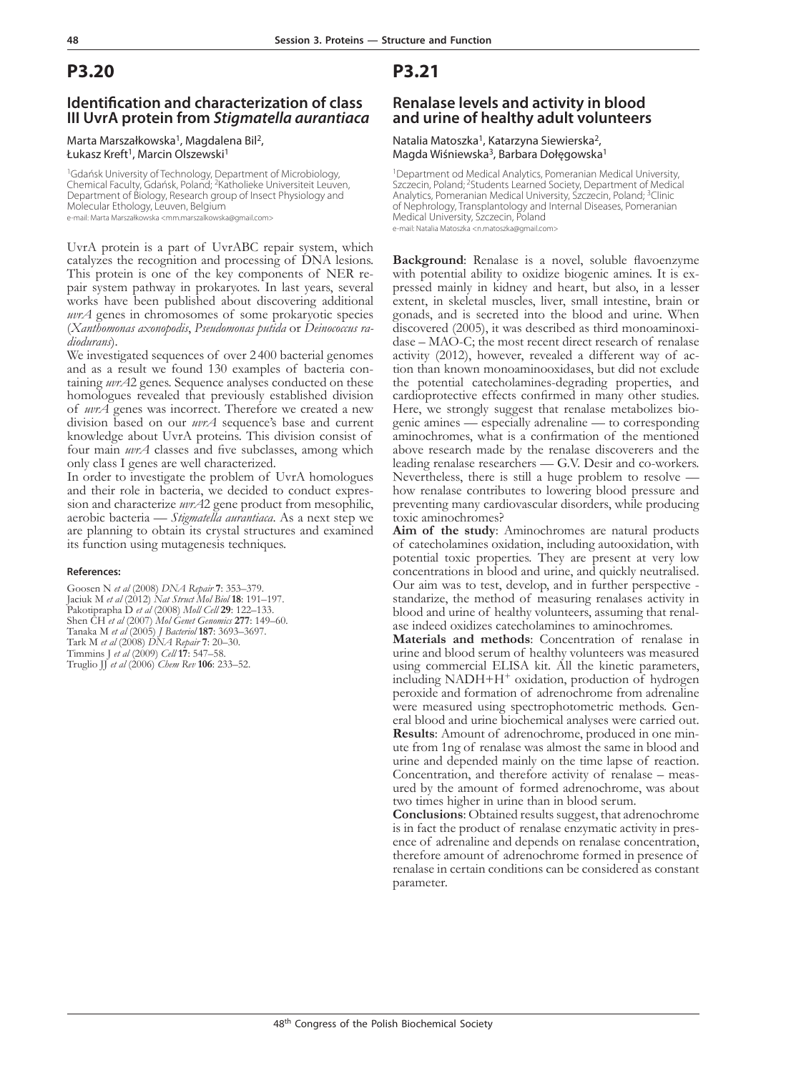### **Identification and characterization of class III UvrA protein from** *Stigmatella aurantiaca*

#### Marta Marszałkowska<sup>1</sup>, Magdalena Bil<sup>2</sup>, Łukasz Kreft<sup>1</sup>, Marcin Olszewski<sup>1</sup>

<sup>1</sup>Gdańsk University of Technology, Department of Microbiology, Chemical Faculty, Gdańsk, Poland; 2Katholieke Universiteit Leuven, Department of Biology, Research group of Insect Physiology and Molecular Ethology, Leuven, Belgium e-mail: Marta Marszałkowska <mm.marszalkowska@gmail.com>

UvrA protein is a part of UvrABC repair system, which catalyzes the recognition and processing of DNA lesions. This protein is one of the key components of NER re- pair system pathway in prokaryotes. In last years, several works have been published about discovering additional *uvrA* genes in chromosomes of some prokaryotic species (*Xanthomonas axonopodis*, *Pseudomonas putida* or *Deinococcus ra- diodurans*).

We investigated sequences of over 2400 bacterial genomes and as a result we found 130 examples of bacteria containing *uvrA*2 genes. Sequence analyses conducted on these homologues revealed that previously established division of *uvrA* genes was incorrect. Therefore we created a new division based on our *uvrA* sequence's base and current knowledge about UvrA proteins. This division consist of four main *uvrA* classes and five subclasses, among which only class I genes are well characterized.

In order to investigate the problem of UvrA homologues and their role in bacteria, we decided to conduct expression and characterize *wrA*2 gene product from mesophilic, aerobic bacteria — *Stigmatella aurantiaca*. As a next step we are planning to obtain its crystal structures and examined its function using mutagenesis techniques.

#### **References:**

Goosen N *et al* (2008) *DNA Repair* **7**: 353–379. Jaciuk M *et al* (2012) *Nat Struct Mol Biol* **18**: 191–197. Pakotiprapha D *et al* (2008) *Moll Cell* **29**: 122–133. Shen CH *et al* (2007) *Mol Genet Genomics* **277**: 149–60. Tanaka M *et al* (2005) *J Bacteriol* **187**: 3693–3697. Tark M *et al* (2008) *DNA Repair* **7**: 20–30. Timmins J *et al* (2009) *Cell* **17**: 547–58. Truglio JJ *et al* (2006) *Chem Rev* **106**: 233–52.

## **P3.21**

### **Renalase levels and activity in blood and urine of healthy adult volunteers**

Natalia Matoszka<sup>1</sup>, Katarzyna Siewierska<sup>2</sup>, Magda Wiśniewska<sup>3</sup>, Barbara Dołęgowska<sup>1</sup>

<sup>1</sup>Department od Medical Analytics, Pomeranian Medical University, Szczecin, Poland; <sup>2</sup>Students Learned Society, Department of Medical Analytics, Pomeranian Medical University, Szczecin, Poland; 3Clinic of Nephrology, Transplantology and Internal Diseases, Pomeranian Medical University, Szczecin, Poland

e-mail: Natalia Matoszka <n.matoszka@gmail.com>

**Background:** Renalase is a novel, soluble flavoenzyme with potential ability to oxidize biogenic amines. It is ex-<br>pressed mainly in kidney and heart, but also, in a lesser extent, in skeletal muscles, liver, small intestine, brain or gonads, and is secreted into the blood and urine. When discovered (2005), it was described as third monoaminoxi $dase - MAO-C$ ; the most recent direct research of renalase activity (2012), however, revealed a different way of ac- tion than known monoaminooxidases, but did not exclude the potential catecholamines-degrading properties, and cardioprotective effects confirmed in many other studies. genic amines — especially adrenaline — to corresponding aminochromes, what is a confirmation of the mentioned above research made by the renalase discoverers and the leading renalase researchers — G.V. Desir and co-workers. Nevertheless, there is still a huge problem to resolve how renalase contributes to lowering blood pressure and preventing many cardiovascular disorders, while producing toxic aminochromes?

**Aim of the study**: Aminochromes are natural products of catecholamines oxidation, including autooxidation, with potential toxic properties. They are present at very low concentrations in blood and urine, and quickly neutralised. Our aim was to test, develop, and in further perspective standarize, the method of measuring renalases activity in blood and urine of healthy volunteers, assuming that renalase indeed oxidizes catecholamines to aminochromes.

**Materials and methods**: Concentration of renalase in urine and blood serum of healthy volunteers was measured using commercial ELISA kit. All the kinetic parameters, including NADH+H<sup>+</sup> oxidation, production of hydrogen peroxide and formation of adrenochrome from adrenaline were measured using spectrophotometric methods. General blood and urine biochemical analyses were carried out. **Results**: Amount of adrenochrome, produced in one min-<br>ute from 1ng of renalase was almost the same in blood and urine and depended mainly on the time lapse of reaction. Concentration, and therefore activity of renalase – meas- ured by the amount of formed adrenochrome, was about two times higher in urine than in blood serum.

**Conclusions**: Obtained results suggest, that adrenochrome is in fact the product of renalase enzymatic activity in presence of adrenaline and depends on renalase concentration, therefore amount of adrenochrome formed in presence of renalase in certain conditions can be considered as constant parameter.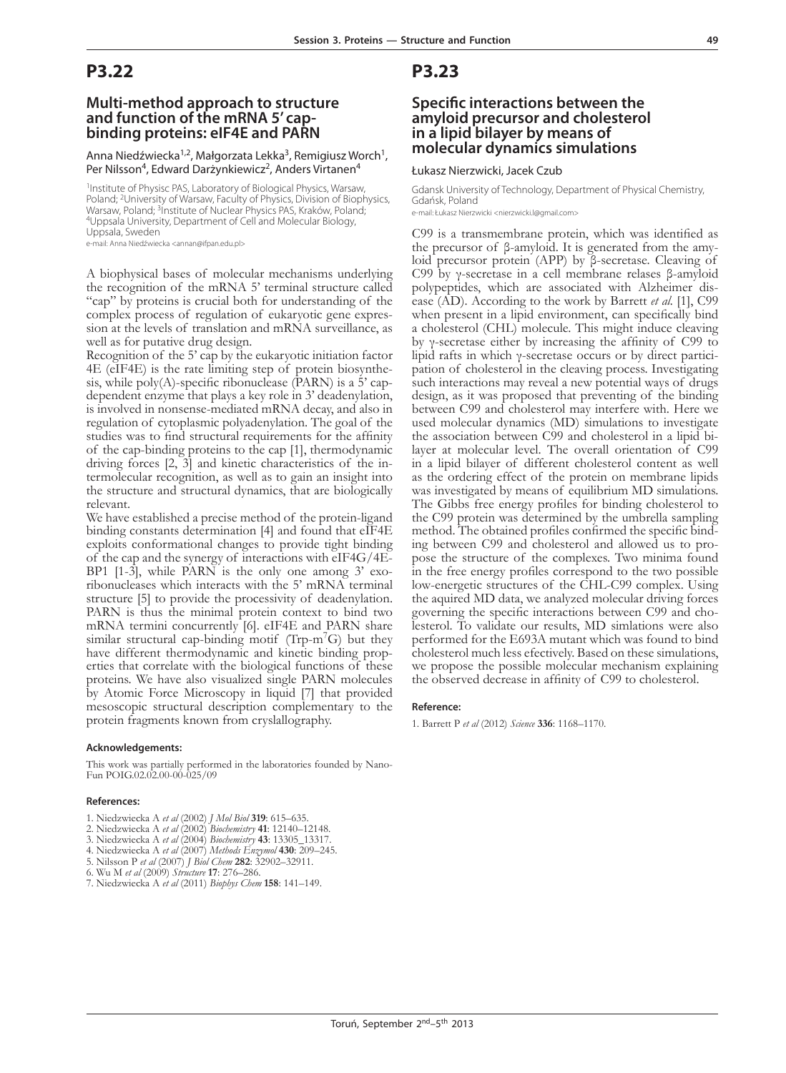### **Multi-method approach to structure and function of the mRNA 5' capbinding proteins: eIF4E and PARN**

Anna Niedźwiecka<sup>1,2</sup>, Małgorzata Lekka<sup>3</sup>, Remigiusz Worch<sup>1</sup>, Per Nilsson<sup>4</sup>, Edward Darzynkiewicz<sup>2</sup>, Anders Virtanen<sup>4</sup>

<sup>1</sup>Institute of Physisc PAS, Laboratory of Biological Physics, Warsaw, Poland; <sup>2</sup>University of Warsaw, Faculty of Physics, Division of Biophysics, Warsaw, Poland; <sup>3</sup>Institute of Nuclear Physics PAS, Kraków, Poland;<br><sup>4</sup>Uppsala University, Department of Cell and Molecular Biology, Uppsala, Sweden

e-mail: Anna Niedźwiecka <annan@ifpan.edu.pl>

A biophysical bases of molecular mechanisms underlying the recognition of the mRNA 5' terminal structure called "cap" by proteins is crucial both for understanding of the complex process of regulation of eukaryotic gene expres- sion at the levels of translation and mRNA surveillance, as well as for putative drug design.

Recognition of the 5' cap by the eukaryotic initiation factor 4E (eIF4E) is the rate limiting step of protein biosynthesis, while poly(A)-specific ribonuclease (PARN) is a 5' capdependent enzyme that plays a key role in 3' deadenylation, is involved in nonsense-mediated mRNA decay, and also in regulation of cytoplasmic polyadenylation. The goal of the studies was to find structural requirements for the affinity of the cap-binding proteins to the cap [1], thermodynamic driving forces [2, 3] and kinetic characteristics of the in- termolecular recognition, as well as to gain an insight into the structure and structural dynamics, that are biologically relevant.

We have established a precise method of the protein-ligand binding constants determination [4] and found that eIF4E exploits conformational changes to provide tight binding of the cap and the synergy of interactions with eIF4G/4E-BP1 [1-3], while PARN is the only one among 3' exoribonucleases which interacts with the 5' mRNA terminal structure [5] to provide the processivity of deadenylation. PARN is thus the minimal protein context to bind two mRNA termini concurrently [6]. eIF4E and PARN share similar structural cap-binding motif ( $Trp-m<sup>7</sup>G$ ) but they have different thermodynamic and kinetic binding properties that correlate with the biological functions of these proteins. We have also visualized single PARN molecules by Atomic Force Microscopy in liquid [7] that provided mesoscopic structural description complementary to the protein fragments known from cryslallography.

#### **Acknowledgements:**

This work was partially performed in the laboratories founded by Nano-Fun POIG.02.02.00-00-025/09

#### **References:**

- 1. Niedzwiecka A *et al* (2002) *J Mol Biol* **319**: 615–635.
- 2. Niedzwiecka A *et al* (2002) *Biochemistry* **41**: 12140–12148.
- 3. Niedzwiecka A *et al* (2004) *Biochemistry* **43**: 13305\_13317.
- 4. Niedzwiecka A *et al* (2007) *Methods Enzymol* **430**: 209–245.
- 5. Nilsson P *et al* (2007) *J Biol Chem* **282**: 32902–32911.
- 6. Wu M *et al* (2009) *Structure* **17**: 276–286.
- 7. Niedzwiecka A *et al* (2011) *Biophys Chem* **158**: 141–149.

### **P3.23**

### **Specific interactions between the amyloid precursor and cholesterol in a lipid bilayer by means of molecular dynamics simulations**

#### Łukasz Nierzwicki, Jacek Czub

Gdansk University of Technology, Department of Physical Chemistry, Gdańsk, Poland e-mail: Łukasz Nierzwicki <nierzwicki.l@gmail.com>

C99 is a transmembrane protein, which was identified as the precursor of β-amyloid. It is generated from the amy- loid precursor protein (APP) by β-secretase. Cleaving of C99 by γ-secretase in a cell membrane relases β-amyloid polypeptides, which are associated with Alzheimer dis- ease (AD). According to the work by Barrett *et al.* [1], C99 when present in a lipid environment, can specifically bind a cholesterol (CHL) molecule. This might induce cleaving by γ-secretase either by increasing the affinity of C99 to lipid rafts in which γ-secretase occurs or by direct partici- pation of cholesterol in the cleaving process. Investigating such interactions may reveal a new potential ways of drugs design, as it was proposed that preventing of the binding between C99 and cholesterol may interfere with. Here we used molecular dynamics (MD) simulations to investigate<br>the association between C99 and cholesterol in a lipid bilayer at molecular level. The overall orientation of C99 in a lipid bilayer of different cholesterol content as well as the ordering effect of the protein on membrane lipids was investigated by means of equilibrium MD simulations. The Gibbs free energy profiles for binding cholesterol to the C99 protein was determined by the umbrella sampling method. The obtained profiles confirmed the specific binding between C99 and cholesterol and allowed us to propose the structure of the complexes. Two minima found in the free energy profiles correspond to the two possible low-energetic structures of the CHL-C99 complex. Using the aquired MD data, we analyzed molecular driving forces governing the specific interactions between C99 and cholesterol. To validate our results, MD simlations were also performed for the E693A mutant which was found to bind cholesterol much less efectively. Based on these simulations, we propose the possible molecular mechanism explaining the observed decrease in affinity of C99 to cholesterol.

#### **Reference:**

1. Barrett P *et al* (2012) *Science* **336**: 1168–1170.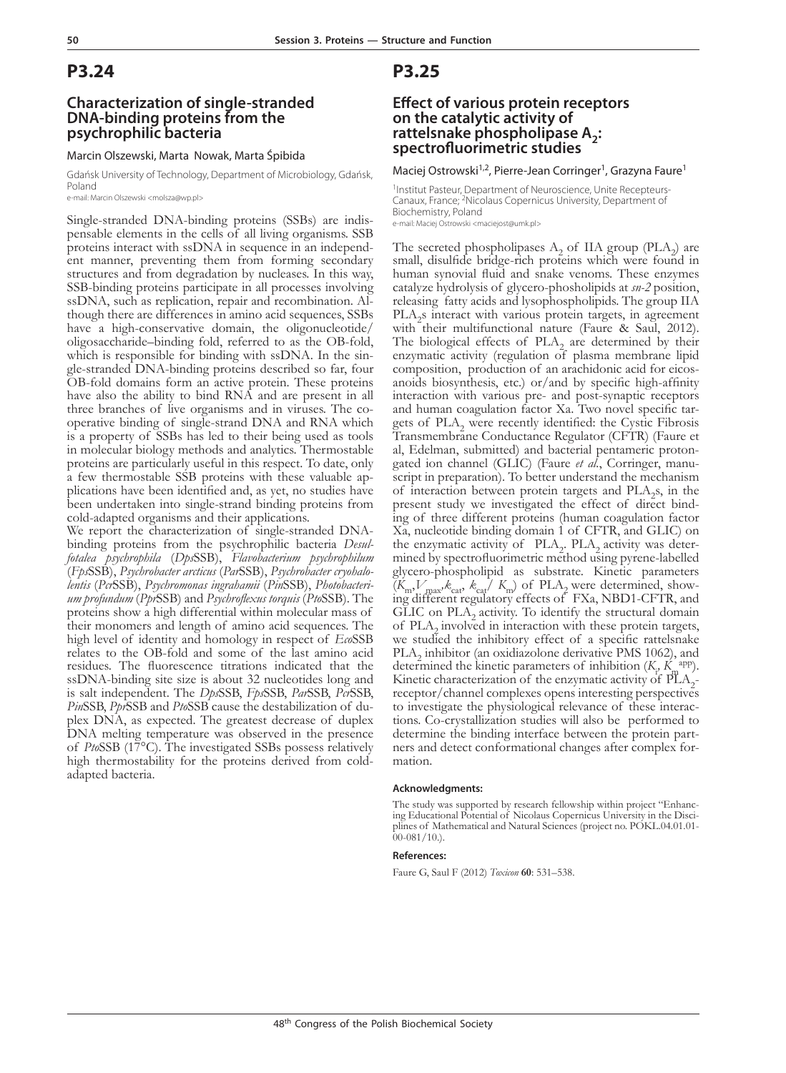### **Characterization of single-stranded DNA-binding proteins from the psychrophilic bacteria**

#### Marcin Olszewski, Marta Nowak, Marta Śpibida

Gdańsk University of Technology, Department of Microbiology, Gdańsk, Poland

e-mail: Marcin Olszewski <molsza@wp.pl>

Single-stranded DNA-binding proteins (SSBs) are indis- pensable elements in the cells of all living organisms. SSB proteins interact with ssDNA in sequence in an independent manner, preventing them from forming secondary structures and from degradation by nucleases. In this way, SSB-binding proteins participate in all processes involving ssDNA, such as replication, repair and recombination. Al- though there are differences in amino acid sequences, SSBs have a high-conservative domain, the oligonucleotide/ oligosaccharide–binding fold, referred to as the OB-fold, gle-stranded DNA-binding proteins described so far, four OB-fold domains form an active protein. These proteins have also the ability to bind RNA and are present in all three branches of live organisms and in viruses. The cooperative binding of single-strand DNA and RNA which is a property of SSBs has led to their being used as tools in molecular biology methods and analytics. Thermostable proteins are particularly useful in this respect. To date, only a few thermostable SSB proteins with these valuable ap- plications have been identified and, as yet, no studies have been undertaken into single-strand binding proteins from cold-adapted organisms and their applications.

We report the characterization of single-stranded DNAbinding proteins from the psychrophilic bacteria *Desulfotalea psychrophila* (*Dps*SSB), *Flavobacterium psychrophilum* (*Fps*SSB), *Psychrobacter arcticus* (*Par*SSB), *Psychrobacter cryohalolentis* (*Pcr*SSB), *Psychromonas ingrahamii* (*Pin*SSB), *Photobacterium profundum* (*Ppr*SSB) and *Psychroflexus torquis* (*Pto*SSB). The proteins show a high differential within molecular mass of their monomers and length of amino acid sequences. The high level of identity and homology in respect of *Eco*SSB relates to the OB-fold and some of the last amino acid residues. The fluorescence titrations indicated that the ssDNA-binding site size is about 32 nucleotides long and is salt independent. The *Dps*SSB, *Fps*SSB, *Par*SSB, *Pcr*SSB, *Pin*SSB, *Ppr*SSB and *Pto*SSB cause the destabilization of duplex DNA, as expected. The greatest decrease of duplex DNA melting temperature was observed in the presence of *Pto*SSB (17°C). The investigated SSBs possess relatively high thermostability for the proteins derived from coldadapted bacteria.

## **P3.25**

### **Effect of various protein receptors on the catalytic activity of rattelsnake phospholipase A<sub>2</sub>: spectrofluorimetric studies**

Maciej Ostrowski<sup>1,2</sup>, Pierre-Jean Corringer<sup>1</sup>, Grazyna Faure<sup>1</sup>

<sup>1</sup>Institut Pasteur, Department of Neuroscience, Unite Recepteurs-Canaux, France; 2Nicolaus Copernicus University, Department of Biochemistry, Poland e-mail: Maciej Ostrowski <maciejost@umk.pl>

The secreted phospholipases  $A_2$  of IIA group (PLA<sub>2</sub>) are small, disulfide bridge-rich proteins which were found in human synovial fluid and snake venoms. These enzymes catalyze hydrolysis of glycero-phosholipids at *sn-2* position, releasing fatty acids and lysophospholipids. The group IIA PLA<sub>2</sub>s interact with various protein targets, in agreement with their multifunctional nature (Faure & Saul, 2012). The biological effects of  $PLA_2$  are determined by their enzymatic activity (regulation of plasma membrane lipid composition, production of an arachidonic acid for eicosanoids biosynthesis, etc.) or/and by specific high-affinity interaction with various pre- and post-synaptic receptors and human coagulation factor Xa. Two novel specific tar-<br>gets of PLA<sub>2</sub> were recently identified: the Cystic Fibrosis Transmembrane Conductance Regulator (CFTR) (Faure et al, Edelman, submitted) and bacterial pentameric protongated ion channel (GLIC) (Faure *et al.*, Corringer, manuscript in preparation). To better understand the mechanism of interaction between protein targets and PLA<sup>2</sup> s, in the present study we investigated the effect of direct binding of three different proteins (human coagulation factor Xa, nucleotide binding domain 1 of CFTR, and GLIC) on the enzymatic activity of  $PLA_2$ .  $PLA_2$  activity was determined by spectrofluorimetric method using pyrene-labelled glycero-phospholipid as substrate. Kinetic parameters  $(K_m, V_{\text{max}}, k_{\text{cat}} / K_m)$  of PLA<sub>2</sub> were determined, showing different regulatory effects of FXa, NBD1-CFTR, and GLIC on  $PLA<sub>2</sub>$  activity. To identify the structural domain of PLA<sub>2</sub> involved in interaction with these protein targets, we studied the inhibitory effect of a specific rattelsnake  $PLA_2$  inhibitor (an oxidiazolone derivative PMS 1062), and determined the kinetic parameters of inhibition  $(K_i, K_i^{app})$ . Kinetic characterization of the enzymatic activity of  $\overline{PI}A_{2}$ receptor/channel complexes opens interesting perspectives to investigate the physiological relevance of these interac- tions. Co-crystallization studies will also be performed to determine the binding interface between the protein part-<br>ners and detect conformational changes after complex for-<br>mation.

#### **Acknowledgments:**

The study was supported by research fellowship within project "Enhancing Educational Potential of Nicolaus Copernicus University in the Disciplines of Mathematical and Natural Sciences (project no. POKL.04.01.01- $00-081/10.$ ).

#### **References:**

Faure G, Saul F (2012) *Toxicon* **60**: 531–538.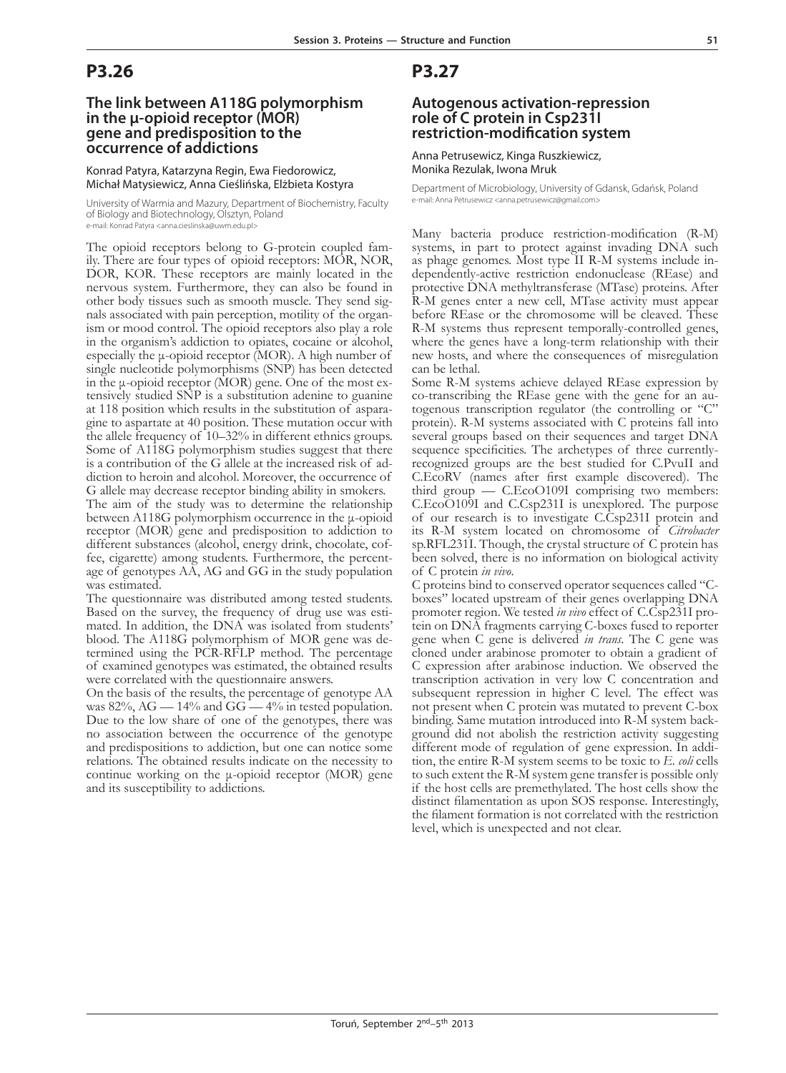### **The link between A118G polymorphism in the μ-opioid receptor (MOR) gene and predisposition to the occurrence of addictions**

Konrad Patyra, Katarzyna Regin, Ewa Fiedorowicz, Michał Matysiewicz, Anna Cieślińska, Elżbieta Kostyra

University of Warmia and Mazury, Department of Biochemistry, Faculty of Biology and Biotechnology, Olsztyn, Poland e-mail: Konrad Patyra <anna.cieslinska@uwm.edu.pl>

The opioid receptors belong to G-protein coupled fam-<br>ily. There are four types of opioid receptors: MOR, NOR, DOR, KOR. These receptors are mainly located in the nervous system. Furthermore, they can also be found in nals associated with pain perception, motility of the organism or mood control. The opioid receptors also play a role in the organism's addiction to opiates, cocaine or alcohol, especially the μ-opioid receptor (MOR). A high number of single nucleotide polymorphisms  $(SN\hat{P})$  has been detected in the  $\mu$ -opioid receptor (MOR) gene. One of the most extensively studied SNP is a substitution adenine to guanine at 118 position which results in the substitution of asparagine to aspartate at 40 position. These mutation occur with the allele frequency of 10–32% in different ethnics groups. Some of A118G polymorphism studies suggest that there is a contribution of the G allele at the increased risk of addiction to heroin and alcohol. Moreover, the occurrence of G allele may decrease receptor binding ability in smokers.

The aim of the study was to determine the relationship between A118G polymorphism occurrence in the μ-opioid receptor (MOR) gene and predisposition to addiction to different substances (alcohol, energy drink, chocolate, coffee, cigarette) among students. Furthermore, the percentage of genotypes AA, AG and GG in the study population was estimated.

The questionnaire was distributed among tested students. Based on the survey, the frequency of drug use was estimated. In addition, the DNA was isolated from students' blood. The A118G polymorphism of MOR gene was determined using the PCR-RFLP method. The percentage of examined genotypes was estimated, the obtained results were correlated with the questionnaire answers.

On the basis of the results, the percentage of genotype AA was  $82\%$ , AG  $- 14\%$  and GG  $- 4\%$  in tested population. Due to the low share of one of the genotypes, there was no association between the occurrence of the genotype and predispositions to addiction, but one can notice some relations. The obtained results indicate on the necessity to continue working on the μ-opioid receptor (MOR) gene and its susceptibility to addictions.

## **P3.27**

### **Autogenous activation-repression role of C protein in Csp231I restriction-modification system**

Anna Petrusewicz, Kinga Ruszkiewicz, Monika Rezulak, Iwona Mruk

Department of Microbiology, University of Gdansk, Gdańsk, Poland e-mail: Anna Petrusewicz <anna.petrusewicz@gmail.com>

Many bacteria produce restriction-modification (R-M) systems, in part to protect against invading DNA such as phage genomes. Most type II R-M systems include independently-active restriction endonuclease (REase) and protective DNA methyltransferase (MTase) proteins. After R-M genes enter a new cell, MTase activity must appear before REase or the chromosome will be cleaved. These R-M systems thus represent temporally-controlled genes, where the genes have a long-term relationship with their new hosts, and where the consequences of misregulation can be lethal.

Some R-M systems achieve delayed REase expression by co-transcribing the REase gene with the gene for an au- togenous transcription regulator (the controlling or "C" protein). R-M systems associated with C proteins fall into several groups based on their sequences and target DNA sequence specificities. The archetypes of three currentlyrecognized groups are the best studied for C.PvuII and C.EcoRV (names after first example discovered). The third group — C.EcoO109I comprising two members: C.EcoO109I and C.Csp231I is unexplored. The purpose of our research is to investigate C.Csp231I protein and its R-M system located on chromosome of *Citrobacter* sp.RFL231I. Though, the crystal structure of C protein has been solved, there is no information on biological activity of C protein *in vivo*.

C proteins bind to conserved operator sequences called "Cboxes" located upstream of their genes overlapping DNA promoter region. We tested *in vivo* effect of C.Csp231I protein on DNA fragments carrying C-boxes fused to reporter gene when C gene is delivered *in trans*. The C gene was cloned under arabinose promoter to obtain a gradient of C expression after arabinose induction. We observed the transcription activation in very low C concentration and subsequent repression in higher C level. The effect was not present when C protein was mutated to prevent C-box binding. Same mutation introduced into R-M system background did not abolish the restriction activity suggesting different mode of regulation of gene expression. In addition, the entire R-M system seems to be toxic to *E. coli* cells to such extent the R-M system gene transfer is possible only if the host cells are premethylated. The host cells show the distinct filamentation as upon SOS response. Interestingly, the filament formation is not correlated with the restriction level, which is unexpected and not clear.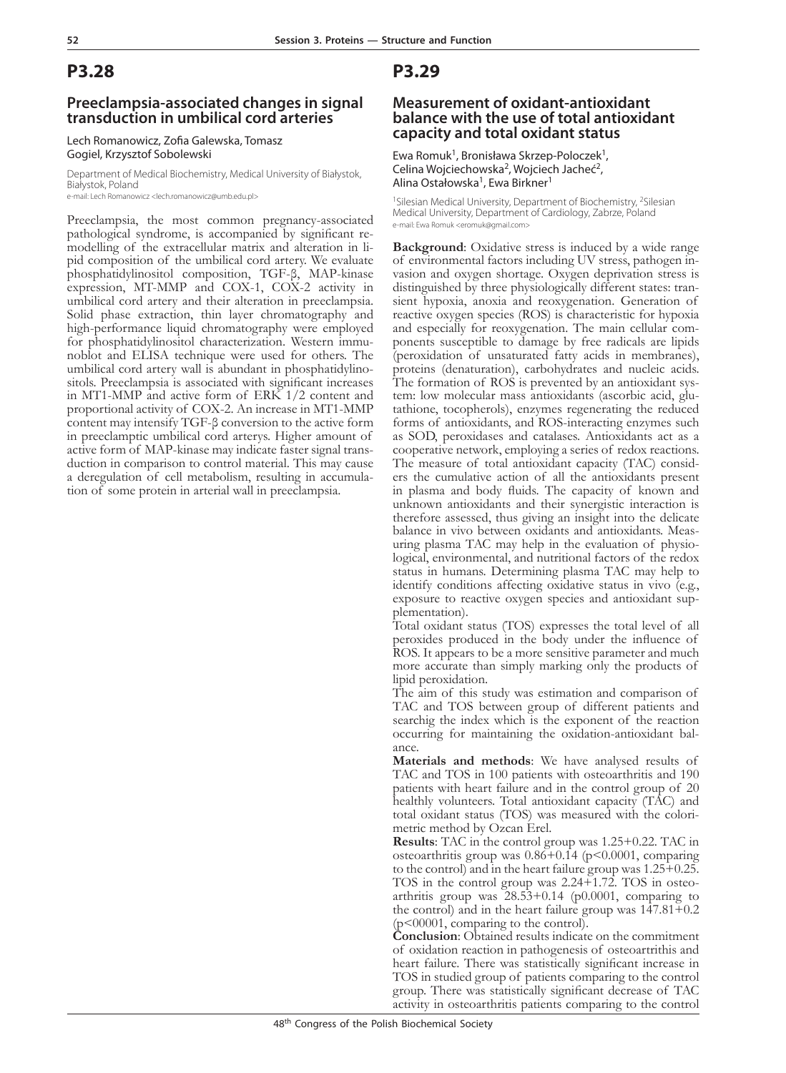### **Preeclampsia-associated changes in signal transduction in umbilical cord arteries**

#### Lech Romanowicz, Zofia Galewska, Tomasz Gogiel, Krzysztof Sobolewski

Department of Medical Biochemistry, Medical University of Białystok, Białystok, Poland

e-mail: Lech Romanowicz <lech.romanowicz@umb.edu.pl>

Preeclampsia, the most common pregnancy-associated pathological syndrome, is accompanied by significant remodelling of the extracellular matrix and alteration in li-<br>pid composition of the umbilical cord artery. We evaluate phosphatidylinositol composition, TGF-β, MAP-kinase expression, MT-MMP and COX-1, COX-2 activity in umbilical cord artery and their alteration in preeclampsia. Solid phase extraction, thin layer chromatography and high-performance liquid chromatography were employed for phosphatidylinositol characterization. Western immu- noblot and ELISA technique were used for others. The umbilical cord artery wall is abundant in phosphatidylino- sitols. Preeclampsia is associated with significant increases in MT1-MMP and active form of ERK 1/2 content and proportional activity of COX-2. An increase in MT1-MMP content may intensify TGF-β conversion to the active form in preeclamptic umbilical cord arterys. Higher amount of active form of MAP-kinase may indicate faster signal transduction in comparison to control material. This may cause a deregulation of cell metabolism, resulting in accumula- tion of some protein in arterial wall in preeclampsia.

## **P3.29**

### **Measurement of oxidant-antioxidant balance with the use of total antioxidant capacity and total oxidant status**

Ewa Romuk<sup>1</sup>, Bronisława Skrzep-Poloczek<sup>1</sup>, Celina Wojciechowska<sup>2</sup>, Wojciech Jacheć<sup>2</sup>, Alina Ostałowska<sup>1</sup>, Ewa Birkner<sup>1</sup>

<sup>1</sup>Silesian Medical University, Department of Biochemistry, <sup>2</sup>Silesian Medical University, Department of Cardiology, Zabrze, Poland e-mail: Ewa Romuk <eromuk@gmail.com>

**Background**: Oxidative stress is induced by a wide range of environmental factors including UV stress, pathogen invasion and oxygen shortage. Oxygen deprivation stress is distinguished by three physiologically different states: transient hypoxia, anoxia and reoxygenation. Generation of reactive oxygen species (ROS) is characteristic for hypoxia ponents susceptible to damage by free radicals are lipids (peroxidation of unsaturated fatty acids in membranes), proteins (denaturation), carbohydrates and nucleic acids. tem: low molecular mass antioxidants (ascorbic acid, glu-<br>tathione, tocopherols), enzymes regenerating the reduced forms of antioxidants, and ROS-interacting enzymes such as SOD, peroxidases and catalases. Antioxidants act as a cooperative network, employing a series of redox reactions. ers the cumulative action of all the antioxidants present in plasma and body fluids. The capacity of known and unknown antioxidants and their synergistic interaction is therefore assessed, thus giving an insight into the delicate balance in vivo between oxidants and antioxidants. Measuring plasma TAC may help in the evaluation of physiological, environmental, and nutritional factors of the redox status in humans. Determining plasma TAC may help to identify conditions affecting oxidative status in vivo (e.g., exposure to reactive oxygen species and antioxidant supplementation).

Total oxidant status (TOS) expresses the total level of all peroxides produced in the body under the influence of ROS. It appears to be a more sensitive parameter and much more accurate than simply marking only the products of lipid peroxidation.

The aim of this study was estimation and comparison of TAC and TOS between group of different patients and searchig the index which is the exponent of the reaction occurring for maintaining the oxidation-antioxidant balance.

**Materials and methods**: We have analysed results of TAC and TOS in 100 patients with osteoarthritis and 190 patients with heart failure and in the control group of 20 healthly volunteers. Total antioxidant capacity (TAC) and total oxidant status (TOS) was measured with the colorimetric method by Ozcan Erel.

**Results**: TAC in the control group was 1.25+0.22. TAC in osteoarthritis group was  $0.86+0.14$  (p<0.0001, comparing to the control) and in the heart failure group was 1.25+0.25. TOS in the control group was 2.24+1.72. TOS in osteo- arthritis group was 28.53+0.14 (p0.0001, comparing to the control) and in the heart failure group was 147.81+0.2 (p<00001, comparing to the control).

**Conclusion**: Obtained results indicate on the commitment of oxidation reaction in pathogenesis of osteoartrithis and heart failure. There was statistically significant increase in TOS in studied group of patients comparing to the control group. There was statistically significant decrease of TAC activity in osteoarthritis patients comparing to the control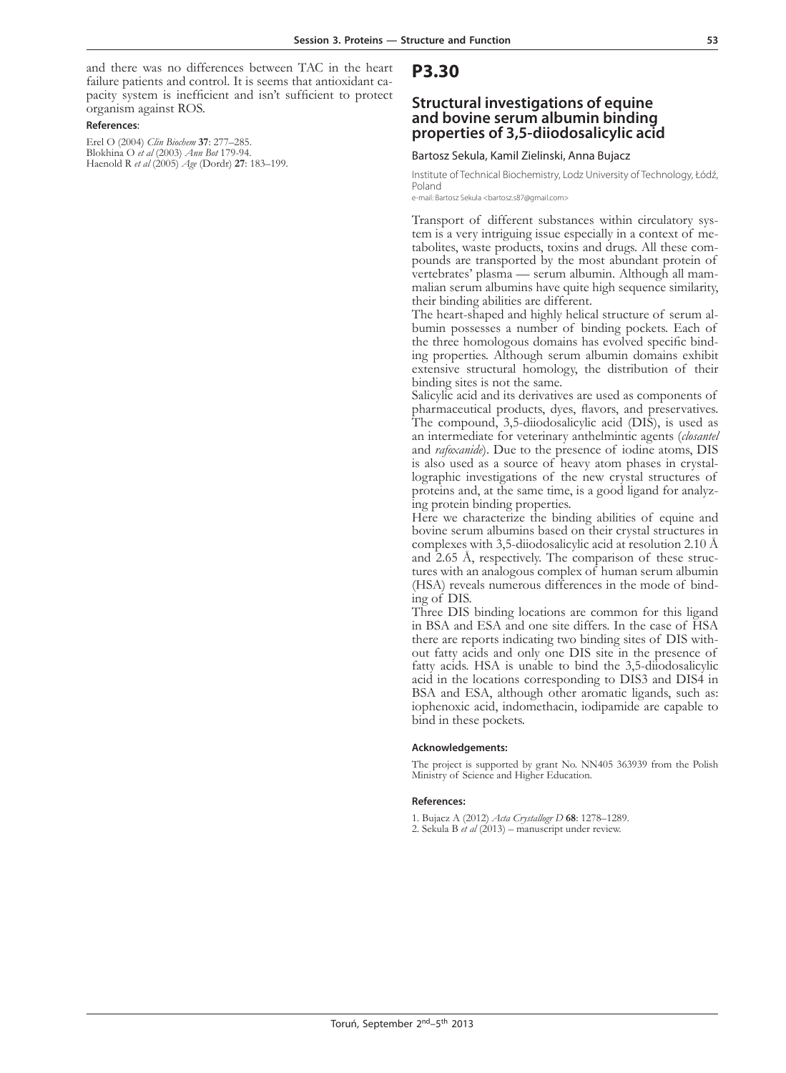and there was no differences between TAC in the heart failure patients and control. It is seems that antioxidant capacity system is inefficient and isn't sufficient to protect organism against ROS.

#### **References**:

Erel O (2004) *Clin Biochem* **37**: 277–285. Blokhina O *et al* (2003) *Ann Bot* 179-94. Haenold R *et al* (2005) *Age* (Dordr) **27**: 183–199.

### **P3.30**

### **Structural investigations of equine and bovine serum albumin binding properties of 3,5-diiodosalicylic acid**

#### Bartosz Sekula, Kamil Zielinski, Anna Bujacz

Institute of Technical Biochemistry, Lodz University of Technology, Łódź, Poland

e-mail: Bartosz Sekula <br/>bartosz.s87@gmail.com>

Transport of different substances within circulatory system is a very intriguing issue especially in a context of metabolites, waste products, toxins and drugs. All these compounds are transported by the most abundant prot vertebrates' plasma — serum albumin. Although all mam- malian serum albumins have quite high sequence similarity, their binding abilities are different.

The heart-shaped and highly helical structure of serum al- bumin possesses a number of binding pockets. Each of ing properties. Although serum albumin domains exhibit extensive structural homology, the distribution of their binding sites is not the same.

Salicylic acid and its derivatives are used as components of pharmaceutical products, dyes, flavors, and preservatives. The compound, 3,5-diiodosalicylic acid (DIS), is used as an intermediate for veterinary anthelmintic agents (*closantel* and *rafoxanide*). Due to the presence of iodine atoms, DIS is also used as a source of heavy atom phases in crystal- lographic investigations of the new crystal structures of proteins and, at the same time, is a good ligand for analyz- ing protein binding properties.

Here we characterize the binding abilities of equine and bovine serum albumins based on their crystal structures in complexes with 3,5-diiodosalicylic acid at resolution 2.10 Å and 2.65 Å, respectively. The comparison of these structures with an analogous complex of human serum albumin (HSA) reveals numerous differences in the mode of binding of DIS.

Three DIS binding locations are common for this ligand in BSA and ESA and one site differs. In the case of HSA there are reports indicating two binding sites of DIS without fatty acids and only one DIS site in the presence of fatty acids. HSA is unable to bind the 3,5-diiodosalicylic acid in the locations corresponding to DIS3 and DIS4 in BSA and ESA, although other aromatic ligands, such as: iophenoxic acid, indomethacin, iodipamide are capable to bind in these pockets.

#### **Acknowledgements:**

The project is supported by grant No. NN405 363939 from the Polish Ministry of Science and Higher Education.

#### **References:**

1. Bujacz A (2012) *Acta Crystallogr D* **68**: 1278–1289. 2. Sekula B *et al* (2013) – manuscript under review.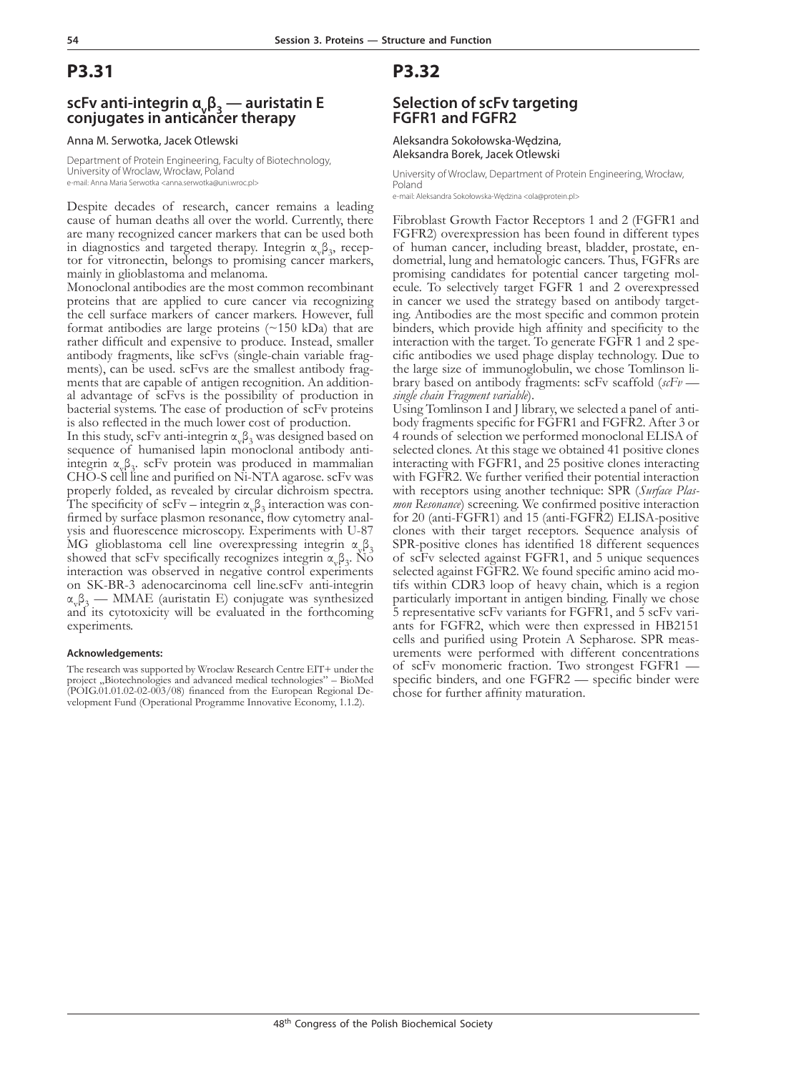### **scFv anti-integrin α<sub>v</sub>β<sub>3</sub> — auristatin E conjugates in anticancer therapy**

#### Anna M. Serwotka, Jacek Otlewski

Department of Protein Engineering, Faculty of Biotechnology, University of Wroclaw, Wrocław, Poland e-mail: Anna Maria Serwotka <anna.serwotka@uni.wroc.pl>

Despite decades of research, cancer remains a leading cause of human deaths all over the world. Currently, there are many recognized cancer markers that can be used both in diagnostics and targeted therapy. Integrin  $\alpha_{\rm v}\beta_3$ tor for vitronectin, belongs to promising cancer markers, mainly in glioblastoma and melanoma.

Monoclonal antibodies are the most common recombinant proteins that are applied to cure cancer via recognizing the cell surface markers of cancer markers. However, full format antibodies are large proteins  $(\sim 150 \text{ kDa})$  that are rather difficult and expensive to produce. Instead, smaller antibody fragments, like scFvs (single-chain variable fragments), can be used. scFvs are the smallest antibody fragments that are capable of antigen recognition. An additional advantage of scFvs is the possibility of production in bacterial systems. The ease of production of scFv proteins is also reflected in the much lower cost of production.

In this study, scFv anti-integrin  $\alpha_{\rm v}\beta_3$  was designed based on sequence of humanised lapin monoclonal antibody antiintegrin  $\alpha_{\gamma\beta}$ , scFv protein was produced in mammalian CHO-S cell line and purified on Ni-NTA agarose. scFv was properly folded, as revealed by circular dichroism spectra. The specificity of scFv – integrin  $\alpha_{v} \beta_{3}$  interaction was confirmed by surface plasmon resonance, flow cytometry analysis and fluorescence microscopy. Experiments with U-87 MG glioblastoma cell line overexpressing integrin  $\alpha_v \beta_3$ <br>showed that scFv specifically recognizes integrin  $\alpha_v \beta_3$ . No  $β_3$ . No interaction was observed in negative control experiments on SK-BR-3 adenocarcinoma cell line.scFv anti-integrin  $\alpha_{\rm v}\beta_{\rm 3}$  — MMAE (auristatin E) conjugate was synthesized and its cytotoxicity will be evaluated in the forthcoming experiments.

#### **Acknowledgements:**

The research was supported by Wroclaw Research Centre EIT+ under the project "Biotechnologies and advanced medical technologies" - BioMed (POIG.01.01.02-02-003/08) financed from the European Regional Development Fund (Operational Programme Innovative Economy, 1.1.2).

### **P3.32**

### **Selection of scFv targeting FGFR1 and FGFR2**

Aleksandra Sokołowska-Wędzina, Aleksandra Borek, Jacek Otlewski

University of Wroclaw, Department of Protein Engineering, Wrocław, Poland

e-mail: Aleksandra Sokołowska-Wędzina <ola@protein.pl>

Fibroblast Growth Factor Receptors 1 and 2 (FGFR1 and FGFR2) overexpression has been found in different types of human cancer, including breast, bladder, prostate, en- dometrial, lung and hematologic cancers. Thus, FGFRs are promising candidates for potential cancer targeting mol- ecule. To selectively target FGFR 1 and 2 overexpressed in cancer we used the strategy based on antibody target- ing. Antibodies are the most specific and common protein binders, which provide high affinity and specificity to the interaction with the target. To generate FGFR 1 and 2 spe- cific antibodies we used phage display technology. Due to the large size of immunoglobulin, we chose Tomlinson li- brary based on antibody fragments: scFv scaffold (*scFv single chain Fragment variable*).

Using Tomlinson I and J library, we selected a panel of anti- body fragments specific for FGFR1 and FGFR2. After 3 or 4 rounds of selection we performed monoclonal ELISA of selected clones. At this stage we obtained 41 positive clones interacting with FGFR1, and 25 positive clones interacting with FGFR2. We further verified their potential interaction with receptors using another technique: SPR (Surface Plasmon Resonance) screening. We confirmed positive interaction for 20 (anti-FGFR1) and 15 (anti-FGFR2) ELISA-positive clones with their target receptors. Sequence analysis of SPR-positive clones has identified 18 different sequences of scFv selected against FGFR1, and 5 unique sequences selected against FGFR2. We found specific amino acid motifs within CDR3 loop of heavy chain, which is a region particularly important in antigen binding. Finally we chose 5 representative scFv variants for FGFR1, and 5 scFv variants for FGFR2, which were then expressed in HB2151 cells and purified using Protein A Sepharose. SPR measurements were performed with different concentrations of scFv monomeric fraction. Two strongest FGFR1 specific binders, and one FGFR2 — specific binder were chose for further affinity maturation.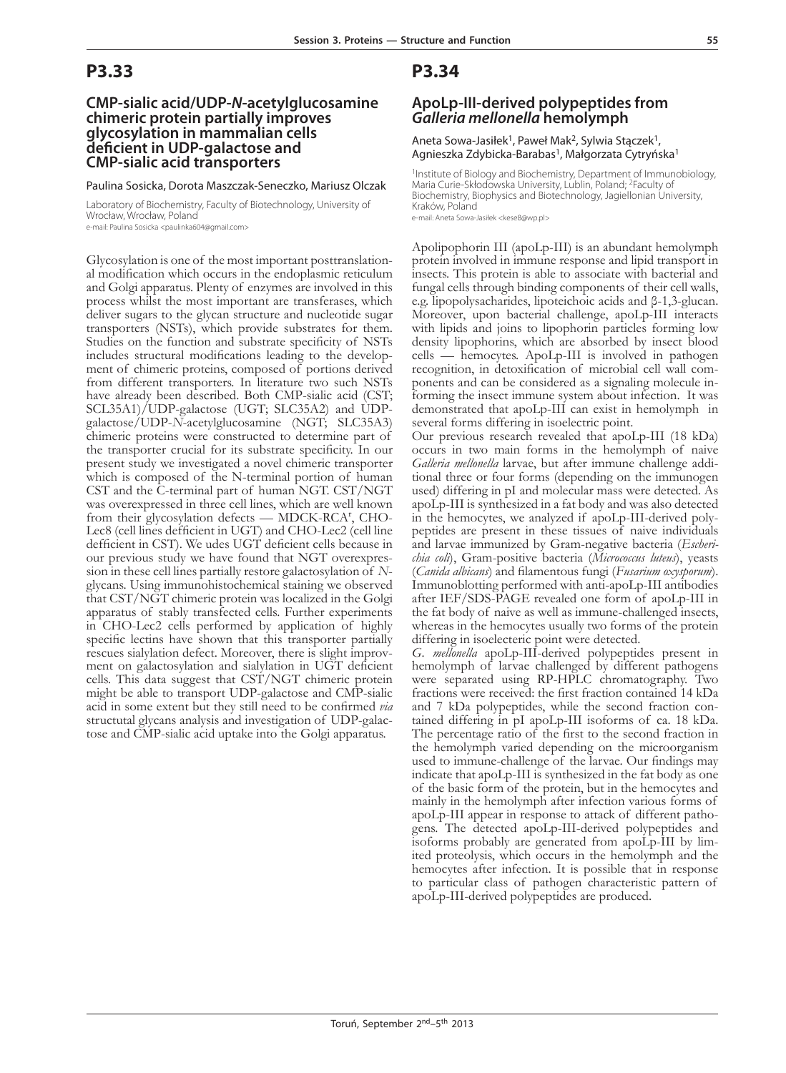## **CMP-sialic acid/UDP-***N***-acetylglucosamine chimeric protein partially improves glycosylation in mammalian cells deficient in UDP-galactose and CMP-sialic acid transporters**

Paulina Sosicka, Dorota Maszczak-Seneczko, Mariusz Olczak

Laboratory of Biochemistry, Faculty of Biotechnology, University of Wrocław, Wrocław, Poland e-mail: Paulina Sosicka <paulinka604@gmail.com>

Glycosylation is one of the most important posttranslation- al modification which occurs in the endoplasmic reticulum and Golgi apparatus. Plenty of enzymes are involved in this process whilst the most important are transferases, which deliver sugars to the glycan structure and nucleotide sugar transporters (NSTs), which provide substrates for them. Studies on the function and substrate specificity of NSTs includes structural modifications leading to the develop- ment of chimeric proteins, composed of portions derived from different transporters. In literature two such NSTs have already been described. Both CMP-sialic acid (CST; SCL35A1)/UDP-galactose (UGT; SLC35A2) and UDPgalactose/UDP-*N*-acetylglucosamine (NGT; SLC35A3) chimeric proteins were constructed to determine part of the transporter crucial for its substrate specificity. In our present study we investigated a novel chimeric transporter which is composed of the N-terminal portion of human CST and the C-terminal part of human NGT. CST/NGT was overexpressed in three cell lines, which are well known from their glycosylation defects - MDCK-RCA<sup>r</sup>, CHO-Lec8 (cell lines defficient in UGT) and CHO-Lec2 (cell line defficient in CST). We udes UGT deficient cells because in our previous study we have found that NGT overexpression in these cell lines partially restore galactosylation of *N*glycans. Using immunohistochemical staining we observed that CST/NGT chimeric protein was localized in the Golgi apparatus of stably transfected cells. Further experiments in CHO-Lec2 cells performed by application of highly specific lectins have shown that this transporter partially rescues sialylation defect. Moreover, there is slight improvment on galactosylation and sialylation in UGT deficient cells. This data suggest that CST/NGT chimeric protein might be able to transport UDP-galactose and CMP-sialic acid in some extent but they still need to be confirmed *via* structutal glycans analysis and investigation of UDP-galac- tose and CMP-sialic acid uptake into the Golgi apparatus.

### **P3.34**

### **ApoLp-III-derived polypeptides from**  *Galleria mellonella* **hemolymph**

Aneta Sowa-Jasiłek<sup>1</sup>, Paweł Mak<sup>2</sup>, Sylwia Stączek<sup>1</sup>, Agnieszka Zdybicka-Barabas<sup>1</sup>, Małgorzata Cytryńska<sup>1</sup>

<sup>1</sup>Institute of Biology and Biochemistry, Department of Immunobiology, Maria Curie-Skłodowska University, Lublin, Poland; <sup>2</sup>Faculty of Biochemistry, Biophysics and Biotechnology, Jagiellonian University, Kraków, Poland

e-mail: Aneta Sowa-Jasiłek <kese8@wp.pl>

Apolipophorin III (apoLp-III) is an abundant hemolymph protein involved in immune response and lipid transport in insects. This protein is able to associate with bacterial and fungal cells through binding components of their cell walls, e.g. lipopolysacharides, lipoteichoic acids and β-1,3-glucan. Moreover, upon bacterial challenge, apoLp-III interacts with lipids and joins to lipophorin particles forming low density lipophorins, which are absorbed by insect blood cells — hemocytes. ApoLp-III is involved in pathogen ponents and can be considered as a signaling molecule in-<br>forming the insect immune system about infection. It was demonstrated that apoLp-III can exist in hemolymph in several forms differing in isoelectric point.

Our previous research revealed that apoLp-III (18 kDa) occurs in two main forms in the hemolymph of naive Galleria mellonella larvae, but after immune challenge additional three or four forms (depending on the immunogen used) differing in pI and molecular mass were detected. As apoLp-III is synthesized in a fat body and was also detected in the hemocytes, we analyzed if apoLp-III-derived polypeptides are present in these tissues of naive individuals and larvae immunized by Gram-negative bacteria (*Escherichia coli*), Gram-positive bacteria (*Micrococcus luteus*), yeasts (*Canida albicans*) and filamentous fungi (*Fusarium oxysporum*). Immunoblotting performed with anti-apoLp-III antibodies after IEF/SDS-PAGE revealed one form of apoLp-III in the fat body of naive as well as immune-challenged insects, whereas in the hemocytes usually two forms of the protein differing in isoelecteric point were detected.

*G. mellonella* apoLp-III-derived polypeptides present in hemolymph of larvae challenged by different pathogens were separated using RP-HPLC chromatography. Two fractions were received: the first fraction contained 14 kDa and 7 kDa polypeptides, while the second fraction contained differing in pI apoLp-III isoforms of ca. 18 kDa. The percentage ratio of the first to the second fraction in the hemolymph varied depending on the microorganism used to immune-challenge of the larvae. Our findings may indicate that apoLp-III is synthesized in the fat body as one of the basic form of the protein, but in the hemocytes and mainly in the hemolymph after infection various forms of apoLp-III appear in response to attack of different pathogens. The detected apoLp-III-derived polypeptides and isoforms probably are generated from apoLp-III by lim- ited proteolysis, which occurs in the hemolymph and the hemocytes after infection. It is possible that in response to particular class of pathogen characteristic pattern of apoLp-III-derived polypeptides are produced.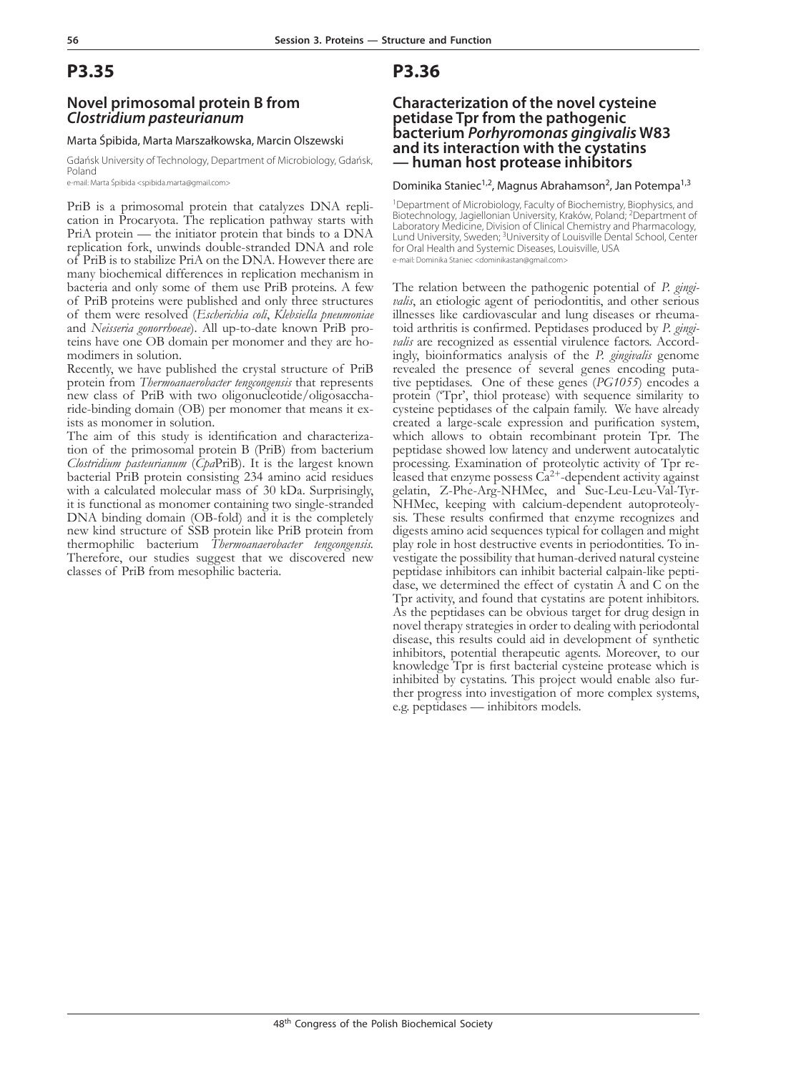### **Novel primosomal protein B from**  *Clostridium pasteurianum*

#### Marta Śpibida, Marta Marszałkowska, Marcin Olszewski

Gdańsk University of Technology, Department of Microbiology, Gdańsk, Poland

e-mail: Marta Śpibida <spibida.marta@gmail.com>

PriB is a primosomal protein that catalyzes DNA repli- cation in Procaryota. The replication pathway starts with PriA protein — the initiator protein that binds to a DNA replication fork, unwinds double-stranded DNA and role of PriB is to stabilize PriA on the DNA. However there are many biochemical differences in replication mechanism in bacteria and only some of them use PriB proteins. A few of PriB proteins were published and only three structures of them were resolved (*Escherichia coli*, *Klebsiella pneumoniae* teins have one OB domain per monomer and they are ho-<br>modimers in solution.

Recently, we have published the crystal structure of PriB protein from *Thermoanaerobacter tengcongensis* that represents new class of PriB with two oligonucleotide/oligosaccha- ride-binding domain (OB) per monomer that means it ex- ists as monomer in solution.

The aim of this study is identification and characteriza- tion of the primosomal protein B (PriB) from bacterium *Clostridium pasteurianum* (*Cpa*PriB). It is the largest known bacterial PriB protein consisting 234 amino acid residues with a calculated molecular mass of 30 kDa. Surprisingly, it is functional as monomer containing two single-stranded DNA binding domain (OB-fold) and it is the completely new kind structure of SSB protein like PriB protein from thermophilic bacterium *Thermoanaerobacter tengcongensis.* Therefore, our studies suggest that we discovered new classes of PriB from mesophilic bacteria.

## **P3.36**

### **Characterization of the novel cysteine petidase Tpr from the pathogenic bacterium** *Porhyromonas gingivalis* **W83 and its interaction with the cystatins — human host protease inhibitors**

#### Dominika Staniec<sup>1,2</sup>, Magnus Abrahamson<sup>2</sup>, Jan Potempa<sup>1,3</sup>

<sup>1</sup>Department of Microbiology, Faculty of Biochemistry, Biophysics, and Biotechnology, Jagiellonian University, Kraków, Poland; 2Department of Laboratory Medicine, Division of Clinical Chemistry and Pharmacology, Lund University, Sweden; <sup>3</sup>University of Louisville Dental School, Center for Oral Health and Systemic Diseases, Louisville, USA e-mail: Dominika Staniec <dominikastan@gmail.com>

The relation between the pathogenic potential of *P. gingi- valis*, an etiologic agent of periodontitis, and other serious illnesses like cardiovascular and lung diseases or rheumatoid arthritis is confirmed. Peptidases produced by *P. gingi-valis* are recognized as essential virulence factors. Accordingly, bioinformatics analysis of the *P. g* revealed the presence of several genes encoding puta- tive peptidases. One of these genes (*PG1055*) encodes a protein ('Tpr', thiol protease) with sequence similarity to cysteine peptidases of the calpain family. We have already created a large-scale expression and purification system, which allows to obtain recombinant protein Tpr. The peptidase showed low latency and underwent autocatalytic leased that enzyme possess  $\dot{Ca}^{2+}$ -dependent activity against gelatin, Z-Phe-Arg-NHMec, and Suc-Leu-Leu-Val-Tyr-NHMec, keeping with calcium-dependent autoproteolysis. These results confirmed that enzyme recognizes and digests amino acid sequences typical for collagen and might play role in host destructive events in periodontities. To investigate the possibility that human-derived natural cysteine peptidase inhibitors can inhibit bacterial calpain-like peptidase, we determined the effect of cystatin A and C on the Tpr activity, and found that cystatins are potent inhibitors. As the peptidases can be obvious target for drug design in novel therapy strategies in order to dealing with periodontal disease, this results could aid in development of synthetic inhibitors, potential therapeutic agents. Moreover, to our knowledge Tpr is first bacterial cysteine protease which is inhibited by cystatins. This project would enable also fur- ther progress into investigation of more complex systems, e.g. peptidases — inhibitors models.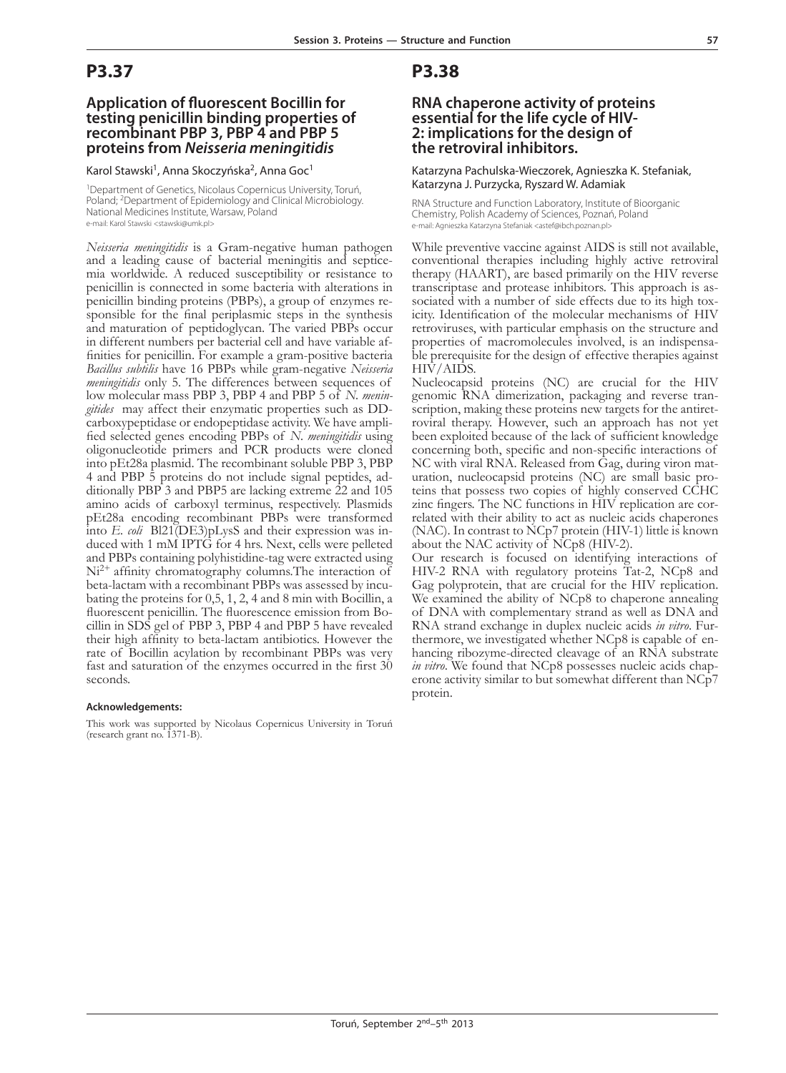### **Application of fluorescent Bocillin for testing penicillin binding properties of recombinant PBP 3, PBP 4 and PBP 5 proteins from** *Neisseria meningitidis*

Karol Stawski<sup>1</sup>, Anna Skoczyńska<sup>2</sup>, Anna Goc<sup>1</sup>

<sup>1</sup>Department of Genetics, Nicolaus Copernicus University, Toruń, Poland; <sup>2</sup>Department of Epidemiology and Clinical Microbiology. National Medicines Institute, Warsaw, Poland e-mail: Karol Stawski <stawski@umk.pl>

*Neisseria meningitidis* is a Gram-negative human pathogen mia worldwide. A reduced susceptibility or resistance to penicillin is connected in some bacteria with alterations in sponsible for the final periplasmic steps in the synthesis and maturation of peptidoglycan. The varied PBPs occur in different numbers per bacterial cell and have variable affinities for penicillin. For example a gram-positive bacteria *Bacillus subtilis* have 16 PBPs while gram-negative *Neisseria meningitidis* only 5. The differences between sequences of low molecular mass PBP 3, PBP 4 and PBP 5 of *N. menin- gitides* may affect their enzymatic properties such as DD-carboxypeptidase or endopeptidase activity. We have amplified selected genes encoding PBPs of *N. meningitidis* using oligonucleotide primers and PCR products were cloned into pEt28a plasmid. The recombinant soluble PBP 3, PBP ditionally PBP 3 and PBP5 are lacking extreme 22 and 105 amino acids of carboxyl terminus, respectively. Plasmids pEt28a encoding recombinant PBPs were transformed into *E. coli* Bl21(DE3)pLysS and their expression was induced with 1 mM IPTG for 4 hrs. Next, cells were pelleted and PBPs containing polyhistidine-tag were extracted using  $Ni<sup>2+</sup>$  affinity chromatography columns. The interaction of beta-lactam with a recombinant PBPs was assessed by incubating the proteins for 0,5, 1, 2, 4 and 8 min with Bocillin, a fluorescent penicillin. The fluorescence emission from Bocillin in SDS gel of PBP 3, PBP 4 and PBP 5 have revealed their high affinity to beta-lactam antibiotics. However the rate of Bocillin acylation by recombinant PBPs was very fast and saturation of the enzymes occurred in the first 30 seconds.

#### **Acknowledgements:**

This work was supported by Nicolaus Copernicus University in Toruń (research grant no. 1371-B).

### **P3.38**

### **RNA chaperone activity of proteins essential for the life cycle of HIV-2: implications for the design of the retroviral inhibitors.**

Katarzyna Pachulska-Wieczorek, Agnieszka K. Stefaniak, Katarzyna J. Purzycka, Ryszard W. Adamiak

RNA Structure and Function Laboratory, Institute of Bioorganic Chemistry, Polish Academy of Sciences, Poznań, Poland e-mail: Agnieszka Katarzyna Stefaniak <astef@ibch.poznan.pl>

While preventive vaccine against AIDS is still not available, conventional therapies including highly active retroviral therapy (HAART), are based primarily on the HIV reverse sociated with a number of side effects due to its high tox-<br>icity. Identification of the molecular mechanisms of HIV retroviruses, with particular emphasis on the structure and properties of macromolecules involved, is an indispensable prerequisite for the design of effective therapies against HIV/AIDS.

Nucleocapsid proteins (NC) are crucial for the HIV genomic RNA dimerization, packaging and reverse tran- scription, making these proteins new targets for the antiret- roviral therapy. However, such an approach has not yet been exploited because of the lack of sufficient knowledge concerning both, specific and non-specific interactions of NC with viral RNA. Released from Gag, during viron maturation, nucleocapsid proteins (NC) are small basic proteins that possess two copies of highly conserved CCHC zinc fingers. The NC functions in HIV replication are correlated with their ability to act as nucleic acids chaperones (NAC). In contrast to NCp7 protein (HIV-1) little is known about the NAC activity of NCp8 (HIV-2).

Our research is focused on identifying interactions of HIV-2 RNA with regulatory proteins Tat-2, NCp8 and Gag polyprotein, that are crucial for the HIV replication. We examined the ability of NCp8 to chaperone annealing of DNA with complementary strand as well as DNA and RNA strand exchange in duplex nucleic acids *in vitro*. Furthermore, we investigated whether NCp8 is capable of enhancing ribozyme-directed cleavage of an RNA substrate *in vitro*. We found that NCp8 possesses nucleic acids chaperone activity similar to but somewhat different than NCp7 protein.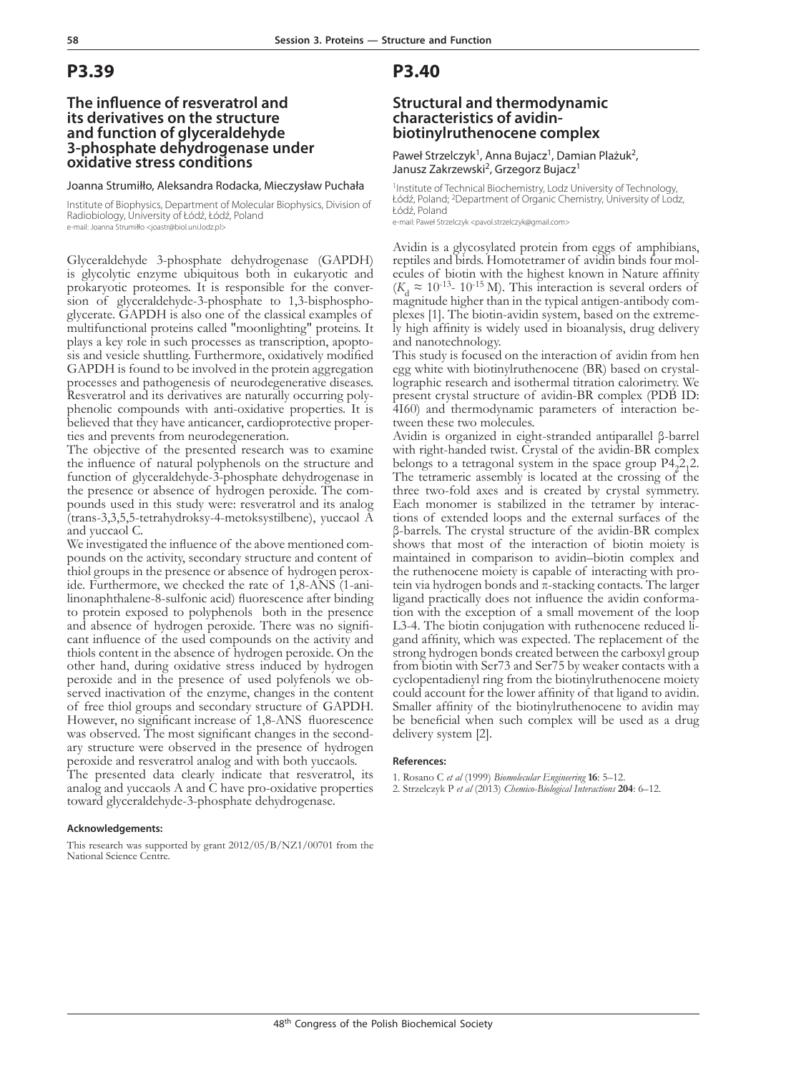### **The influence of resveratrol and its derivatives on the structure and function of glyceraldehyde 3-phosphate dehydrogenase under oxidative stress conditions**

#### Joanna Strumiłło, Aleksandra Rodacka, Mieczysław Puchała

Institute of Biophysics, Department of Molecular Biophysics, Division of Radiobiology, University of Łódź, Łódź, Poland e-mail: Joanna Strumiłło <joastr@biol.uni.lodz.pl>

Glyceraldehyde 3-phosphate dehydrogenase (GAPDH) is glycolytic enzyme ubiquitous both in eukaryotic and sion of glyceraldehyde-3-phosphate to 1,3-bisphospho-<br>glycerate. GAPDH is also one of the classical examples of multifunctional proteins called "moonlighting" proteins. It plays a key role in such processes as transcription, apopto- sis and vesicle shuttling. Furthermore, oxidatively modified GAPDH is found to be involved in the protein aggregation processes and pathogenesis of neurodegenerative diseases. Resveratrol and its derivatives are naturally occurring poly- phenolic compounds with anti-oxidative properties. It is believed that they have anticancer, cardioprotective proper- ties and prevents from neurodegeneration.

The objective of the presented research was to examine the influence of natural polyphenols on the structure and function of glyceraldehyde-3-phosphate dehydrogenase in the presence or absence of hydrogen peroxide. The com- pounds used in this study were: resveratrol and its analog (trans-3,3,5,5-tetrahydroksy-4-metoksystilbene), yuccaol A and yuccaol C.

We investigated the influence of the above mentioned compounds on the activity, secondary structure and content of thiol groups in the presence or absence of hydrogen peroxide. Furthermore, we checked the rate of 1,8-ANS (1-anilinonaphthalene-8-sulfonic acid) fluorescence after binding to protein exposed to polyphenols both in the presence and absence of hydrogen peroxide. There was no significant influence of the used compounds on the activity and thiols content in the absence of hydrogen peroxide. On the other hand, during oxidative stress induced by hydrogen peroxide and in the presence of used polyfenols we observed inactivation of the enzyme, changes in the content of free thiol groups and secondary structure of GAPDH. However, no significant increase of 1,8-ANS fluorescence was observed. The most significant changes in the secondary structure were observed in the presence of hydrogen peroxide and resveratrol analog and with both yuccaols.

The presented data clearly indicate that resveratrol, its analog and yuccaols A and C have pro-oxidative properties toward glyceraldehyde-3-phosphate dehydrogenase.

#### **Acknowledgements:**

This research was supported by grant 2012/05/B/NZ1/00701 from the National Science Centre.

### **P3.40**

#### **Structural and thermodynamic characteristics of avidinbiotinylruthenocene complex**

Paweł Strzelczyk<sup>1</sup>, Anna Bujacz<sup>1</sup>, Damian Plażuk<sup>2</sup>, Janusz Zakrzewski<sup>2</sup>, Grzegorz Bujacz<sup>1</sup>

<sup>1</sup>Institute of Technical Biochemistry, Lodz University of Technology, Łódź, Poland; <sup>2</sup>Department of Organic Chemistry, Úniversity of Lodz, Łódź, Poland

e-mail: Paweł Strzelczyk <pavol.strzelczyk@gmail.com>

Avidin is a glycosylated protein from eggs of amphibians, ecules of biotin with the highest known in Nature affinity  $(K<sub>d</sub> \approx 10<sup>-13</sup> - 10<sup>-15</sup> M)$ . This interaction is several orders of magnitude higher than in the typical antigen-antibody complexes [1]. The biotin-avidin system, based on the extreme-<br>ly high affinity is widely used in bioanalysis, drug delivery and nanotechnology.

This study is focused on the interaction of avidin from hen egg white with biotinylruthenocene (BR) based on crystallographic research and isothermal titration calorimetry. We present crystal structure of avidin-BR complex (PDB ID: 4I60) and thermodynamic parameters of interaction be- tween these two molecules.

Avidin is organized in eight-stranded antiparallel β-barrel with right-handed twist. Crystal of the avidin-BR complex belongs to a tetragonal system in the space group  $P4_2^2$  2. The tetrameric assembly is located at the crossing of the three two-fold axes and is created by crystal symmetry. Each monomer is stabilized in the tetramer by interactions of extended loops and the external surfaces of the β-barrels. The crystal structure of the avidin-BR complex shows that most of the interaction of biotin moiety is maintained in comparison to avidin–biotin complex and the ruthenocene moiety is capable of interacting with protein via hydrogen bonds and π-stacking contacts. The larger ligand practically does not influence the avidin conformation with the exception of a small movement of the loop L3-4. The biotin conjugation with ruthenocene reduced ligand affinity, which was expected. The replacement of the strong hydrogen bonds created between the carboxyl group from biotin with Ser73 and Ser75 by weaker contacts with a cyclopentadienyl ring from the biotinylruthenocene moiety could account for the lower affinity of that ligand to avidin. Smaller affinity of the biotinylruthenocene to avidin may be beneficial when such complex will be used as a drug delivery system [2].

#### **References:**

- 1. Rosano C *et al* (1999) *Biomolecular Engineering* **16**: 5–12.
- 2. Strzelczyk P *et al* (2013) *Chemico-Biological Interactions* **204**: 6–12.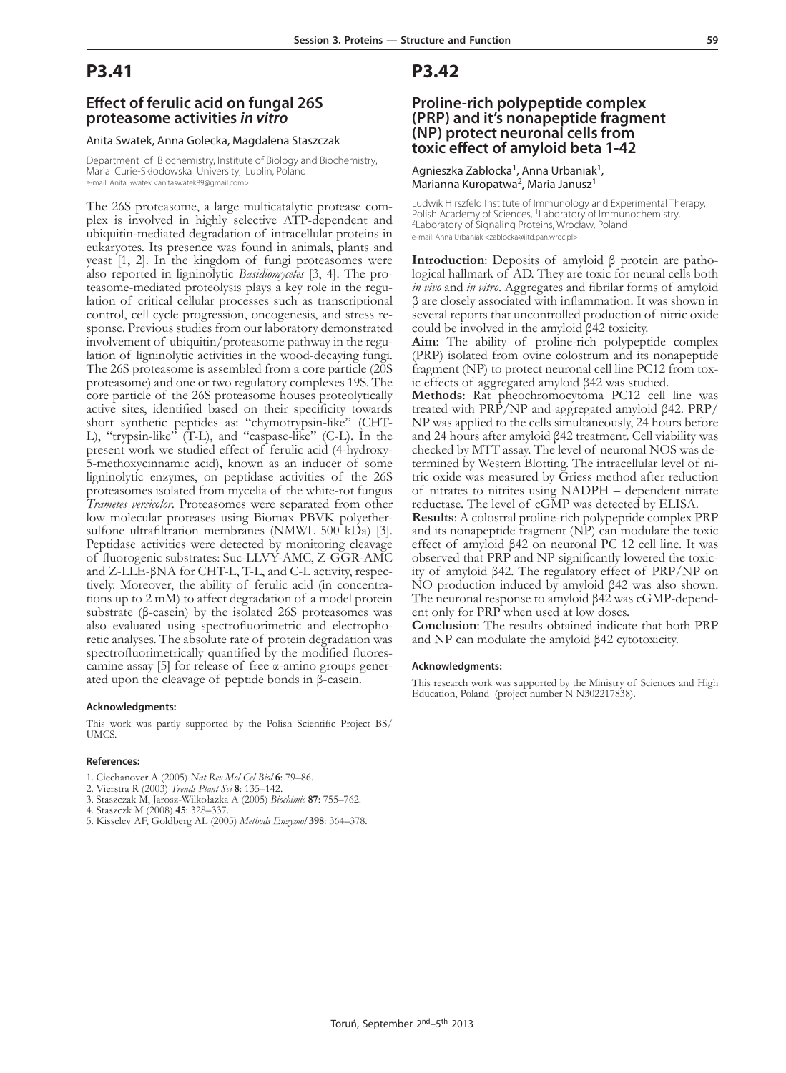### **Effect of ferulic acid on fungal 26S proteasome activities** *in vitro*

#### Anita Swatek, Anna Golecka, Magdalena Staszczak

Department of Biochemistry, Institute of Biology and Biochemistry, Maria Curie-Skłodowska University, Lublin, Poland e-mail: Anita Swatek <anitaswatek89@gmail.com>

The 26S proteasome, a large multicatalytic protease com- plex is involved in highly selective ATP-dependent and ubiquitin-mediated degradation of intracellular proteins in eukaryotes. Its presence was found in animals, plants and yeast [1, 2]. In the kingdom of fungi proteasomes were also reported in ligninolytic *Basidiomycetes* [3, 4]. The pro-<br>teasome-mediated proteolysis plays a key role in the regu-<br>lation of critical cellular processes such as transcriptional control, cell cycle progression, oncogenesis, and stress re- sponse. Previous studies from our laboratory demonstrated involvement of ubiquitin/proteasome pathway in the regu- lation of ligninolytic activities in the wood-decaying fungi. The 26S proteasome is assembled from a core particle (20S proteasome) and one or two regulatory complexes 19S. The core particle of the 26S proteasome houses proteolytically active sites, identified based on their specificity towards short synthetic peptides as: "chymotrypsin-like" (CHT-L), "trypsin-like" (T-L), and "caspase-like" (C-L). In the present work we studied effect of ferulic acid (4-hydroxy-5-methoxycinnamic acid), known as an inducer of some ligninolytic enzymes, on peptidase activities of the 26S proteasomes isolated from mycelia of the white-rot fungus *Trametes versicolor*. Proteasomes were separated from other low molecular proteases using Biomax PBVK polyethersulfone ultrafiltration membranes (NMWL 500 kDa) [3]. Peptidase activities were detected by monitoring cleavage of fluorogenic substrates: Suc-LLVY-AMC, Z-GGR-AMC and Z-LLE-βNA for CHT-L, T-L, and C-L activity, respectively. Moreover, the ability of ferulic acid (in concentrations up to 2 mM) to affect degradation of a model protein substrate (β-casein) by the isolated 26S proteasomes was also evaluated using spectrofluorimetric and electrophoretic analyses. The absolute rate of protein degradation was spectrofluorimetrically quantified by the modified fluorescamine assay [5] for release of free α-amino groups generated upon the cleavage of peptide bonds in β-casein.

#### **Acknowledgments:**

This work was partly supported by the Polish Scientific Project BS/ UMCS.

#### **References:**

- 1. Ciechanover A (2005) *Nat Rev Mol Cel Biol* **6**: 79–86.
- 2. Vierstra R (2003) *Trends Plant Sci* **8**: 135–142.
- 3. Staszczak M, Jarosz-Wilkołazka A (2005) *Biochimie* **87**: 755–762.
- 4. Staszczk M (2008) **45**: 328–337.
- 5. Kisselev AF, Goldberg AL (2005) *Methods Enzymol* **398**: 364–378.

### **P3.42**

## **Proline-rich polypeptide complex (prp) and it's nonapeptide fragment**  toxic effect of amyloid beta 1-42

Agnieszka Zabłocka<sup>1</sup>, Anna Urbaniak<sup>1</sup>, Marianna Kuropatwa<sup>2</sup>, Maria Janusz<sup>1</sup>

Ludwik Hirszfeld Institute of Immunology and Experimental Therapy,<br>Polish Academy of Sciences, <sup>1</sup>Laboratory of Immunochemistry,<br><sup>2</sup>Laboratory of Signaling Proteins, Wrocław, Poland e-mail: Anna Urbaniak <zablocka@iitd.pan.wroc.pl>

**Introduction**: Deposits of amyloid β protein are patho- logical hallmark of AD. They are toxic for neural cells both *in vivo* and *in vitro*. Aggregates and fibrilar forms of amyloid β are closely associated with inflammation. It was shown in several reports that uncontrolled production of nitric oxide could be involved in the amyloid β42 toxicity.

**Aim**: The ability of proline-rich polypeptide complex (PRP) isolated from ovine colostrum and its nonapeptide fragment (NP) to protect neuronal cell line PC12 from tox- ic effects of aggregated amyloid β42 was studied.

**Methods**: Rat pheochromocytoma PC12 cell line was treated with PRP/NP and aggregated amyloid β42. PRP/ NP was applied to the cells simultaneously, 24 hours before and 24 hours after amyloid β42 treatment. Cell viability was termined by Western Blotting. The intracellular level of nitric oxide was measured by Griess method after reduction of nitrates to nitrites using NADPH – dependent nitrate reductase. The level of cGMP was detected by ELISA.

**Results**: A colostral proline-rich polypeptide complex PRP and its nonapeptide fragment (NP) can modulate the toxic effect of amyloid β42 on neuronal PC 12 cell line. It was observed that PRP and NP significantly lowered the toxicity of amyloid β42. The regulatory effect of PRP/NP on NO production induced by amyloid β42 was also shown. The neuronal response to amyloid β42 was cGMP-dependent only for PRP when used at low doses.

**Conclusion**: The results obtained indicate that both PRP and NP can modulate the amyloid β42 cytotoxicity.

#### **Acknowledgments:**

This research work was supported by the Ministry of Sciences and High Education, Poland (project number N N302217838).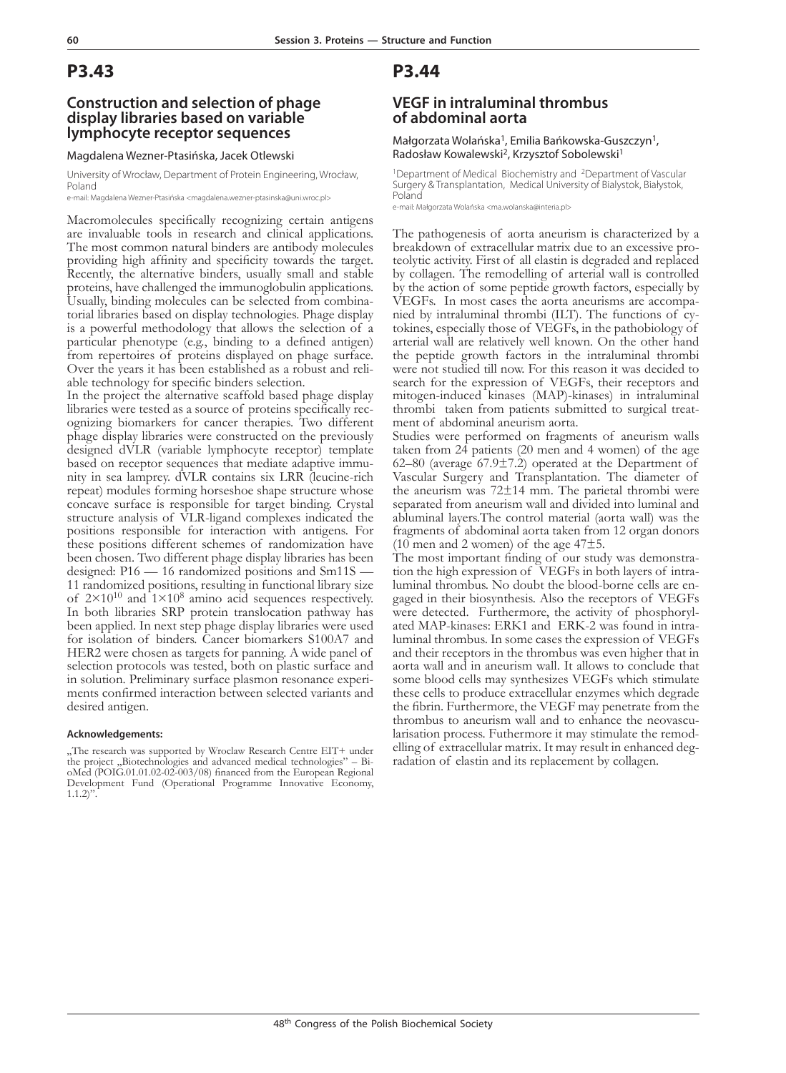### **Construction and selection of phage display libraries based on variable lymphocyte receptor sequences**

Magdalena Wezner-Ptasińska, Jacek Otlewski

University of Wrocław, Department of Protein Engineering, Wrocław, Poland e-mail: Magdalena Wezner-Ptasińska <magdalena.wezner-ptasinska@uni.wroc.pl>

Macromolecules specifically recognizing certain antigens are invaluable tools in research and clinical applications. The most common natural binders are antibody molecules providing high affinity and specificity towards the target. Recently, the alternative binders, usually small and stable proteins, have challenged the immunoglobulin applications. Usually, binding molecules can be selected from combina- torial libraries based on display technologies. Phage display is a powerful methodology that allows the selection of a particular phenotype (e.g., binding to a defined antigen) from repertoires of proteins displayed on phage surface. Over the years it has been established as a robust and reli- able technology for specific binders selection.

In the project the alternative scaffold based phage display libraries were tested as a source of proteins specifically rec- ognizing biomarkers for cancer therapies. Two different phage display libraries were constructed on the previously designed dVLR (variable lymphocyte receptor) template based on receptor sequences that mediate adaptive immunity in sea lamprey. dVLR contains six LRR (leucine-rich repeat) modules forming horseshoe shape structure whose concave surface is responsible for target binding. Crystal structure analysis of VLR-ligand complexes indicated the positions responsible for interaction with antigens. For these positions different schemes of randomization have been chosen. Two different phage display libraries has been designed: P16 — 16 randomized positions and Sm11S — 11 randomized positions, resulting in functional library size of  $2 \times 10^{10}$  and  $1 \times 10^8$  amino acid sequences respectively. In both libraries SRP protein translocation pathway has been applied. In next step phage display libraries were used for isolation of binders. Cancer biomarkers S100A7 and HER2 were chosen as targets for panning. A wide panel of selection protocols was tested, both on plastic surface and in solution. Preliminary surface plasmon resonance experi- ments confirmed interaction between selected variants and desired antigen.

#### **Acknowledgements:**

"The research was supported by Wroclaw Research Centre EIT+ under the project  $,$  Biotechnologies and advanced medical technologies" – BioMed (POIG.01.01.02-02-003/08) financed from the European Regional Development Fund (Operational Programme Innovative Economy,  $1.1.2$ ".

## **P3.44**

### **VEGF in intraluminal thrombus of abdominal aorta**

#### Małgorzata Wolańska<sup>1</sup>, Emilia Bańkowska-Guszczyn<sup>1</sup>, Radosław Kowalewski<sup>2</sup>, Krzysztof Sobolewski<sup>1</sup>

<sup>1</sup>Department of Medical Biochemistry and <sup>2</sup>Department of Vascular Surgery & Transplantation, Medical University of Bialystok, Białystok, Poland

e-mail: Małgorzata Wolańska <ma.wolanska@interia.pl>

The pathogenesis of aorta aneurism is characterized by a teolytic activity. First of all elastin is degraded and replaced by collagen. The remodelling of arterial wall is controlled by the action of some peptide growth factors, especially by VEGFs. In most cases the aorta aneurisms are accompanied by intraluminal thrombi (ILT). The functions of cy-<br>tokines, especially those of VEGFs, in the pathobiology of arterial wall are relatively well known. On the other hand the peptide growth factors in the intraluminal thrombi were not studied till now. For this reason it was decided to search for the expression of VEGFs, their receptors and mitogen-induced kinases (MAP)-kinases) in intraluminal thrombi taken from patients submitted to surgical treat- ment of abdominal aneurism aorta.

Studies were performed on fragments of aneurism walls taken from 24 patients (20 men and 4 women) of the age 62–80 (average 67.9±7.2) operated at the Department of Vascular Surgery and Transplantation. The diameter of the aneurism was 72±14 mm. The parietal thrombi were separated from aneurism wall and divided into luminal and abluminal layers.The control material (aorta wall) was the fragments of abdominal aorta taken from 12 organ donors (10 men and 2 women) of the age  $47\pm5$ .

The most important finding of our study was demonstration the high expression of VEGFs in both layers of intraluminal thrombus. No doubt the blood-borne cells are engaged in their biosynthesis. Also the receptors of VEGFs were detected. Furthermore, the activity of phosphorylated MAP-kinases: ERK1 and ERK-2 was found in intraluminal thrombus. In some cases the expression of VEGFs and their receptors in the thrombus was even higher that in aorta wall and in aneurism wall. It allows to conclude that some blood cells may synthesizes VEGFs which stimulate these cells to produce extracellular enzymes which degrade the fibrin. Furthermore, the VEGF may penetrate from the thrombus to aneurism wall and to enhance the neovascularisation process. Futhermore it may stimulate the remodelling of extracellular matrix. It may result in enhanced degradation of elastin and its replacement by collagen.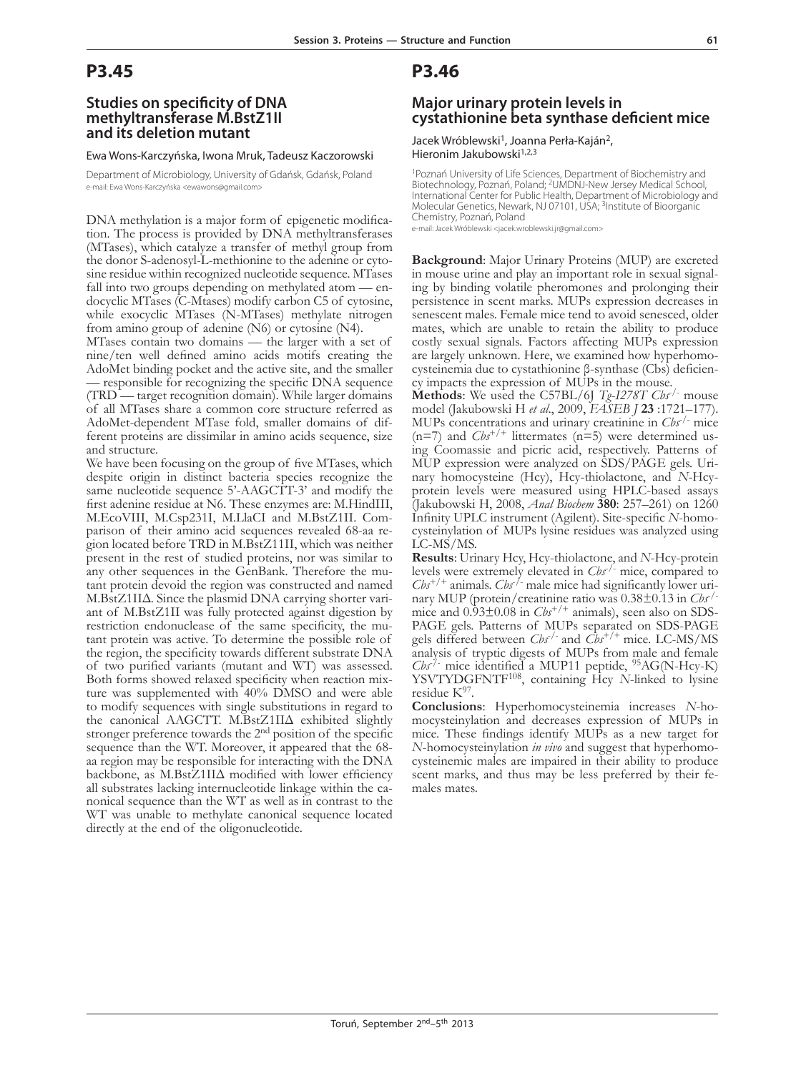### **Studies on specificity of DNA methyltransferase M.BstZ1II and its deletion mutant**

#### Ewa Wons-Karczyńska, Iwona Mruk, Tadeusz Kaczorowski

Department of Microbiology, University of Gdańsk, Gdańsk, Poland e-mail: Ewa Wons-Karczyńska <ewawons@gmail.com>

DNA methylation is a major form of epigenetic modifica- tion. The process is provided by DNA methyltransferases (MTases), which catalyze a transfer of methyl group from sine residue within recognized nucleotide sequence. MTases fall into two groups depending on methylated atom — endocyclic MTases (C-Mtases) modify carbon C5 of cytosine, while exocyclic MTases (N-MTases) methylate nitrogen from amino group of adenine (N6) or cytosine (N4).

MTases contain two domains — the larger with a set of nine/ten well defined amino acids motifs creating the AdoMet binding pocket and the active site, and the smaller – responsible for recognizing the specific DNA sequence (TRD — target recognition domain). While larger domains of all MTases share a common core structure referred as AdoMet-dependent MTase fold, smaller domains of dif- ferent proteins are dissimilar in amino acids sequence, size and structure.

We have been focusing on the group of five MTases, which despite origin in distinct bacteria species recognize the same nucleotide sequence 5'-AAGCTT-3' and modify the first adenine residue at N6. These enzymes are: M.HindIII, M.EcoVIII, M.Csp231I, M.LlaCI and M.BstZ1II. Comparison of their amino acid sequences revealed 68-aa region located before TRD in M.BstZ11II, which was neither present in the rest of studied proteins, nor was similar to any other sequences in the GenBank. Therefore the mutant protein devoid the region was constructed and named M.BstZ1IIΔ. Since the plasmid DNA carrying shorter variant of M.BstZ1II was fully protected against digestion by restriction endonuclease of the same specificity, the mutant protein was active. To determine the possible role of the region, the specificity towards different substrate DNA of two purified variants (mutant and WT) was assessed. Both forms showed relaxed specificity when reaction mixture was supplemented with 40% DMSO and were able to modify sequences with single substitutions in regard to the canonical AAGCTT. M.BstZ1IIΔ exhibited slightly stronger preference towards the 2nd position of the specific sequence than the WT. Moreover, it appeared that the 68 aa region may be responsible for interacting with the DNA backbone, as  $M.BstZ1II\Delta$  modified with lower efficiency all substrates lacking internucleotide linkage within the canonical sequence than the WT as well as in contrast to the WT was unable to methylate canonical sequence located directly at the end of the oligonucleotide.

## **P3.46**

### **Major urinary protein levels in cystathionine beta synthase deficient mice**

Jacek Wróblewski<sup>1</sup>, Joanna Perła-Kaján<sup>2</sup>, Hieronim Jakubowski<sup>1,2,3</sup>

1Poznań University of Life Sciences, Department of Biochemistry and Biotechnology, Poznań, Poland; <sup>2</sup>UMDNJ-New Jersey Medical School, International Center for Public Health, Department of Microbiology and Molecular Genetics, Newark, NJ 07101, USA; <sup>3</sup>Institute of Bioorganic Chemistry, Poznań, Poland

e-mail: Jacek Wróblewski <jacek.wroblewski.jr@gmail.com>

**Background**: Major Urinary Proteins (MUP) are excreted in mouse urine and play an important role in sexual signaling by binding volatile pheromones and prolonging their persistence in scent marks. MUPs expression decreases in senescent males. Female mice tend to avoid senesced, older mates, which are unable to retain the ability to produce costly sexual signals. Factors affecting MUPs expression are largely unknown. Here, we examined how hyperhomocysteinemia due to cystathionine β-synthase (Cbs) deficien-<br>cy impacts the expression of MUPs in the mouse.

**Methods**: We used the C57BL/6J *Tg*-*I278T Cbs*-/- mouse model (Jakubowski H *et al*., 2009, *FASEB J* **23** :1721–177). MUPs concentrations and urinary creatinine in *Cbs*-/- mice (n=7) and  $Cb<sup>+/+</sup>$  littermates (n=5) were determined using Coomassie and picric acid, respectively. Patterns of MUP expression were analyzed on SDS/PAGE gels. Urinary homocysteine (Hcy), Hcy-thiolactone, and *N*-Hcyprotein levels were measured using HPLC-based assays (Jakubowski H, 2008, *Anal Biochem* **380**: 257–261) on 1260 Infinity UPLC instrument (Agilent). Site-specific *N*-homocysteinylation of MUPs lysine residues was analyzed using LC-MS/MS.

**Results**: Urinary Hcy, Hcy-thiolactone, and *N*-Hcy-protein levels were extremely elevated in *Cbs*-/- mice, compared to  $Cb<sup>+/+</sup>$  animals.  $Cb<sup>-/-</sup>$  male mice had significantly lower urinary MUP (protein/creatinine ratio was 0.38±0.13 in *Cbs*-/ mice and  $0.93\pm0.08$  in  $Cb<sub>3</sub>^{+/+}$  animals), seen also on SDS-PAGE gels. Patterns of MUPs separated on SDS-PAGE gels differed between *Cbs*-/- and *Cbs*+/+ mice. LC-MS/MS analysis of tryptic digests of MUPs from male and female *Cbs*-/- mice identified a MUP11 peptide, 95AG(N-Hcy-K) YSVTYDGFNTF108, containing Hcy *N*-linked to lysine residue  $K^{97}$ .

**Conclusions**: Hyperhomocysteinemia increases *N*-ho- mocysteinylation and decreases expression of MUPs in mice. These findings identify MUPs as a new target for *N*-homocysteinylation *in vivo* and suggest that hyperhomocysteinemic males are impaired in their ability to produce scent marks, and thus may be less preferred by their fe- males mates.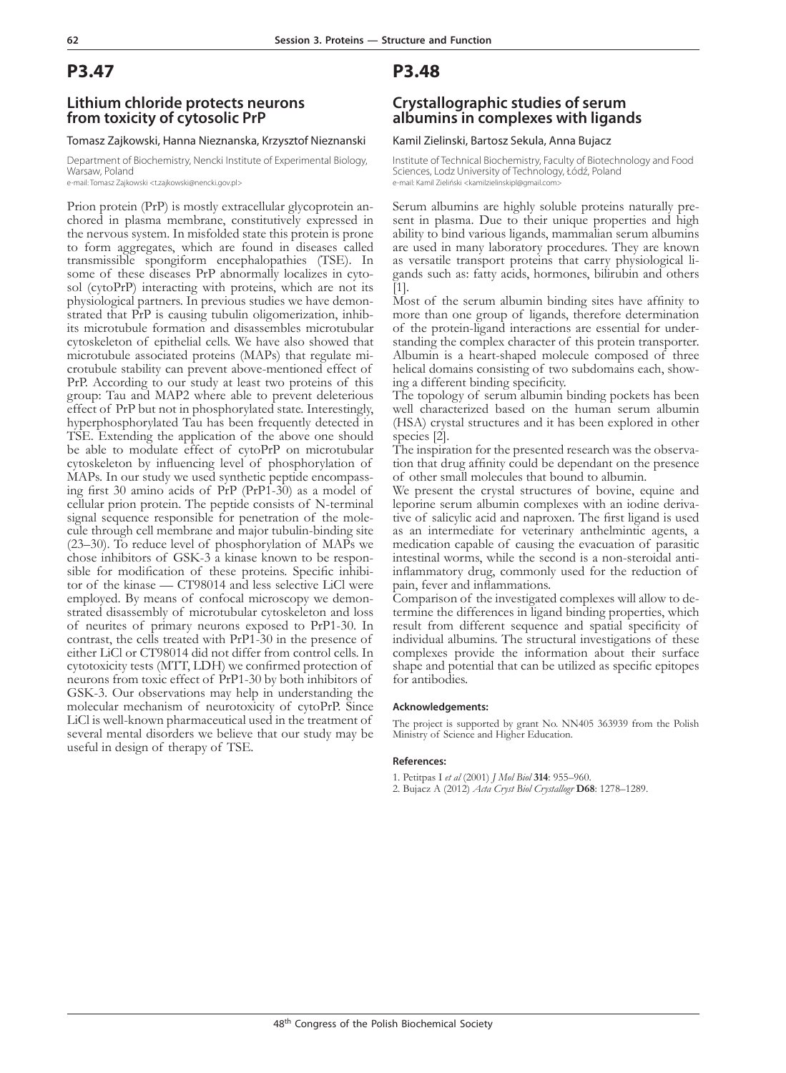### **Lithium chloride protects neurons from toxicity of cytosolic PrP**

#### Tomasz Zajkowski, Hanna Nieznanska, Krzysztof Nieznanski

Department of Biochemistry, Nencki Institute of Experimental Biology, Warsaw, Poland

e-mail: Tomasz Zajkowski <t.zajkowski@nencki.gov.pl>

Prion protein (PrP) is mostly extracellular glycoprotein an- chored in plasma membrane, constitutively expressed in the nervous system. In misfolded state this protein is prone to form aggregates, which are found in diseases called transmissible spongiform encephalopathies (TSE). In some of these diseases PrP abnormally localizes in cyto-sol (cytoPrP) interacting with proteins, which are not its physiological partners. In previous studies we have demon- strated that PrP is causing tubulin oligomerization, inhib- its microtubule formation and disassembles microtubular cytoskeleton of epithelial cells. We have also showed that microtubule associated proteins (MAPs) that regulate mi- crotubule stability can prevent above-mentioned effect of PrP. According to our study at least two proteins of this group: Tau and MAP2 where able to prevent deleterious effect of PrP but not in phosphorylated state. Interestingly, hyperphosphorylated Tau has been frequently detected in TSE. Extending the application of the above one should be able to modulate effect of cytoPrP on microtubular cytoskeleton by influencing level of phosphorylation of MAPs. In our study we used synthetic peptide encompassing first 30 amino acids of  $\Pr$ P (PrP1-30) as a model of cellular prion protein. The peptide consists of N-terminal signal sequence responsible for penetration of the molecule through cell membrane and major tubulin-binding site (23–30). To reduce level of phosphorylation of MAPs we chose inhibitors of GSK-3 a kinase known to be responsible for modification of these proteins. Specific inhibitor of the kinase — CT98014 and less selective LiCl were employed. By means of confocal microscopy we demonstrated disassembly of microtubular cytoskeleton and loss of neurites of primary neurons exposed to PrP1-30. In contrast, the cells treated with PrP1-30 in the presence of either LiCl or CT98014 did not differ from control cells. In cytotoxicity tests (MTT, LDH) we confirmed protection of neurons from toxic effect of PrP1-30 by both inhibitors of GSK-3. Our observations may help in understanding the molecular mechanism of neurotoxicity of cytoPrP. Since LiCl is well-known pharmaceutical used in the treatment of several mental disorders we believe that our study may be useful in design of therapy of TSE.

### **P3.48**

### **Crystallographic studies of serum albumins in complexes with ligands**

#### Kamil Zielinski, Bartosz Sekula, Anna Bujacz

Institute of Technical Biochemistry, Faculty of Biotechnology and Food Sciences, Lodz University of Technology, Łódź, Poland e-mail: Kamil Zieliński <kamilzielinskipl@gmail.com>

Serum albumins are highly soluble proteins naturally pre- sent in plasma. Due to their unique properties and high ability to bind various ligands, mammalian serum albumins are used in many laboratory procedures. They are known as versatile transport proteins that carry physiological ligands such as: fatty acids, hormones, bilirubin and others [1].

Most of the serum albumin binding sites have affinity to more than one group of ligands, therefore determination of the protein-ligand interactions are essential for understanding the complex character of this protein transporter. Albumin is a heart-shaped molecule composed of three helical domains consisting of two subdomains each, show- ing a different binding specificity.

The topology of serum albumin binding pockets has been well characterized based on the human serum albumin (HSA) crystal structures and it has been explored in other

species [2].<br>The inspiration for the presented research was the observation that drug affinity could be dependant on the presence of other small molecules that bound to albumin.

We present the crystal structures of bovine, equine and leporine serum albumin complexes with an iodine derivative of salicylic acid and naproxen. The first ligand is used as an intermediate for veterinary anthelmintic agents, a medication capable of causing the evacuation of parasitic intestinal worms, while the second is a non-steroidal antiinflammatory drug, commonly used for the reduction of pain, fever and inflammations.

Comparison of the investigated complexes will allow to determine the differences in ligand binding properties, which result from different sequence and spatial specificity of individual albumins. The structural investigations of these complexes provide the information about their surface shape and potential that can be utilized as specific epitopes for antibodies.

#### **Acknowledgements:**

The project is supported by grant No. NN405 363939 from the Polish Ministry of Science and Higher Education.

#### **References:**

- 1. Petitpas I *et al* (2001) *J Mol Biol* **314**: 955–960.
- 2. Bujacz A (2012) *Acta Cryst Biol Crystallogr* **D68**: 1278–1289.